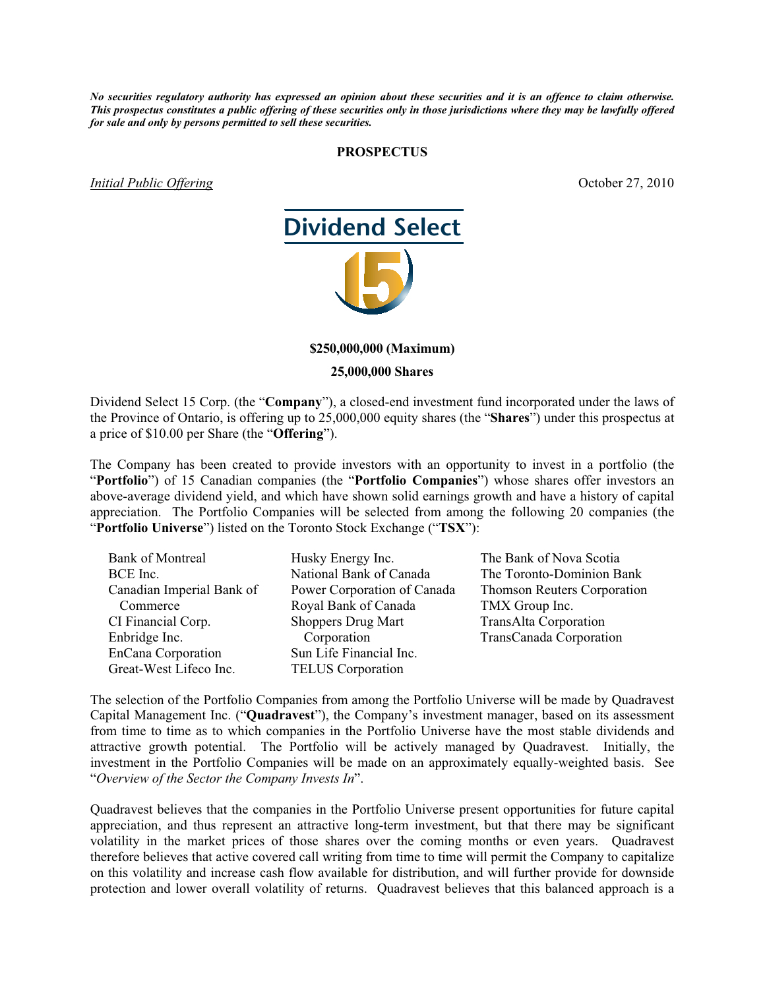*No securities regulatory authority has expressed an opinion about these securities and it is an offence to claim otherwise. This prospectus constitutes a public offering of these securities only in those jurisdictions where they may be lawfully offered for sale and only by persons permitted to sell these securities.*

#### **PROSPECTUS**

*Initial Public Offering*  $\qquad \qquad$  0ctober 27, 2010



#### **\$250,000,000 (Maximum)**

#### **25,000,000 Shares**

Dividend Select 15 Corp. (the "**Company**"), a closed-end investment fund incorporated under the laws of the Province of Ontario, is offering up to 25,000,000 equity shares (the "**Shares**") under this prospectus at a price of \$10.00 per Share (the "**Offering**").

The Company has been created to provide investors with an opportunity to invest in a portfolio (the "**Portfolio**") of 15 Canadian companies (the "**Portfolio Companies**") whose shares offer investors an above-average dividend yield, and which have shown solid earnings growth and have a history of capital appreciation. The Portfolio Companies will be selected from among the following 20 companies (the "**Portfolio Universe**") listed on the Toronto Stock Exchange ("**TSX**"):

| <b>Bank of Montreal</b>   | Husky Energy Inc.           | The Bank of Nova Scotia            |
|---------------------------|-----------------------------|------------------------------------|
| BCE Inc.                  | National Bank of Canada     | The Toronto-Dominion Bank          |
| Canadian Imperial Bank of | Power Corporation of Canada | <b>Thomson Reuters Corporation</b> |
| Commerce                  | Royal Bank of Canada        | TMX Group Inc.                     |
| CI Financial Corp.        | <b>Shoppers Drug Mart</b>   | <b>TransAlta Corporation</b>       |
| Enbridge Inc.             | Corporation                 | TransCanada Corporation            |
| EnCana Corporation        | Sun Life Financial Inc.     |                                    |
| Great-West Lifeco Inc.    | <b>TELUS</b> Corporation    |                                    |

The selection of the Portfolio Companies from among the Portfolio Universe will be made by Quadravest Capital Management Inc. ("**Quadravest**"), the Company's investment manager, based on its assessment from time to time as to which companies in the Portfolio Universe have the most stable dividends and attractive growth potential. The Portfolio will be actively managed by Quadravest. Initially, the investment in the Portfolio Companies will be made on an approximately equally-weighted basis. See "*Overview of the Sector the Company Invests In*".

Quadravest believes that the companies in the Portfolio Universe present opportunities for future capital appreciation, and thus represent an attractive long-term investment, but that there may be significant volatility in the market prices of those shares over the coming months or even years. Quadravest therefore believes that active covered call writing from time to time will permit the Company to capitalize on this volatility and increase cash flow available for distribution, and will further provide for downside protection and lower overall volatility of returns. Quadravest believes that this balanced approach is a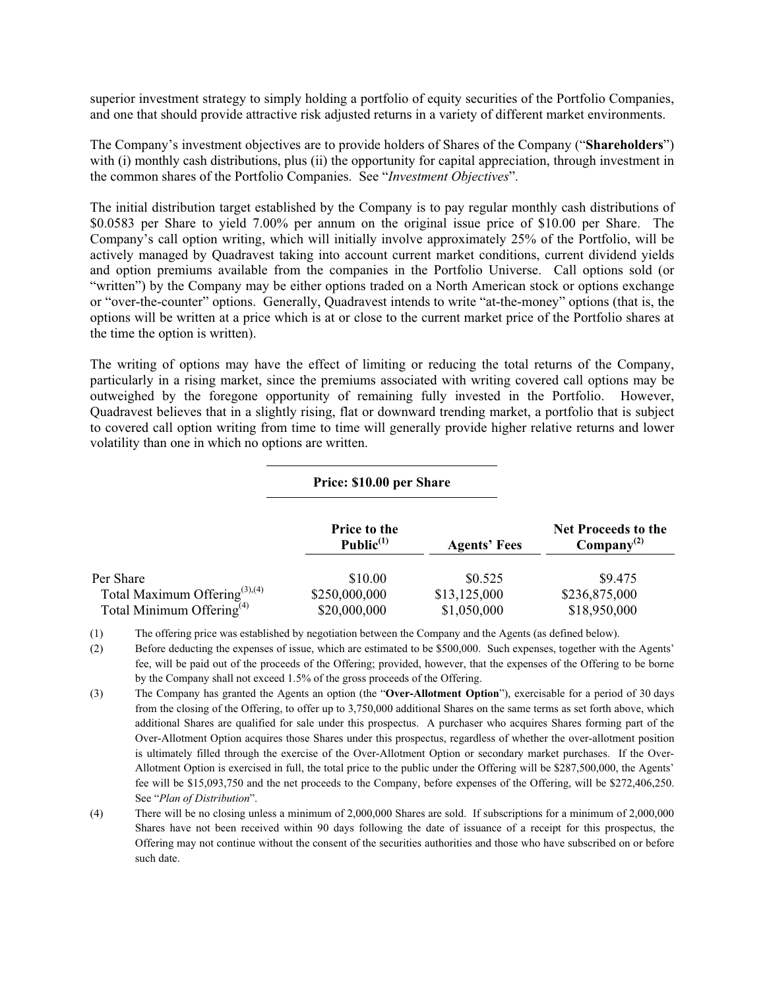superior investment strategy to simply holding a portfolio of equity securities of the Portfolio Companies, and one that should provide attractive risk adjusted returns in a variety of different market environments.

The Company's investment objectives are to provide holders of Shares of the Company ("**Shareholders**") with (i) monthly cash distributions, plus (ii) the opportunity for capital appreciation, through investment in the common shares of the Portfolio Companies. See "*Investment Objectives*".

The initial distribution target established by the Company is to pay regular monthly cash distributions of \$0.0583 per Share to yield 7.00% per annum on the original issue price of \$10.00 per Share. The Company's call option writing, which will initially involve approximately 25% of the Portfolio, will be actively managed by Quadravest taking into account current market conditions, current dividend yields and option premiums available from the companies in the Portfolio Universe. Call options sold (or "written") by the Company may be either options traded on a North American stock or options exchange or "over-the-counter" options. Generally, Quadravest intends to write "at-the-money" options (that is, the options will be written at a price which is at or close to the current market price of the Portfolio shares at the time the option is written).

The writing of options may have the effect of limiting or reducing the total returns of the Company, particularly in a rising market, since the premiums associated with writing covered call options may be outweighed by the foregone opportunity of remaining fully invested in the Portfolio. However, Quadravest believes that in a slightly rising, flat or downward trending market, a portfolio that is subject to covered call option writing from time to time will generally provide higher relative returns and lower volatility than one in which no options are written.

|                                           | Price: \$10.00 per Share            |                     |                                                      |  |
|-------------------------------------------|-------------------------------------|---------------------|------------------------------------------------------|--|
|                                           | <b>Price to the</b><br>Public $(1)$ | <b>Agents' Fees</b> | <b>Net Proceeds to the</b><br>$\text{Compary}^{(2)}$ |  |
| Per Share                                 | \$10.00                             | \$0.525             | \$9.475                                              |  |
| Total Maximum Offering <sup>(3),(4)</sup> | \$250,000,000                       | \$13,125,000        | \$236,875,000                                        |  |
| Total Minimum Offering <sup>(4)</sup>     | \$20,000,000                        | \$1,050,000         | \$18,950,000                                         |  |

(1) The offering price was established by negotiation between the Company and the Agents (as defined below).

(2) Before deducting the expenses of issue, which are estimated to be \$500,000. Such expenses, together with the Agents' fee, will be paid out of the proceeds of the Offering; provided, however, that the expenses of the Offering to be borne by the Company shall not exceed 1.5% of the gross proceeds of the Offering.

- (3) The Company has granted the Agents an option (the "**Over-Allotment Option**"), exercisable for a period of 30 days from the closing of the Offering, to offer up to 3,750,000 additional Shares on the same terms as set forth above, which additional Shares are qualified for sale under this prospectus. A purchaser who acquires Shares forming part of the Over-Allotment Option acquires those Shares under this prospectus, regardless of whether the over-allotment position is ultimately filled through the exercise of the Over-Allotment Option or secondary market purchases. If the Over-Allotment Option is exercised in full, the total price to the public under the Offering will be \$287,500,000, the Agents' fee will be \$15,093,750 and the net proceeds to the Company, before expenses of the Offering, will be \$272,406,250. See "*Plan of Distribution*".
- (4) There will be no closing unless a minimum of 2,000,000 Shares are sold. If subscriptions for a minimum of 2,000,000 Shares have not been received within 90 days following the date of issuance of a receipt for this prospectus, the Offering may not continue without the consent of the securities authorities and those who have subscribed on or before such date.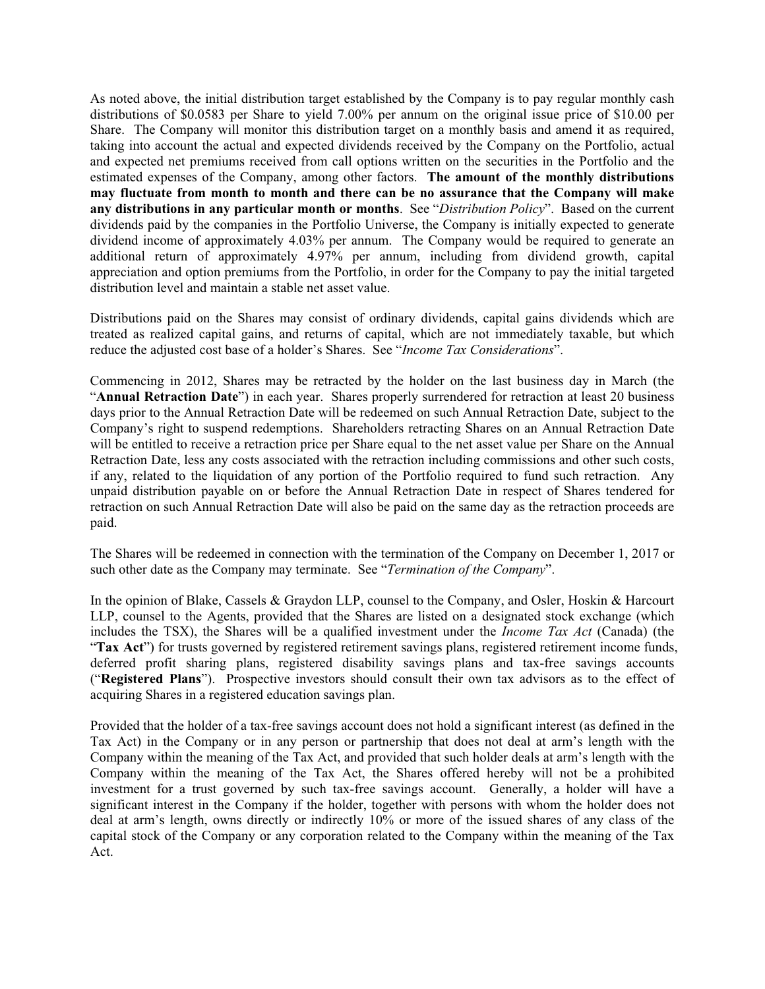As noted above, the initial distribution target established by the Company is to pay regular monthly cash distributions of \$0.0583 per Share to yield 7.00% per annum on the original issue price of \$10.00 per Share. The Company will monitor this distribution target on a monthly basis and amend it as required, taking into account the actual and expected dividends received by the Company on the Portfolio, actual and expected net premiums received from call options written on the securities in the Portfolio and the estimated expenses of the Company, among other factors. **The amount of the monthly distributions may fluctuate from month to month and there can be no assurance that the Company will make any distributions in any particular month or months**. See "*Distribution Policy*". Based on the current dividends paid by the companies in the Portfolio Universe, the Company is initially expected to generate dividend income of approximately 4.03% per annum. The Company would be required to generate an additional return of approximately 4.97% per annum, including from dividend growth, capital appreciation and option premiums from the Portfolio, in order for the Company to pay the initial targeted distribution level and maintain a stable net asset value.

Distributions paid on the Shares may consist of ordinary dividends, capital gains dividends which are treated as realized capital gains, and returns of capital, which are not immediately taxable, but which reduce the adjusted cost base of a holder's Shares. See "*Income Tax Considerations*".

Commencing in 2012, Shares may be retracted by the holder on the last business day in March (the "**Annual Retraction Date**") in each year. Shares properly surrendered for retraction at least 20 business days prior to the Annual Retraction Date will be redeemed on such Annual Retraction Date, subject to the Company's right to suspend redemptions. Shareholders retracting Shares on an Annual Retraction Date will be entitled to receive a retraction price per Share equal to the net asset value per Share on the Annual Retraction Date, less any costs associated with the retraction including commissions and other such costs, if any, related to the liquidation of any portion of the Portfolio required to fund such retraction. Any unpaid distribution payable on or before the Annual Retraction Date in respect of Shares tendered for retraction on such Annual Retraction Date will also be paid on the same day as the retraction proceeds are paid.

The Shares will be redeemed in connection with the termination of the Company on December 1, 2017 or such other date as the Company may terminate. See "*Termination of the Company*".

In the opinion of Blake, Cassels & Graydon LLP, counsel to the Company, and Osler, Hoskin & Harcourt LLP, counsel to the Agents, provided that the Shares are listed on a designated stock exchange (which includes the TSX), the Shares will be a qualified investment under the *Income Tax Act* (Canada) (the "**Tax Act**") for trusts governed by registered retirement savings plans, registered retirement income funds, deferred profit sharing plans, registered disability savings plans and tax-free savings accounts ("**Registered Plans**"). Prospective investors should consult their own tax advisors as to the effect of acquiring Shares in a registered education savings plan.

Provided that the holder of a tax-free savings account does not hold a significant interest (as defined in the Tax Act) in the Company or in any person or partnership that does not deal at arm's length with the Company within the meaning of the Tax Act, and provided that such holder deals at arm's length with the Company within the meaning of the Tax Act, the Shares offered hereby will not be a prohibited investment for a trust governed by such tax-free savings account. Generally, a holder will have a significant interest in the Company if the holder, together with persons with whom the holder does not deal at arm's length, owns directly or indirectly 10% or more of the issued shares of any class of the capital stock of the Company or any corporation related to the Company within the meaning of the Tax Act.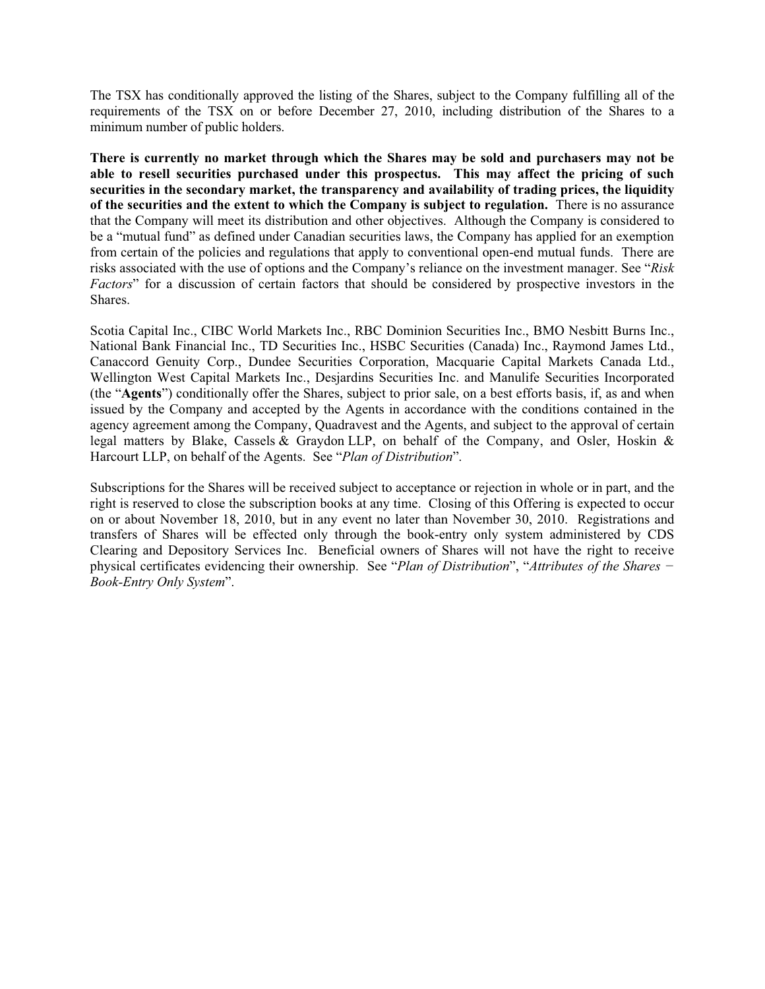The TSX has conditionally approved the listing of the Shares, subject to the Company fulfilling all of the requirements of the TSX on or before December 27, 2010, including distribution of the Shares to a minimum number of public holders.

**There is currently no market through which the Shares may be sold and purchasers may not be able to resell securities purchased under this prospectus. This may affect the pricing of such securities in the secondary market, the transparency and availability of trading prices, the liquidity of the securities and the extent to which the Company is subject to regulation.** There is no assurance that the Company will meet its distribution and other objectives. Although the Company is considered to be a "mutual fund" as defined under Canadian securities laws, the Company has applied for an exemption from certain of the policies and regulations that apply to conventional open-end mutual funds. There are risks associated with the use of options and the Company's reliance on the investment manager. See "*Risk Factors*" for a discussion of certain factors that should be considered by prospective investors in the Shares.

Scotia Capital Inc., CIBC World Markets Inc., RBC Dominion Securities Inc., BMO Nesbitt Burns Inc., National Bank Financial Inc., TD Securities Inc., HSBC Securities (Canada) Inc., Raymond James Ltd., Canaccord Genuity Corp., Dundee Securities Corporation, Macquarie Capital Markets Canada Ltd., Wellington West Capital Markets Inc., Desjardins Securities Inc. and Manulife Securities Incorporated (the "**Agents**") conditionally offer the Shares, subject to prior sale, on a best efforts basis, if, as and when issued by the Company and accepted by the Agents in accordance with the conditions contained in the agency agreement among the Company, Quadravest and the Agents, and subject to the approval of certain legal matters by Blake, Cassels & Graydon LLP, on behalf of the Company, and Osler, Hoskin & Harcourt LLP, on behalf of the Agents. See "*Plan of Distribution*".

Subscriptions for the Shares will be received subject to acceptance or rejection in whole or in part, and the right is reserved to close the subscription books at any time. Closing of this Offering is expected to occur on or about November 18, 2010, but in any event no later than November 30, 2010. Registrations and transfers of Shares will be effected only through the book-entry only system administered by CDS Clearing and Depository Services Inc. Beneficial owners of Shares will not have the right to receive physical certificates evidencing their ownership. See "*Plan of Distribution*", "*Attributes of the Shares í Book-Entry Only System*".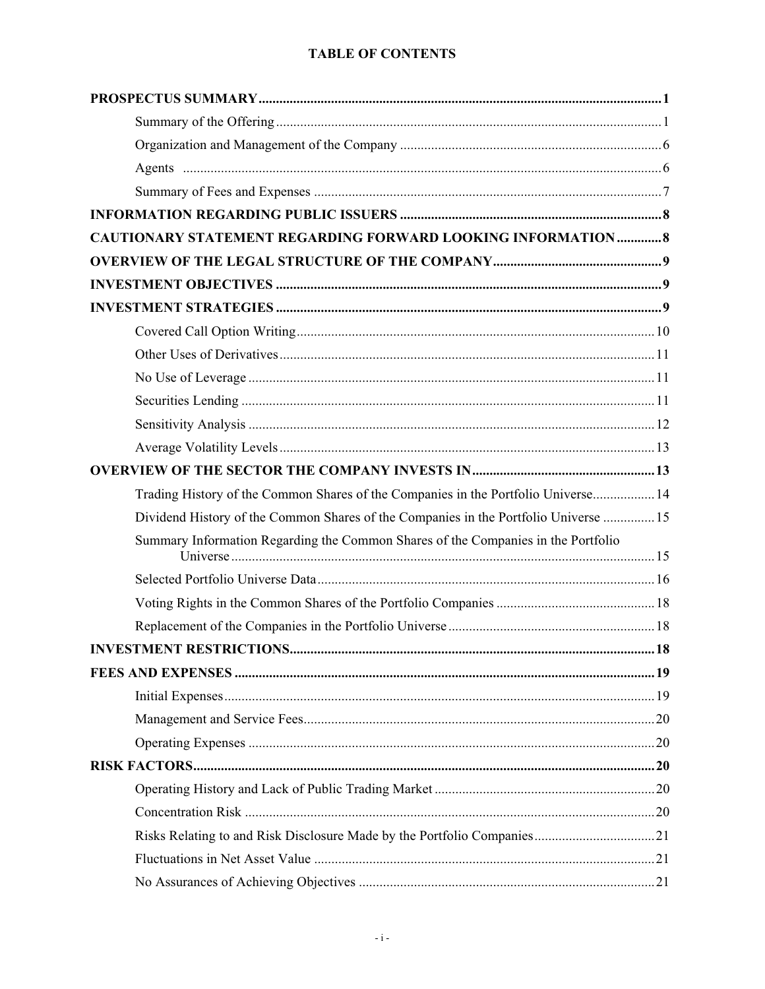# **TABLE OF CONTENTS**

| <b>CAUTIONARY STATEMENT REGARDING FORWARD LOOKING INFORMATION  8</b>                 |  |
|--------------------------------------------------------------------------------------|--|
|                                                                                      |  |
|                                                                                      |  |
|                                                                                      |  |
|                                                                                      |  |
|                                                                                      |  |
|                                                                                      |  |
|                                                                                      |  |
|                                                                                      |  |
|                                                                                      |  |
|                                                                                      |  |
| Trading History of the Common Shares of the Companies in the Portfolio Universe 14   |  |
| Dividend History of the Common Shares of the Companies in the Portfolio Universe  15 |  |
| Summary Information Regarding the Common Shares of the Companies in the Portfolio    |  |
|                                                                                      |  |
|                                                                                      |  |
|                                                                                      |  |
|                                                                                      |  |
|                                                                                      |  |
|                                                                                      |  |
|                                                                                      |  |
|                                                                                      |  |
|                                                                                      |  |
|                                                                                      |  |
|                                                                                      |  |
|                                                                                      |  |
|                                                                                      |  |
|                                                                                      |  |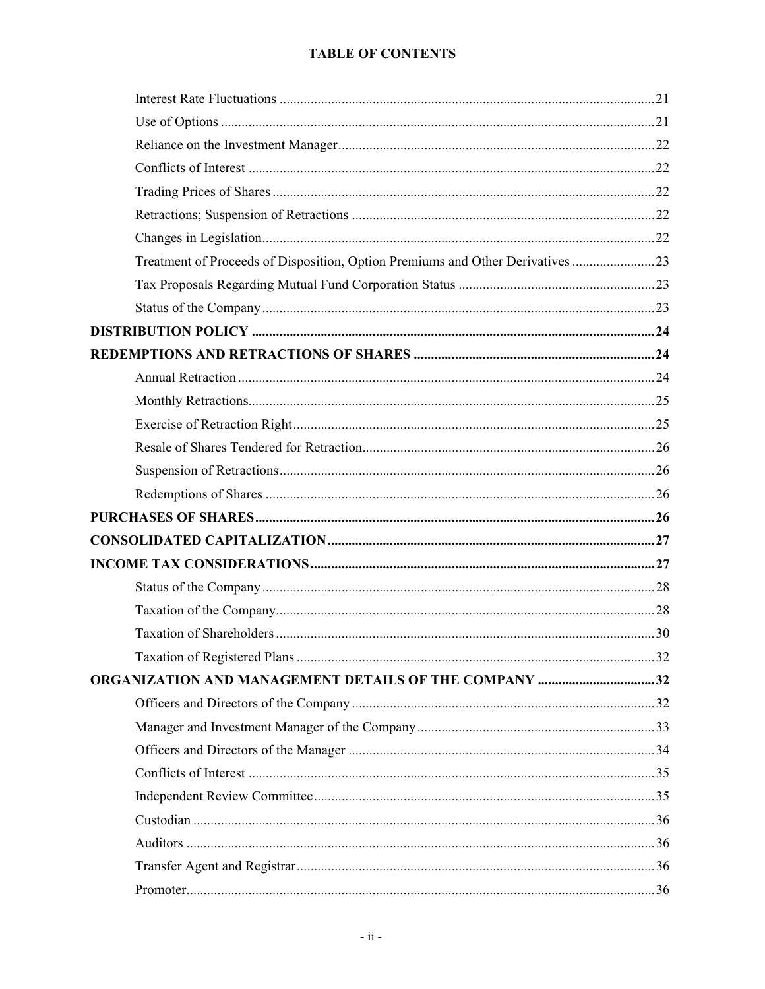# **TABLE OF CONTENTS**

| Treatment of Proceeds of Disposition, Option Premiums and Other Derivatives 23 |  |
|--------------------------------------------------------------------------------|--|
|                                                                                |  |
|                                                                                |  |
|                                                                                |  |
|                                                                                |  |
|                                                                                |  |
|                                                                                |  |
|                                                                                |  |
|                                                                                |  |
|                                                                                |  |
|                                                                                |  |
|                                                                                |  |
|                                                                                |  |
|                                                                                |  |
|                                                                                |  |
|                                                                                |  |
|                                                                                |  |
|                                                                                |  |
| <b>ORGANIZATION AND MANAGEMENT DETAILS OF THE COMPANY 32</b>                   |  |
|                                                                                |  |
|                                                                                |  |
|                                                                                |  |
|                                                                                |  |
|                                                                                |  |
|                                                                                |  |
|                                                                                |  |
|                                                                                |  |
|                                                                                |  |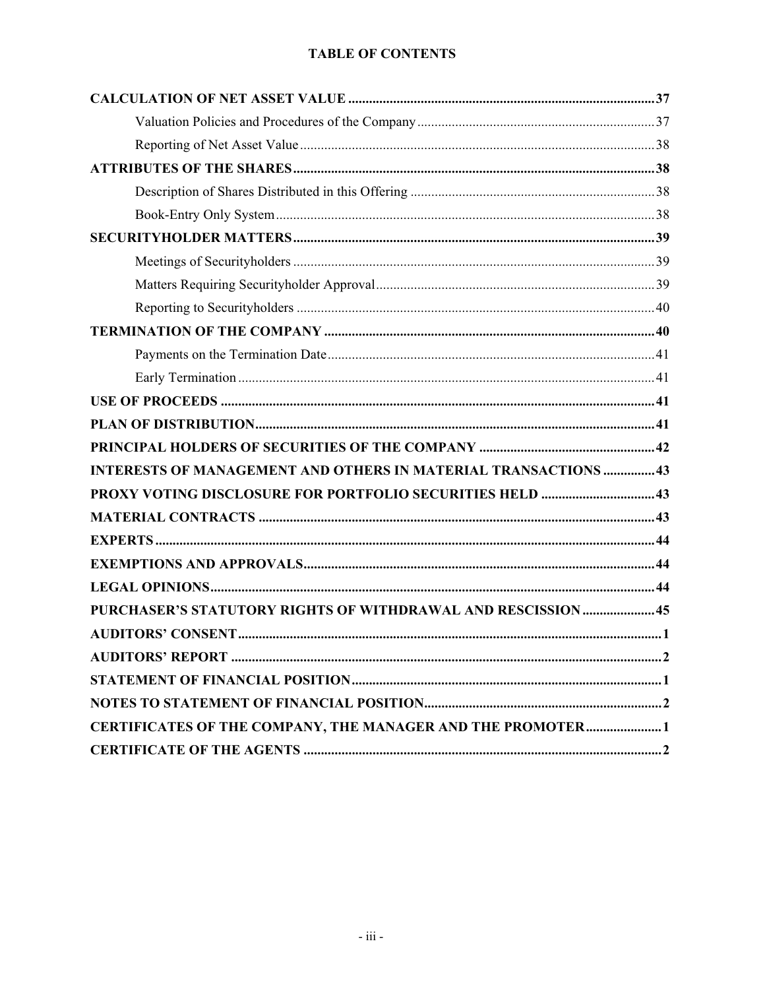# **TABLE OF CONTENTS**

| <b>INTERESTS OF MANAGEMENT AND OTHERS IN MATERIAL TRANSACTIONS  43</b> |
|------------------------------------------------------------------------|
| PROXY VOTING DISCLOSURE FOR PORTFOLIO SECURITIES HELD  43              |
|                                                                        |
|                                                                        |
|                                                                        |
|                                                                        |
| PURCHASER'S STATUTORY RIGHTS OF WITHDRAWAL AND RESCISSION45            |
|                                                                        |
|                                                                        |
|                                                                        |
|                                                                        |
| CERTIFICATES OF THE COMPANY, THE MANAGER AND THE PROMOTER1             |
|                                                                        |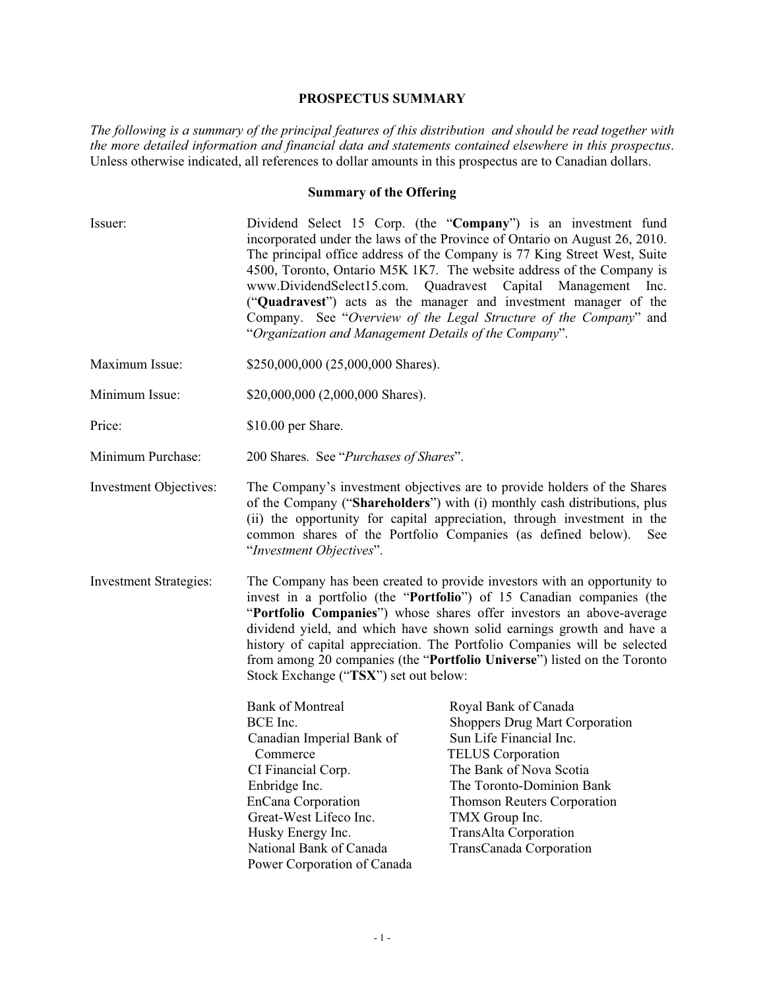#### **PROSPECTUS SUMMARY**

*The following is a summary of the principal features of this distribution and should be read together with the more detailed information and financial data and statements contained elsewhere in this prospectus*. Unless otherwise indicated, all references to dollar amounts in this prospectus are to Canadian dollars.

### **Summary of the Offering**

- Issuer: Dividend Select 15 Corp. (the "**Company**") is an investment fund incorporated under the laws of the Province of Ontario on August 26, 2010. The principal office address of the Company is 77 King Street West, Suite 4500, Toronto, Ontario M5K 1K7. The website address of the Company is www.DividendSelect15.com. Quadravest Capital Management Inc. ("**Quadravest**") acts as the manager and investment manager of the Company. See "*Overview of the Legal Structure of the Company*" and "*Organization and Management Details of the Company*".
- Maximum Issue: \$250,000,000 (25,000,000 Shares).
- Minimum Issue: \$20,000,000 (2,000,000 Shares).
- Price: \$10.00 per Share.

Minimum Purchase: 200 Shares. See "*Purchases of Shares*".

- Investment Objectives: The Company's investment objectives are to provide holders of the Shares of the Company ("**Shareholders**") with (i) monthly cash distributions, plus (ii) the opportunity for capital appreciation, through investment in the common shares of the Portfolio Companies (as defined below). See "*Investment Objectives*".
- Investment Strategies: The Company has been created to provide investors with an opportunity to invest in a portfolio (the "**Portfolio**") of 15 Canadian companies (the "**Portfolio Companies**") whose shares offer investors an above-average dividend yield, and which have shown solid earnings growth and have a history of capital appreciation. The Portfolio Companies will be selected from among 20 companies (the "**Portfolio Universe**") listed on the Toronto Stock Exchange ("**TSX**") set out below:

| <b>Bank of Montreal</b>     | Royal Bank of Canada                  |
|-----------------------------|---------------------------------------|
| BCE Inc.                    | <b>Shoppers Drug Mart Corporation</b> |
| Canadian Imperial Bank of   | Sun Life Financial Inc.               |
| Commerce                    | <b>TELUS</b> Corporation              |
| CI Financial Corp.          | The Bank of Nova Scotia               |
| Enbridge Inc.               | The Toronto-Dominion Bank             |
| EnCana Corporation          | <b>Thomson Reuters Corporation</b>    |
| Great-West Lifeco Inc.      | TMX Group Inc.                        |
| Husky Energy Inc.           | TransAlta Corporation                 |
| National Bank of Canada     | TransCanada Corporation               |
| Power Corporation of Canada |                                       |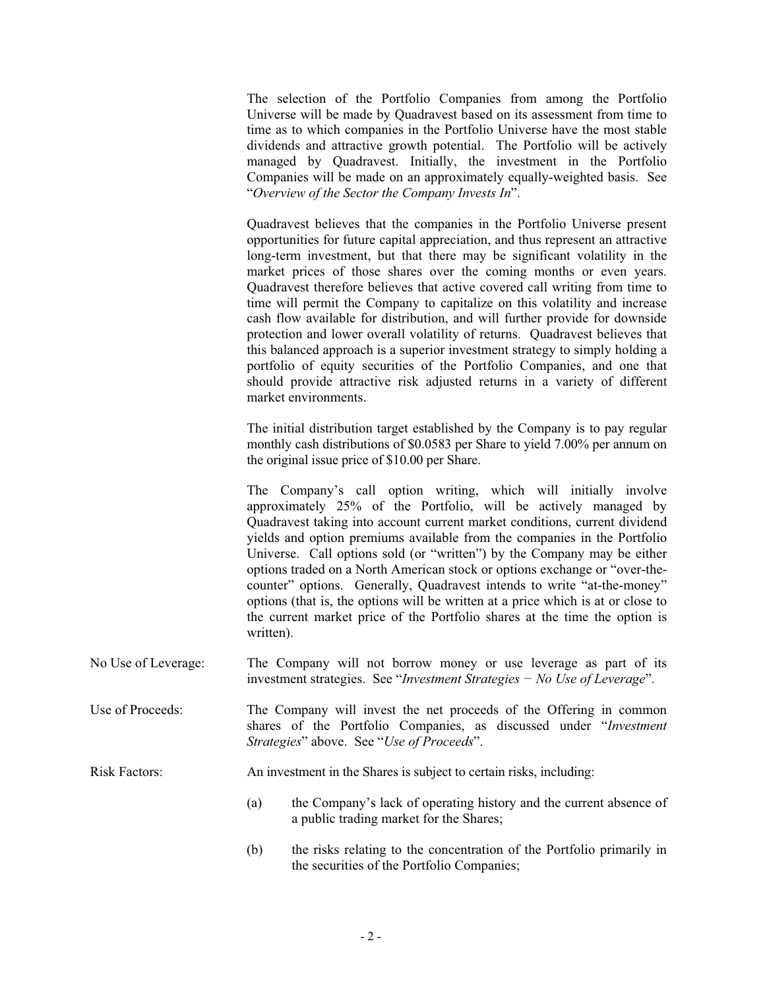The selection of the Portfolio Companies from among the Portfolio Universe will be made by Quadravest based on its assessment from time to time as to which companies in the Portfolio Universe have the most stable dividends and attractive growth potential. The Portfolio will be actively managed by Quadravest. Initially, the investment in the Portfolio Companies will be made on an approximately equally-weighted basis. See "*Overview of the Sector the Company Invests In*".

Quadravest believes that the companies in the Portfolio Universe present opportunities for future capital appreciation, and thus represent an attractive long-term investment, but that there may be significant volatility in the market prices of those shares over the coming months or even years. Quadravest therefore believes that active covered call writing from time to time will permit the Company to capitalize on this volatility and increase cash flow available for distribution, and will further provide for downside protection and lower overall volatility of returns. Quadravest believes that this balanced approach is a superior investment strategy to simply holding a portfolio of equity securities of the Portfolio Companies, and one that should provide attractive risk adjusted returns in a variety of different market environments.

The initial distribution target established by the Company is to pay regular monthly cash distributions of \$0.0583 per Share to yield 7.00% per annum on the original issue price of \$10.00 per Share.

The Company's call option writing, which will initially involve approximately 25% of the Portfolio, will be actively managed by Quadravest taking into account current market conditions, current dividend yields and option premiums available from the companies in the Portfolio Universe. Call options sold (or "written") by the Company may be either options traded on a North American stock or options exchange or "over-thecounter" options. Generally, Quadravest intends to write "at-the-money" options (that is, the options will be written at a price which is at or close to the current market price of the Portfolio shares at the time the option is written).

- No Use of Leverage: The Company will not borrow money or use leverage as part of its investment strategies. See "*Investment Strategies - No Use of Leverage*".
- Use of Proceeds: The Company will invest the net proceeds of the Offering in common shares of the Portfolio Companies, as discussed under "*Investment Strategies*" above. See "*Use of Proceeds*".

Risk Factors: An investment in the Shares is subject to certain risks, including:

- (a) the Company's lack of operating history and the current absence of a public trading market for the Shares;
- (b) the risks relating to the concentration of the Portfolio primarily in the securities of the Portfolio Companies;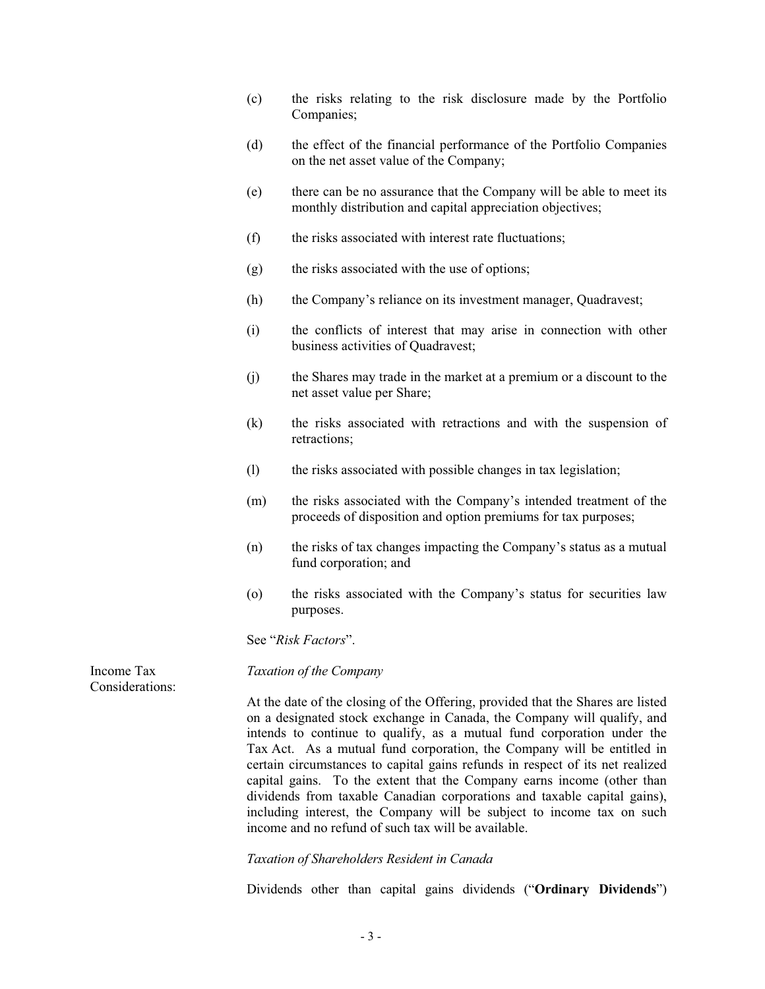- (c) the risks relating to the risk disclosure made by the Portfolio Companies;
- (d) the effect of the financial performance of the Portfolio Companies on the net asset value of the Company;
- (e) there can be no assurance that the Company will be able to meet its monthly distribution and capital appreciation objectives;
- (f) the risks associated with interest rate fluctuations;
- (g) the risks associated with the use of options;
- (h) the Company's reliance on its investment manager, Quadravest;
- (i) the conflicts of interest that may arise in connection with other business activities of Quadravest;
- (j) the Shares may trade in the market at a premium or a discount to the net asset value per Share;
- (k) the risks associated with retractions and with the suspension of retractions;
- (l) the risks associated with possible changes in tax legislation;
- (m) the risks associated with the Company's intended treatment of the proceeds of disposition and option premiums for tax purposes;
- (n) the risks of tax changes impacting the Company's status as a mutual fund corporation; and
- (o) the risks associated with the Company's status for securities law purposes.

See "*Risk Factors*".

*Taxation of the Company*

At the date of the closing of the Offering, provided that the Shares are listed on a designated stock exchange in Canada, the Company will qualify, and intends to continue to qualify, as a mutual fund corporation under the Tax Act. As a mutual fund corporation, the Company will be entitled in certain circumstances to capital gains refunds in respect of its net realized capital gains. To the extent that the Company earns income (other than dividends from taxable Canadian corporations and taxable capital gains), including interest, the Company will be subject to income tax on such income and no refund of such tax will be available.

*Taxation of Shareholders Resident in Canada* 

Dividends other than capital gains dividends ("**Ordinary Dividends**")

Income Tax Considerations: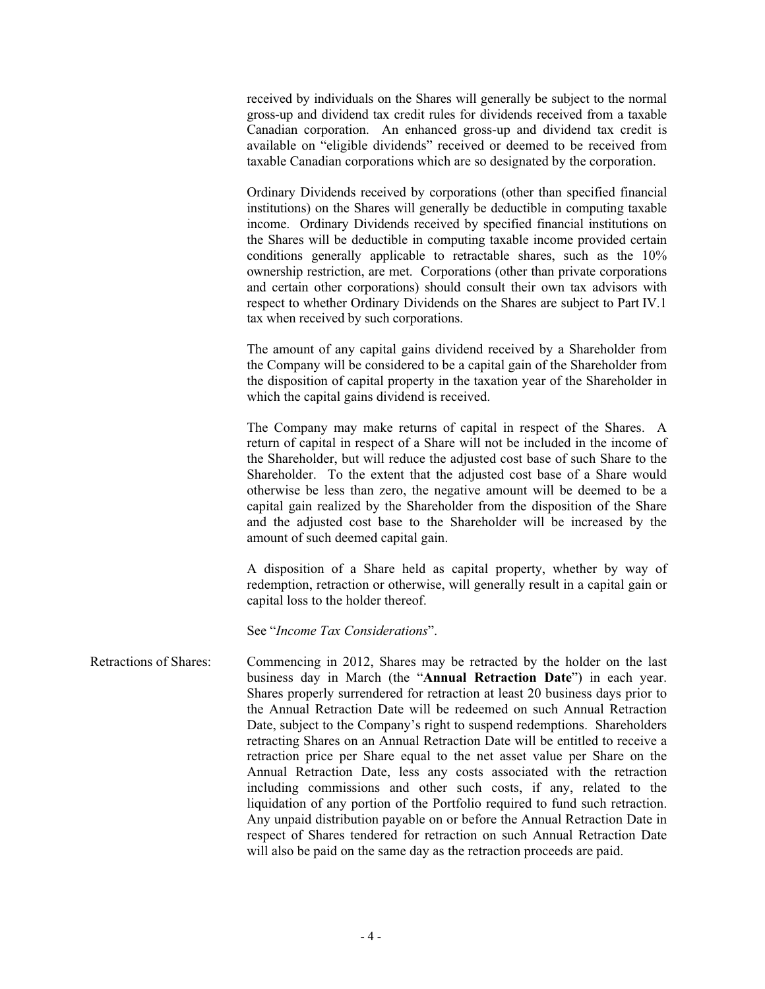received by individuals on the Shares will generally be subject to the normal gross-up and dividend tax credit rules for dividends received from a taxable Canadian corporation. An enhanced gross-up and dividend tax credit is available on "eligible dividends" received or deemed to be received from taxable Canadian corporations which are so designated by the corporation.

Ordinary Dividends received by corporations (other than specified financial institutions) on the Shares will generally be deductible in computing taxable income. Ordinary Dividends received by specified financial institutions on the Shares will be deductible in computing taxable income provided certain conditions generally applicable to retractable shares, such as the 10% ownership restriction, are met. Corporations (other than private corporations and certain other corporations) should consult their own tax advisors with respect to whether Ordinary Dividends on the Shares are subject to Part IV.1 tax when received by such corporations.

The amount of any capital gains dividend received by a Shareholder from the Company will be considered to be a capital gain of the Shareholder from the disposition of capital property in the taxation year of the Shareholder in which the capital gains dividend is received.

The Company may make returns of capital in respect of the Shares. A return of capital in respect of a Share will not be included in the income of the Shareholder, but will reduce the adjusted cost base of such Share to the Shareholder. To the extent that the adjusted cost base of a Share would otherwise be less than zero, the negative amount will be deemed to be a capital gain realized by the Shareholder from the disposition of the Share and the adjusted cost base to the Shareholder will be increased by the amount of such deemed capital gain.

A disposition of a Share held as capital property, whether by way of redemption, retraction or otherwise, will generally result in a capital gain or capital loss to the holder thereof.

See "*Income Tax Considerations*".

Retractions of Shares: Commencing in 2012, Shares may be retracted by the holder on the last business day in March (the "**Annual Retraction Date**") in each year. Shares properly surrendered for retraction at least 20 business days prior to the Annual Retraction Date will be redeemed on such Annual Retraction Date, subject to the Company's right to suspend redemptions. Shareholders retracting Shares on an Annual Retraction Date will be entitled to receive a retraction price per Share equal to the net asset value per Share on the Annual Retraction Date, less any costs associated with the retraction including commissions and other such costs, if any, related to the liquidation of any portion of the Portfolio required to fund such retraction. Any unpaid distribution payable on or before the Annual Retraction Date in respect of Shares tendered for retraction on such Annual Retraction Date will also be paid on the same day as the retraction proceeds are paid.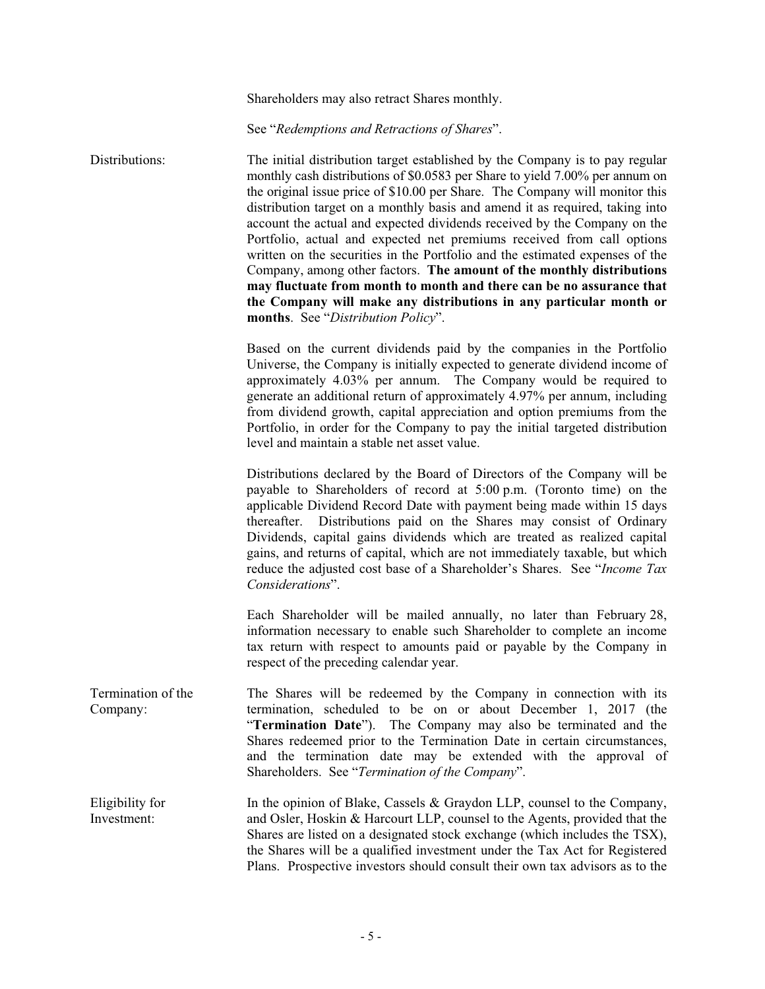Shareholders may also retract Shares monthly.

See "*Redemptions and Retractions of Shares*".

Distributions: The initial distribution target established by the Company is to pay regular monthly cash distributions of \$0.0583 per Share to yield 7.00% per annum on the original issue price of \$10.00 per Share. The Company will monitor this distribution target on a monthly basis and amend it as required, taking into account the actual and expected dividends received by the Company on the Portfolio, actual and expected net premiums received from call options written on the securities in the Portfolio and the estimated expenses of the Company, among other factors. **The amount of the monthly distributions may fluctuate from month to month and there can be no assurance that the Company will make any distributions in any particular month or months**. See "*Distribution Policy*".

> Based on the current dividends paid by the companies in the Portfolio Universe, the Company is initially expected to generate dividend income of approximately 4.03% per annum. The Company would be required to generate an additional return of approximately 4.97% per annum, including from dividend growth, capital appreciation and option premiums from the Portfolio, in order for the Company to pay the initial targeted distribution level and maintain a stable net asset value.

> Distributions declared by the Board of Directors of the Company will be payable to Shareholders of record at 5:00 p.m. (Toronto time) on the applicable Dividend Record Date with payment being made within 15 days thereafter. Distributions paid on the Shares may consist of Ordinary Dividends, capital gains dividends which are treated as realized capital gains, and returns of capital, which are not immediately taxable, but which reduce the adjusted cost base of a Shareholder's Shares. See "*Income Tax Considerations*".

> Each Shareholder will be mailed annually, no later than February 28, information necessary to enable such Shareholder to complete an income tax return with respect to amounts paid or payable by the Company in respect of the preceding calendar year.

Termination of the Company: The Shares will be redeemed by the Company in connection with its termination, scheduled to be on or about December 1, 2017 (the "**Termination Date**"). The Company may also be terminated and the Shares redeemed prior to the Termination Date in certain circumstances, and the termination date may be extended with the approval of Shareholders. See "*Termination of the Company*".

Eligibility for Investment: In the opinion of Blake, Cassels & Graydon LLP, counsel to the Company, and Osler, Hoskin & Harcourt LLP, counsel to the Agents, provided that the Shares are listed on a designated stock exchange (which includes the TSX), the Shares will be a qualified investment under the Tax Act for Registered Plans. Prospective investors should consult their own tax advisors as to the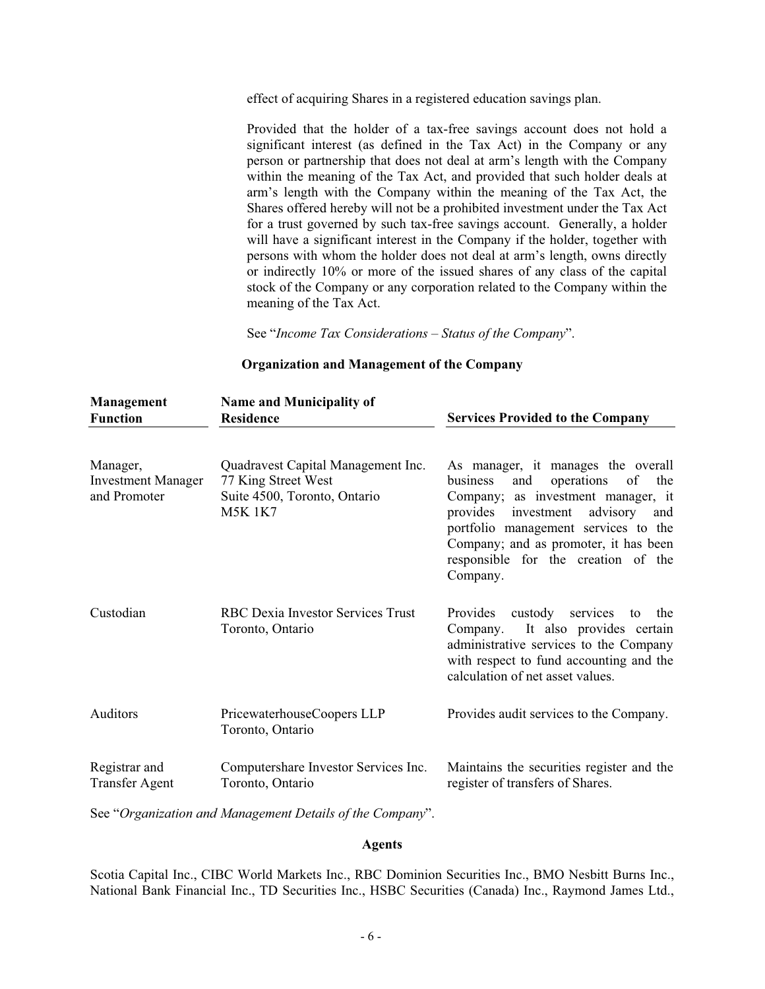effect of acquiring Shares in a registered education savings plan.

Provided that the holder of a tax-free savings account does not hold a significant interest (as defined in the Tax Act) in the Company or any person or partnership that does not deal at arm's length with the Company within the meaning of the Tax Act, and provided that such holder deals at arm's length with the Company within the meaning of the Tax Act, the Shares offered hereby will not be a prohibited investment under the Tax Act for a trust governed by such tax-free savings account. Generally, a holder will have a significant interest in the Company if the holder, together with persons with whom the holder does not deal at arm's length, owns directly or indirectly 10% or more of the issued shares of any class of the capital stock of the Company or any corporation related to the Company within the meaning of the Tax Act.

See "*Income Tax Considerations* – *Status of the Company*".

**Organization and Management of the Company** 

| Management<br><b>Function</b>                         | <b>Name and Municipality of</b><br><b>Residence</b>                                                         | <b>Services Provided to the Company</b>                                                                                                                                                                                                                                                                 |
|-------------------------------------------------------|-------------------------------------------------------------------------------------------------------------|---------------------------------------------------------------------------------------------------------------------------------------------------------------------------------------------------------------------------------------------------------------------------------------------------------|
| Manager,<br><b>Investment Manager</b><br>and Promoter | Quadravest Capital Management Inc.<br>77 King Street West<br>Suite 4500, Toronto, Ontario<br><b>M5K 1K7</b> | As manager, it manages the overall<br>operations<br>of<br>business<br>and<br>the<br>Company; as investment manager, it<br>advisory<br>provides<br>investment<br>and<br>portfolio management services to the<br>Company; and as promoter, it has been<br>responsible for the creation of the<br>Company. |
| Custodian                                             | <b>RBC Dexia Investor Services Trust</b><br>Toronto, Ontario                                                | custody<br>Provides<br>services<br>the<br>to<br>It also provides certain<br>Company.<br>administrative services to the Company<br>with respect to fund accounting and the<br>calculation of net asset values.                                                                                           |
| Auditors                                              | PricewaterhouseCoopers LLP<br>Toronto, Ontario                                                              | Provides audit services to the Company.                                                                                                                                                                                                                                                                 |
| Registrar and<br><b>Transfer Agent</b>                | Computershare Investor Services Inc.<br>Toronto, Ontario                                                    | Maintains the securities register and the<br>register of transfers of Shares.                                                                                                                                                                                                                           |

See "*Organization and Management Details of the Company*".

### **Agents**

Scotia Capital Inc., CIBC World Markets Inc., RBC Dominion Securities Inc., BMO Nesbitt Burns Inc., National Bank Financial Inc., TD Securities Inc., HSBC Securities (Canada) Inc., Raymond James Ltd.,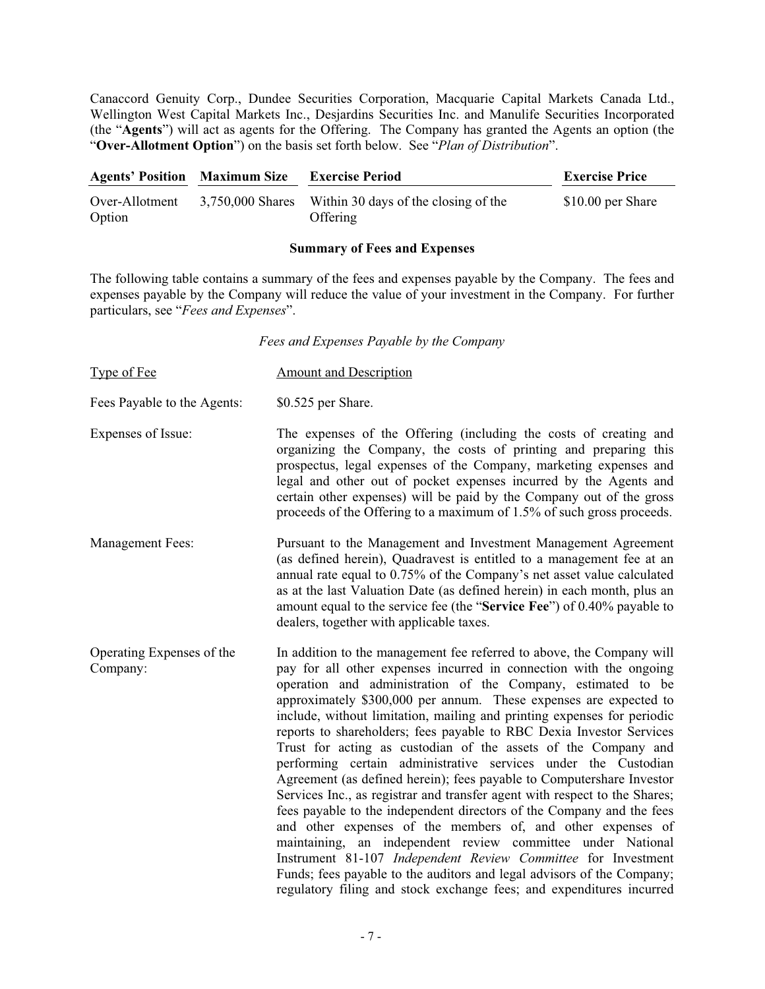Canaccord Genuity Corp., Dundee Securities Corporation, Macquarie Capital Markets Canada Ltd., Wellington West Capital Markets Inc., Desjardins Securities Inc. and Manulife Securities Incorporated (the "**Agents**") will act as agents for the Offering. The Company has granted the Agents an option (the "**Over-Allotment Option**") on the basis set forth below. See "*Plan of Distribution*".

| <b>Agents' Position</b> Maximum Size |                  | <b>Exercise Period</b>                           | <b>Exercise Price</b> |
|--------------------------------------|------------------|--------------------------------------------------|-----------------------|
| Over-Allotment<br>Option             | 3.750.000 Shares | Within 30 days of the closing of the<br>Offering | \$10.00 per Share     |

### **Summary of Fees and Expenses**

The following table contains a summary of the fees and expenses payable by the Company. The fees and expenses payable by the Company will reduce the value of your investment in the Company. For further particulars, see "*Fees and Expenses*".

*Fees and Expenses Payable by the Company* 

| <b>Type of Fee</b>                    | <b>Amount and Description</b>                                                                                                                                                                                                                                                                                                                                                                                                                                                                                                                                                                                                                                                                                                                                                                                                                                                                                                                                                                                                                                                                                                                            |
|---------------------------------------|----------------------------------------------------------------------------------------------------------------------------------------------------------------------------------------------------------------------------------------------------------------------------------------------------------------------------------------------------------------------------------------------------------------------------------------------------------------------------------------------------------------------------------------------------------------------------------------------------------------------------------------------------------------------------------------------------------------------------------------------------------------------------------------------------------------------------------------------------------------------------------------------------------------------------------------------------------------------------------------------------------------------------------------------------------------------------------------------------------------------------------------------------------|
| Fees Payable to the Agents:           | \$0.525 per Share.                                                                                                                                                                                                                                                                                                                                                                                                                                                                                                                                                                                                                                                                                                                                                                                                                                                                                                                                                                                                                                                                                                                                       |
| Expenses of Issue:                    | The expenses of the Offering (including the costs of creating and<br>organizing the Company, the costs of printing and preparing this<br>prospectus, legal expenses of the Company, marketing expenses and<br>legal and other out of pocket expenses incurred by the Agents and<br>certain other expenses) will be paid by the Company out of the gross<br>proceeds of the Offering to a maximum of 1.5% of such gross proceeds.                                                                                                                                                                                                                                                                                                                                                                                                                                                                                                                                                                                                                                                                                                                         |
| <b>Management Fees:</b>               | Pursuant to the Management and Investment Management Agreement<br>(as defined herein), Quadravest is entitled to a management fee at an<br>annual rate equal to 0.75% of the Company's net asset value calculated<br>as at the last Valuation Date (as defined herein) in each month, plus an<br>amount equal to the service fee (the "Service Fee") of 0.40% payable to<br>dealers, together with applicable taxes.                                                                                                                                                                                                                                                                                                                                                                                                                                                                                                                                                                                                                                                                                                                                     |
| Operating Expenses of the<br>Company: | In addition to the management fee referred to above, the Company will<br>pay for all other expenses incurred in connection with the ongoing<br>operation and administration of the Company, estimated to be<br>approximately \$300,000 per annum. These expenses are expected to<br>include, without limitation, mailing and printing expenses for periodic<br>reports to shareholders; fees payable to RBC Dexia Investor Services<br>Trust for acting as custodian of the assets of the Company and<br>performing certain administrative services under the Custodian<br>Agreement (as defined herein); fees payable to Computershare Investor<br>Services Inc., as registrar and transfer agent with respect to the Shares;<br>fees payable to the independent directors of the Company and the fees<br>and other expenses of the members of, and other expenses of<br>maintaining, an independent review committee under National<br>Instrument 81-107 Independent Review Committee for Investment<br>Funds; fees payable to the auditors and legal advisors of the Company;<br>regulatory filing and stock exchange fees; and expenditures incurred |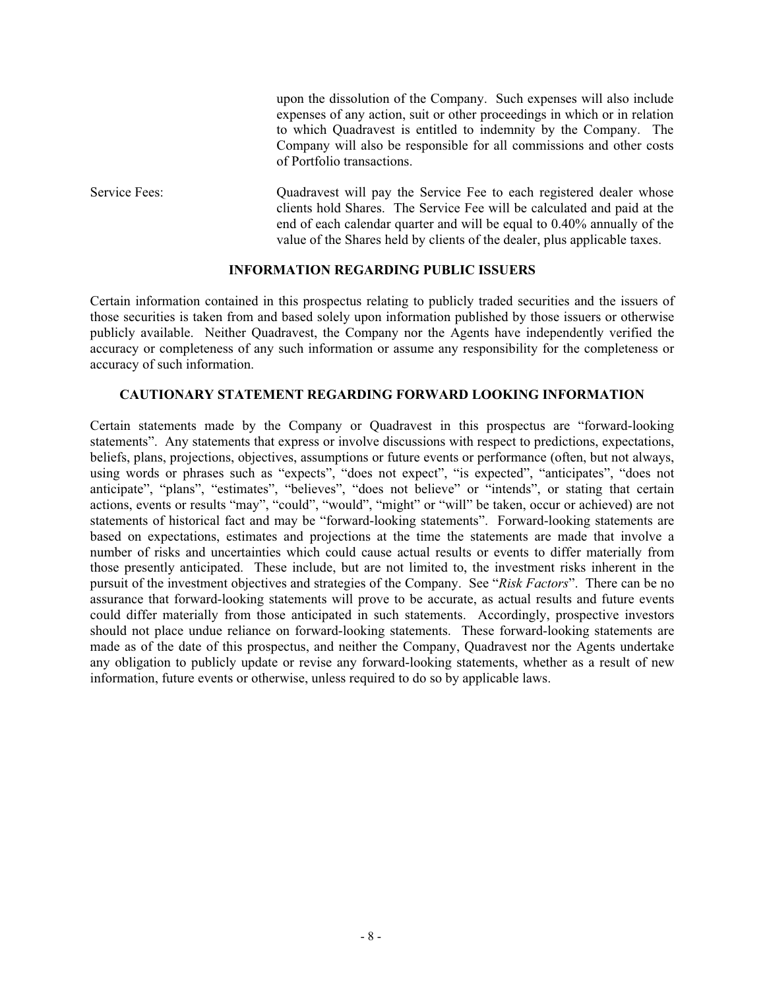upon the dissolution of the Company. Such expenses will also include expenses of any action, suit or other proceedings in which or in relation to which Quadravest is entitled to indemnity by the Company. The Company will also be responsible for all commissions and other costs of Portfolio transactions.

Service Fees: Quadravest will pay the Service Fee to each registered dealer whose clients hold Shares. The Service Fee will be calculated and paid at the end of each calendar quarter and will be equal to 0.40% annually of the value of the Shares held by clients of the dealer, plus applicable taxes.

### **INFORMATION REGARDING PUBLIC ISSUERS**

Certain information contained in this prospectus relating to publicly traded securities and the issuers of those securities is taken from and based solely upon information published by those issuers or otherwise publicly available. Neither Quadravest, the Company nor the Agents have independently verified the accuracy or completeness of any such information or assume any responsibility for the completeness or accuracy of such information.

### **CAUTIONARY STATEMENT REGARDING FORWARD LOOKING INFORMATION**

Certain statements made by the Company or Quadravest in this prospectus are "forward-looking statements". Any statements that express or involve discussions with respect to predictions, expectations, beliefs, plans, projections, objectives, assumptions or future events or performance (often, but not always, using words or phrases such as "expects", "does not expect", "is expected", "anticipates", "does not anticipate", "plans", "estimates", "believes", "does not believe" or "intends", or stating that certain actions, events or results "may", "could", "would", "might" or "will" be taken, occur or achieved) are not statements of historical fact and may be "forward-looking statements". Forward-looking statements are based on expectations, estimates and projections at the time the statements are made that involve a number of risks and uncertainties which could cause actual results or events to differ materially from those presently anticipated. These include, but are not limited to, the investment risks inherent in the pursuit of the investment objectives and strategies of the Company. See "*Risk Factors*". There can be no assurance that forward-looking statements will prove to be accurate, as actual results and future events could differ materially from those anticipated in such statements. Accordingly, prospective investors should not place undue reliance on forward-looking statements. These forward-looking statements are made as of the date of this prospectus, and neither the Company, Quadravest nor the Agents undertake any obligation to publicly update or revise any forward-looking statements, whether as a result of new information, future events or otherwise, unless required to do so by applicable laws.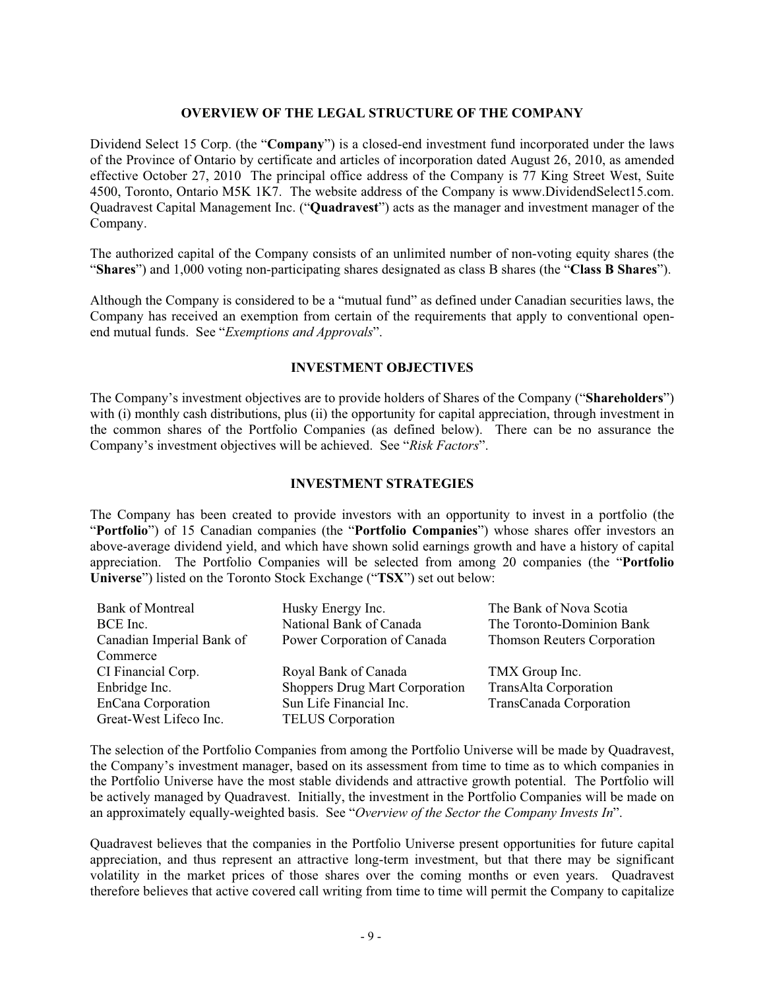## **OVERVIEW OF THE LEGAL STRUCTURE OF THE COMPANY**

Dividend Select 15 Corp. (the "**Company**") is a closed-end investment fund incorporated under the laws of the Province of Ontario by certificate and articles of incorporation dated August 26, 2010, as amended effective October 27, 2010 The principal office address of the Company is 77 King Street West, Suite 4500, Toronto, Ontario M5K 1K7. The website address of the Company is www.DividendSelect15.com. Quadravest Capital Management Inc. ("**Quadravest**") acts as the manager and investment manager of the Company.

The authorized capital of the Company consists of an unlimited number of non-voting equity shares (the "**Shares**") and 1,000 voting non-participating shares designated as class B shares (the "**Class B Shares**").

Although the Company is considered to be a "mutual fund" as defined under Canadian securities laws, the Company has received an exemption from certain of the requirements that apply to conventional openend mutual funds. See "*Exemptions and Approvals*".

### **INVESTMENT OBJECTIVES**

The Company's investment objectives are to provide holders of Shares of the Company ("**Shareholders**") with (i) monthly cash distributions, plus (ii) the opportunity for capital appreciation, through investment in the common shares of the Portfolio Companies (as defined below). There can be no assurance the Company's investment objectives will be achieved. See "*Risk Factors*".

### **INVESTMENT STRATEGIES**

The Company has been created to provide investors with an opportunity to invest in a portfolio (the "**Portfolio**") of 15 Canadian companies (the "**Portfolio Companies**") whose shares offer investors an above-average dividend yield, and which have shown solid earnings growth and have a history of capital appreciation. The Portfolio Companies will be selected from among 20 companies (the "**Portfolio Universe**") listed on the Toronto Stock Exchange ("**TSX**") set out below:

| <b>Bank of Montreal</b>   | Husky Energy Inc.                     | The Bank of Nova Scotia            |
|---------------------------|---------------------------------------|------------------------------------|
| BCE Inc.                  | National Bank of Canada               | The Toronto-Dominion Bank          |
| Canadian Imperial Bank of | Power Corporation of Canada           | <b>Thomson Reuters Corporation</b> |
| Commerce                  |                                       |                                    |
| CI Financial Corp.        | Royal Bank of Canada                  | TMX Group Inc.                     |
| Enbridge Inc.             | <b>Shoppers Drug Mart Corporation</b> | TransAlta Corporation              |
| EnCana Corporation        | Sun Life Financial Inc.               | TransCanada Corporation            |
| Great-West Lifeco Inc.    | <b>TELUS</b> Corporation              |                                    |

The selection of the Portfolio Companies from among the Portfolio Universe will be made by Quadravest, the Company's investment manager, based on its assessment from time to time as to which companies in the Portfolio Universe have the most stable dividends and attractive growth potential. The Portfolio will be actively managed by Quadravest. Initially, the investment in the Portfolio Companies will be made on an approximately equally-weighted basis. See "*Overview of the Sector the Company Invests In*".

Quadravest believes that the companies in the Portfolio Universe present opportunities for future capital appreciation, and thus represent an attractive long-term investment, but that there may be significant volatility in the market prices of those shares over the coming months or even years. Quadravest therefore believes that active covered call writing from time to time will permit the Company to capitalize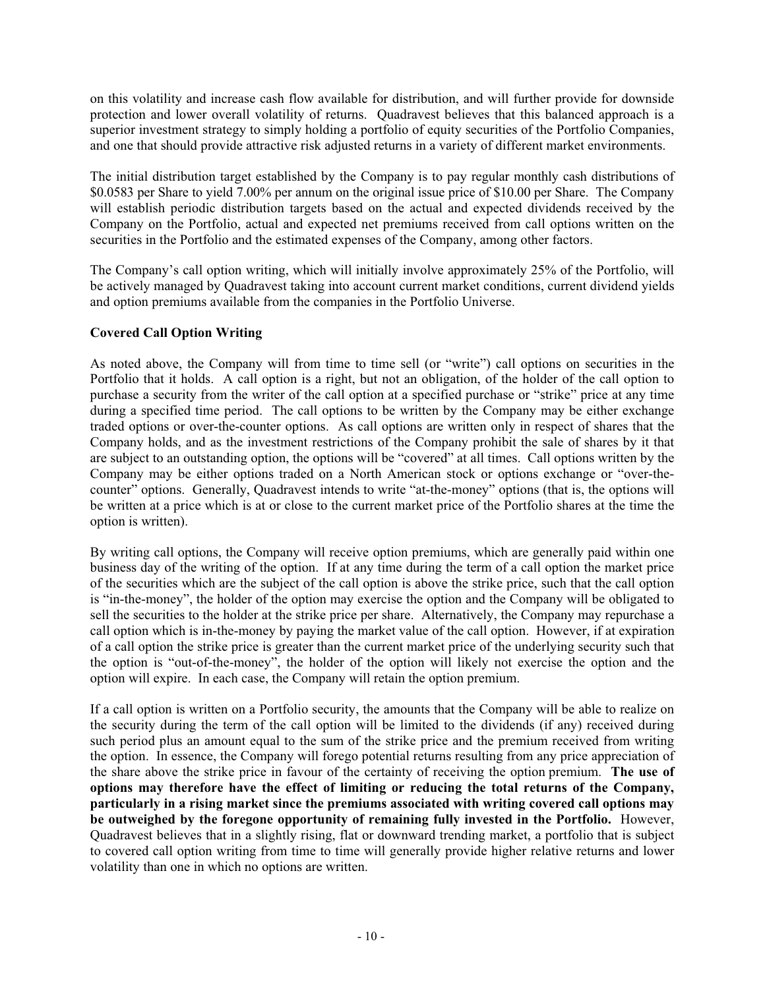on this volatility and increase cash flow available for distribution, and will further provide for downside protection and lower overall volatility of returns. Quadravest believes that this balanced approach is a superior investment strategy to simply holding a portfolio of equity securities of the Portfolio Companies, and one that should provide attractive risk adjusted returns in a variety of different market environments.

The initial distribution target established by the Company is to pay regular monthly cash distributions of \$0.0583 per Share to yield 7.00% per annum on the original issue price of \$10.00 per Share. The Company will establish periodic distribution targets based on the actual and expected dividends received by the Company on the Portfolio, actual and expected net premiums received from call options written on the securities in the Portfolio and the estimated expenses of the Company, among other factors.

The Company's call option writing, which will initially involve approximately 25% of the Portfolio, will be actively managed by Quadravest taking into account current market conditions, current dividend yields and option premiums available from the companies in the Portfolio Universe.

## **Covered Call Option Writing**

As noted above, the Company will from time to time sell (or "write") call options on securities in the Portfolio that it holds. A call option is a right, but not an obligation, of the holder of the call option to purchase a security from the writer of the call option at a specified purchase or "strike" price at any time during a specified time period. The call options to be written by the Company may be either exchange traded options or over-the-counter options. As call options are written only in respect of shares that the Company holds, and as the investment restrictions of the Company prohibit the sale of shares by it that are subject to an outstanding option, the options will be "covered" at all times. Call options written by the Company may be either options traded on a North American stock or options exchange or "over-thecounter" options. Generally, Quadravest intends to write "at-the-money" options (that is, the options will be written at a price which is at or close to the current market price of the Portfolio shares at the time the option is written).

By writing call options, the Company will receive option premiums, which are generally paid within one business day of the writing of the option. If at any time during the term of a call option the market price of the securities which are the subject of the call option is above the strike price, such that the call option is "in-the-money", the holder of the option may exercise the option and the Company will be obligated to sell the securities to the holder at the strike price per share. Alternatively, the Company may repurchase a call option which is in-the-money by paying the market value of the call option. However, if at expiration of a call option the strike price is greater than the current market price of the underlying security such that the option is "out-of-the-money", the holder of the option will likely not exercise the option and the option will expire. In each case, the Company will retain the option premium.

If a call option is written on a Portfolio security, the amounts that the Company will be able to realize on the security during the term of the call option will be limited to the dividends (if any) received during such period plus an amount equal to the sum of the strike price and the premium received from writing the option. In essence, the Company will forego potential returns resulting from any price appreciation of the share above the strike price in favour of the certainty of receiving the option premium. **The use of options may therefore have the effect of limiting or reducing the total returns of the Company, particularly in a rising market since the premiums associated with writing covered call options may be outweighed by the foregone opportunity of remaining fully invested in the Portfolio.** However, Quadravest believes that in a slightly rising, flat or downward trending market, a portfolio that is subject to covered call option writing from time to time will generally provide higher relative returns and lower volatility than one in which no options are written.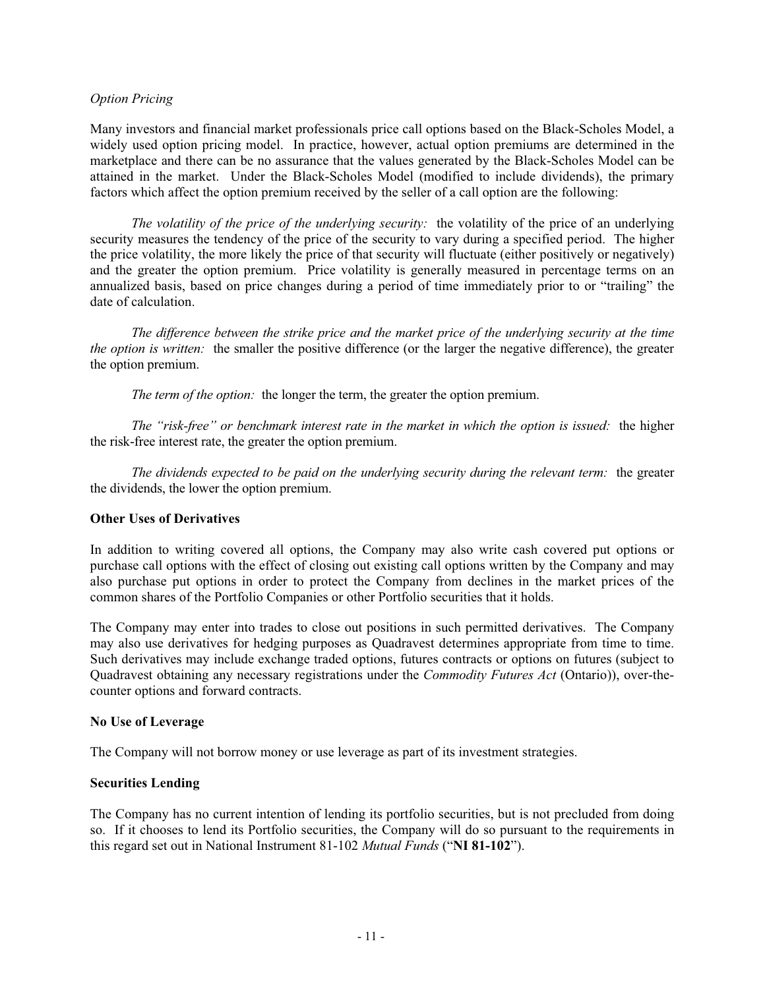### *Option Pricing*

Many investors and financial market professionals price call options based on the Black-Scholes Model, a widely used option pricing model. In practice, however, actual option premiums are determined in the marketplace and there can be no assurance that the values generated by the Black-Scholes Model can be attained in the market. Under the Black-Scholes Model (modified to include dividends), the primary factors which affect the option premium received by the seller of a call option are the following:

*The volatility of the price of the underlying security:* the volatility of the price of an underlying security measures the tendency of the price of the security to vary during a specified period. The higher the price volatility, the more likely the price of that security will fluctuate (either positively or negatively) and the greater the option premium. Price volatility is generally measured in percentage terms on an annualized basis, based on price changes during a period of time immediately prior to or "trailing" the date of calculation.

*The difference between the strike price and the market price of the underlying security at the time the option is written:* the smaller the positive difference (or the larger the negative difference), the greater the option premium.

*The term of the option:* the longer the term, the greater the option premium.

*The "risk-free" or benchmark interest rate in the market in which the option is issued:* the higher the risk-free interest rate, the greater the option premium.

*The dividends expected to be paid on the underlying security during the relevant term:* the greater the dividends, the lower the option premium.

### **Other Uses of Derivatives**

In addition to writing covered all options, the Company may also write cash covered put options or purchase call options with the effect of closing out existing call options written by the Company and may also purchase put options in order to protect the Company from declines in the market prices of the common shares of the Portfolio Companies or other Portfolio securities that it holds.

The Company may enter into trades to close out positions in such permitted derivatives. The Company may also use derivatives for hedging purposes as Quadravest determines appropriate from time to time. Such derivatives may include exchange traded options, futures contracts or options on futures (subject to Quadravest obtaining any necessary registrations under the *Commodity Futures Act* (Ontario)), over-thecounter options and forward contracts.

#### **No Use of Leverage**

The Company will not borrow money or use leverage as part of its investment strategies.

### **Securities Lending**

The Company has no current intention of lending its portfolio securities, but is not precluded from doing so. If it chooses to lend its Portfolio securities, the Company will do so pursuant to the requirements in this regard set out in National Instrument 81-102 *Mutual Funds* ("**NI 81-102**").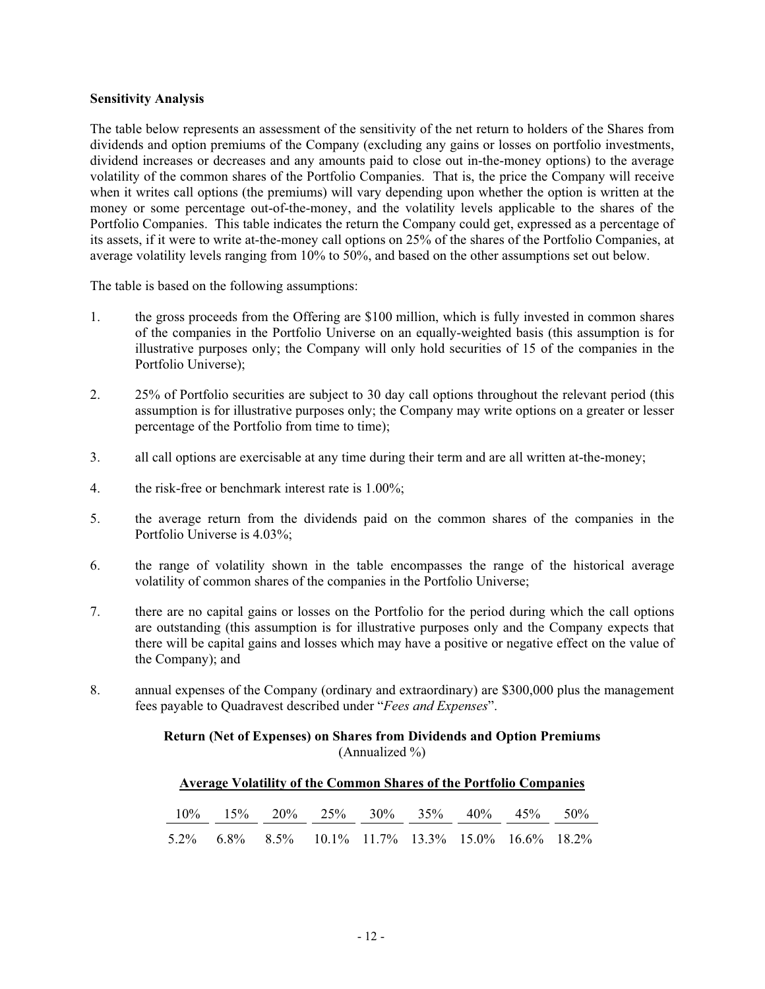### **Sensitivity Analysis**

The table below represents an assessment of the sensitivity of the net return to holders of the Shares from dividends and option premiums of the Company (excluding any gains or losses on portfolio investments, dividend increases or decreases and any amounts paid to close out in-the-money options) to the average volatility of the common shares of the Portfolio Companies. That is, the price the Company will receive when it writes call options (the premiums) will vary depending upon whether the option is written at the money or some percentage out-of-the-money, and the volatility levels applicable to the shares of the Portfolio Companies. This table indicates the return the Company could get, expressed as a percentage of its assets, if it were to write at-the-money call options on 25% of the shares of the Portfolio Companies, at average volatility levels ranging from 10% to 50%, and based on the other assumptions set out below.

The table is based on the following assumptions:

- 1. the gross proceeds from the Offering are \$100 million, which is fully invested in common shares of the companies in the Portfolio Universe on an equally-weighted basis (this assumption is for illustrative purposes only; the Company will only hold securities of 15 of the companies in the Portfolio Universe);
- 2. 25% of Portfolio securities are subject to 30 day call options throughout the relevant period (this assumption is for illustrative purposes only; the Company may write options on a greater or lesser percentage of the Portfolio from time to time);
- 3. all call options are exercisable at any time during their term and are all written at-the-money;
- 4. the risk-free or benchmark interest rate is 1.00%;
- 5. the average return from the dividends paid on the common shares of the companies in the Portfolio Universe is 4.03%;
- 6. the range of volatility shown in the table encompasses the range of the historical average volatility of common shares of the companies in the Portfolio Universe;
- 7. there are no capital gains or losses on the Portfolio for the period during which the call options are outstanding (this assumption is for illustrative purposes only and the Company expects that there will be capital gains and losses which may have a positive or negative effect on the value of the Company); and
- 8. annual expenses of the Company (ordinary and extraordinary) are \$300,000 plus the management fees payable to Quadravest described under "*Fees and Expenses*".

### **Return (Net of Expenses) on Shares from Dividends and Option Premiums**  (Annualized %)

## **Average Volatility of the Common Shares of the Portfolio Companies**

|  | $10\%$ $15\%$ $20\%$ $25\%$ $30\%$ $35\%$ $40\%$ $45\%$ $50\%$ |  |  |  |
|--|----------------------------------------------------------------|--|--|--|
|  | 5.2\% 6.8\% 8.5\% 10.1\% 11.7\% 13.3\% 15.0\% 16.6\% 18.2\%    |  |  |  |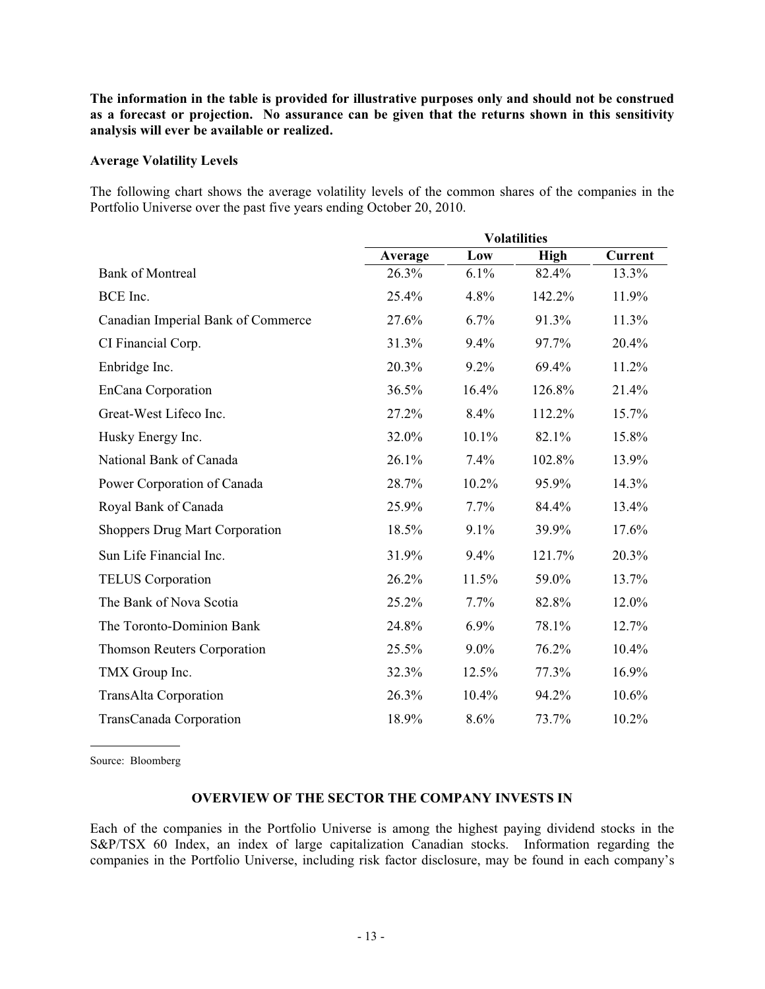**The information in the table is provided for illustrative purposes only and should not be construed as a forecast or projection. No assurance can be given that the returns shown in this sensitivity analysis will ever be available or realized.** 

### **Average Volatility Levels**

The following chart shows the average volatility levels of the common shares of the companies in the Portfolio Universe over the past five years ending October 20, 2010.

|                                       | <b>Volatilities</b> |         |             |                |  |
|---------------------------------------|---------------------|---------|-------------|----------------|--|
|                                       | Average             | Low     | <b>High</b> | <b>Current</b> |  |
| <b>Bank of Montreal</b>               | 26.3%               | 6.1%    | 82.4%       | 13.3%          |  |
| BCE Inc.                              | 25.4%               | 4.8%    | 142.2%      | 11.9%          |  |
| Canadian Imperial Bank of Commerce    | 27.6%               | 6.7%    | 91.3%       | 11.3%          |  |
| CI Financial Corp.                    | 31.3%               | 9.4%    | 97.7%       | 20.4%          |  |
| Enbridge Inc.                         | 20.3%               | 9.2%    | 69.4%       | 11.2%          |  |
| EnCana Corporation                    | 36.5%               | 16.4%   | 126.8%      | 21.4%          |  |
| Great-West Lifeco Inc.                | 27.2%               | 8.4%    | 112.2%      | 15.7%          |  |
| Husky Energy Inc.                     | 32.0%               | 10.1%   | 82.1%       | 15.8%          |  |
| National Bank of Canada               | 26.1%               | 7.4%    | 102.8%      | 13.9%          |  |
| Power Corporation of Canada           | 28.7%               | 10.2%   | 95.9%       | 14.3%          |  |
| Royal Bank of Canada                  | 25.9%               | 7.7%    | 84.4%       | 13.4%          |  |
| <b>Shoppers Drug Mart Corporation</b> | 18.5%               | 9.1%    | 39.9%       | 17.6%          |  |
| Sun Life Financial Inc.               | 31.9%               | 9.4%    | 121.7%      | 20.3%          |  |
| <b>TELUS</b> Corporation              | 26.2%               | 11.5%   | 59.0%       | 13.7%          |  |
| The Bank of Nova Scotia               | 25.2%               | 7.7%    | 82.8%       | 12.0%          |  |
| The Toronto-Dominion Bank             | 24.8%               | 6.9%    | 78.1%       | 12.7%          |  |
| Thomson Reuters Corporation           | 25.5%               | $9.0\%$ | 76.2%       | 10.4%          |  |
| TMX Group Inc.                        | 32.3%               | 12.5%   | 77.3%       | 16.9%          |  |
| TransAlta Corporation                 | 26.3%               | 10.4%   | 94.2%       | 10.6%          |  |
| TransCanada Corporation               | 18.9%               | 8.6%    | 73.7%       | 10.2%          |  |

Source: Bloomberg

### **OVERVIEW OF THE SECTOR THE COMPANY INVESTS IN**

Each of the companies in the Portfolio Universe is among the highest paying dividend stocks in the S&P/TSX 60 Index, an index of large capitalization Canadian stocks. Information regarding the companies in the Portfolio Universe, including risk factor disclosure, may be found in each company's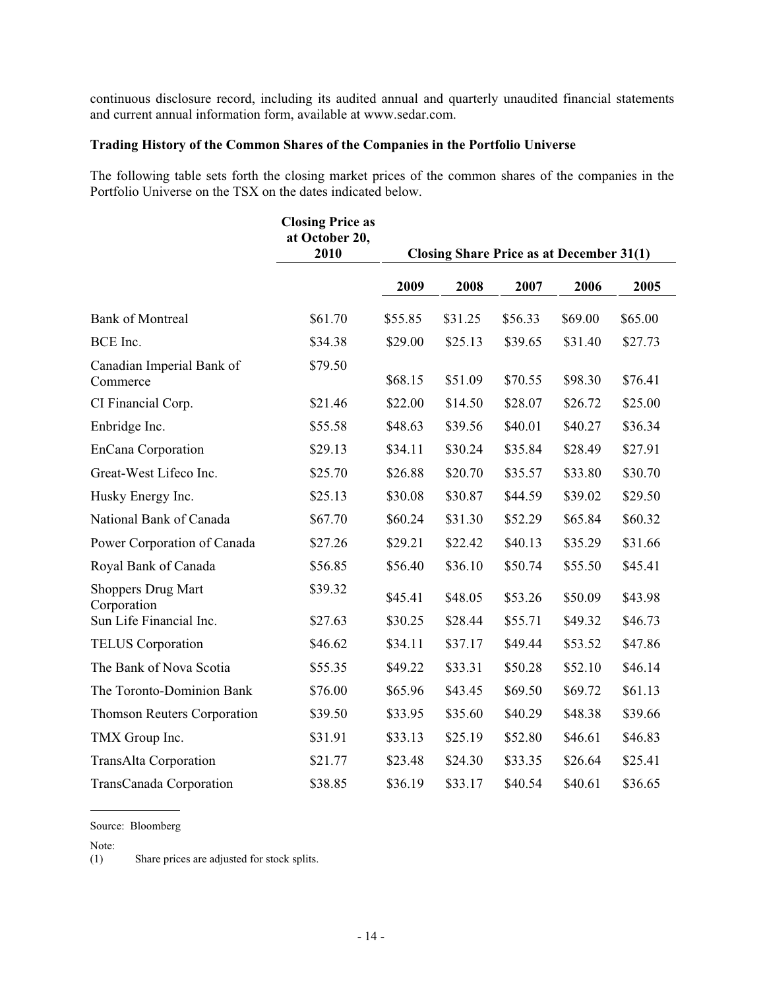continuous disclosure record, including its audited annual and quarterly unaudited financial statements and current annual information form, available at www.sedar.com.

### **Trading History of the Common Shares of the Companies in the Portfolio Universe**

The following table sets forth the closing market prices of the common shares of the companies in the Portfolio Universe on the TSX on the dates indicated below.

|                                          | <b>Closing Price as</b><br>at October 20,<br>2010 | <b>Closing Share Price as at December 31(1)</b> |         |         |         |         |
|------------------------------------------|---------------------------------------------------|-------------------------------------------------|---------|---------|---------|---------|
|                                          |                                                   | 2009                                            | 2008    | 2007    | 2006    | 2005    |
| <b>Bank of Montreal</b>                  | \$61.70                                           | \$55.85                                         | \$31.25 | \$56.33 | \$69.00 | \$65.00 |
| BCE Inc.                                 | \$34.38                                           | \$29.00                                         | \$25.13 | \$39.65 | \$31.40 | \$27.73 |
| Canadian Imperial Bank of<br>Commerce    | \$79.50                                           | \$68.15                                         | \$51.09 | \$70.55 | \$98.30 | \$76.41 |
| CI Financial Corp.                       | \$21.46                                           | \$22.00                                         | \$14.50 | \$28.07 | \$26.72 | \$25.00 |
| Enbridge Inc.                            | \$55.58                                           | \$48.63                                         | \$39.56 | \$40.01 | \$40.27 | \$36.34 |
| EnCana Corporation                       | \$29.13                                           | \$34.11                                         | \$30.24 | \$35.84 | \$28.49 | \$27.91 |
| Great-West Lifeco Inc.                   | \$25.70                                           | \$26.88                                         | \$20.70 | \$35.57 | \$33.80 | \$30.70 |
| Husky Energy Inc.                        | \$25.13                                           | \$30.08                                         | \$30.87 | \$44.59 | \$39.02 | \$29.50 |
| National Bank of Canada                  | \$67.70                                           | \$60.24                                         | \$31.30 | \$52.29 | \$65.84 | \$60.32 |
| Power Corporation of Canada              | \$27.26                                           | \$29.21                                         | \$22.42 | \$40.13 | \$35.29 | \$31.66 |
| Royal Bank of Canada                     | \$56.85                                           | \$56.40                                         | \$36.10 | \$50.74 | \$55.50 | \$45.41 |
| <b>Shoppers Drug Mart</b><br>Corporation | \$39.32                                           | \$45.41                                         | \$48.05 | \$53.26 | \$50.09 | \$43.98 |
| Sun Life Financial Inc.                  | \$27.63                                           | \$30.25                                         | \$28.44 | \$55.71 | \$49.32 | \$46.73 |
| <b>TELUS</b> Corporation                 | \$46.62                                           | \$34.11                                         | \$37.17 | \$49.44 | \$53.52 | \$47.86 |
| The Bank of Nova Scotia                  | \$55.35                                           | \$49.22                                         | \$33.31 | \$50.28 | \$52.10 | \$46.14 |
| The Toronto-Dominion Bank                | \$76.00                                           | \$65.96                                         | \$43.45 | \$69.50 | \$69.72 | \$61.13 |
| Thomson Reuters Corporation              | \$39.50                                           | \$33.95                                         | \$35.60 | \$40.29 | \$48.38 | \$39.66 |
| TMX Group Inc.                           | \$31.91                                           | \$33.13                                         | \$25.19 | \$52.80 | \$46.61 | \$46.83 |
| TransAlta Corporation                    | \$21.77                                           | \$23.48                                         | \$24.30 | \$33.35 | \$26.64 | \$25.41 |
| TransCanada Corporation                  | \$38.85                                           | \$36.19                                         | \$33.17 | \$40.54 | \$40.61 | \$36.65 |

Source: Bloomberg

Note:<br> $(1)$ Share prices are adjusted for stock splits.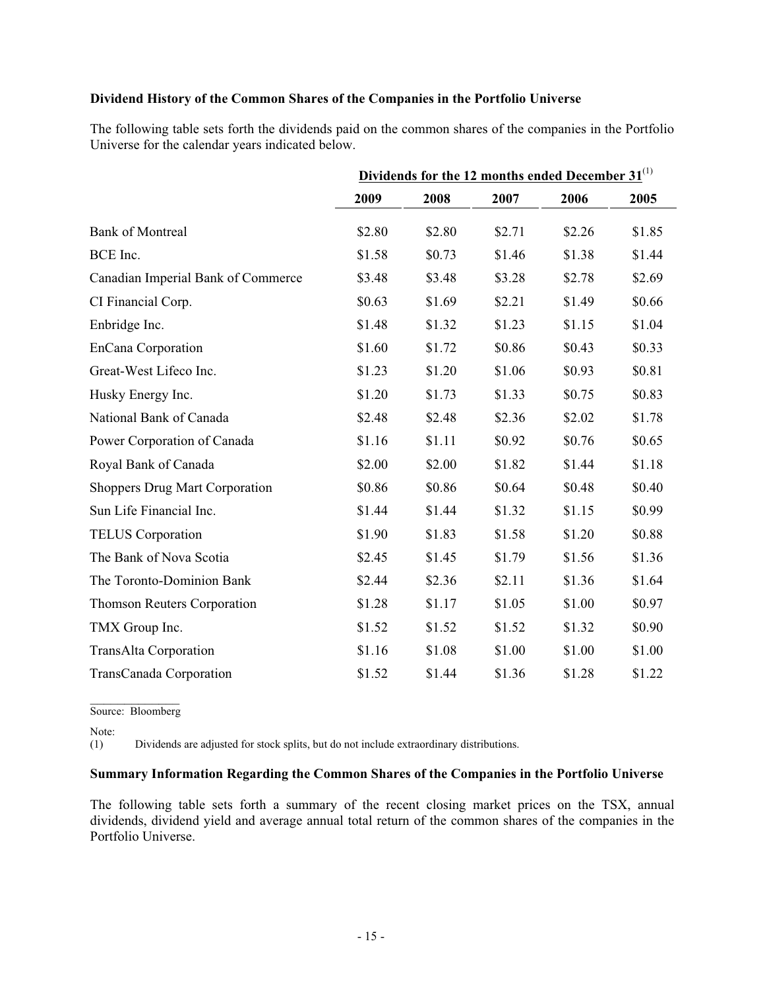### **Dividend History of the Common Shares of the Companies in the Portfolio Universe**

The following table sets forth the dividends paid on the common shares of the companies in the Portfolio Universe for the calendar years indicated below.

|                                       | Dividends for the 12 months ended December $31^{(1)}$ |        |        |        |        |
|---------------------------------------|-------------------------------------------------------|--------|--------|--------|--------|
|                                       | 2009                                                  | 2008   | 2007   | 2006   | 2005   |
| <b>Bank of Montreal</b>               | \$2.80                                                | \$2.80 | \$2.71 | \$2.26 | \$1.85 |
| BCE Inc.                              | \$1.58                                                | \$0.73 | \$1.46 | \$1.38 | \$1.44 |
| Canadian Imperial Bank of Commerce    | \$3.48                                                | \$3.48 | \$3.28 | \$2.78 | \$2.69 |
| CI Financial Corp.                    | \$0.63                                                | \$1.69 | \$2.21 | \$1.49 | \$0.66 |
| Enbridge Inc.                         | \$1.48                                                | \$1.32 | \$1.23 | \$1.15 | \$1.04 |
| EnCana Corporation                    | \$1.60                                                | \$1.72 | \$0.86 | \$0.43 | \$0.33 |
| Great-West Lifeco Inc.                | \$1.23                                                | \$1.20 | \$1.06 | \$0.93 | \$0.81 |
| Husky Energy Inc.                     | \$1.20                                                | \$1.73 | \$1.33 | \$0.75 | \$0.83 |
| National Bank of Canada               | \$2.48                                                | \$2.48 | \$2.36 | \$2.02 | \$1.78 |
| Power Corporation of Canada           | \$1.16                                                | \$1.11 | \$0.92 | \$0.76 | \$0.65 |
| Royal Bank of Canada                  | \$2.00                                                | \$2.00 | \$1.82 | \$1.44 | \$1.18 |
| <b>Shoppers Drug Mart Corporation</b> | \$0.86                                                | \$0.86 | \$0.64 | \$0.48 | \$0.40 |
| Sun Life Financial Inc.               | \$1.44                                                | \$1.44 | \$1.32 | \$1.15 | \$0.99 |
| <b>TELUS</b> Corporation              | \$1.90                                                | \$1.83 | \$1.58 | \$1.20 | \$0.88 |
| The Bank of Nova Scotia               | \$2.45                                                | \$1.45 | \$1.79 | \$1.56 | \$1.36 |
| The Toronto-Dominion Bank             | \$2.44                                                | \$2.36 | \$2.11 | \$1.36 | \$1.64 |
| <b>Thomson Reuters Corporation</b>    | \$1.28                                                | \$1.17 | \$1.05 | \$1.00 | \$0.97 |
| TMX Group Inc.                        | \$1.52                                                | \$1.52 | \$1.52 | \$1.32 | \$0.90 |
| <b>TransAlta Corporation</b>          | \$1.16                                                | \$1.08 | \$1.00 | \$1.00 | \$1.00 |
| TransCanada Corporation               | \$1.52                                                | \$1.44 | \$1.36 | \$1.28 | \$1.22 |

 $\overline{\phantom{a}}$  , where  $\overline{\phantom{a}}$ Source: Bloomberg

Note:

(1) Dividends are adjusted for stock splits, but do not include extraordinary distributions.

### **Summary Information Regarding the Common Shares of the Companies in the Portfolio Universe**

The following table sets forth a summary of the recent closing market prices on the TSX, annual dividends, dividend yield and average annual total return of the common shares of the companies in the Portfolio Universe.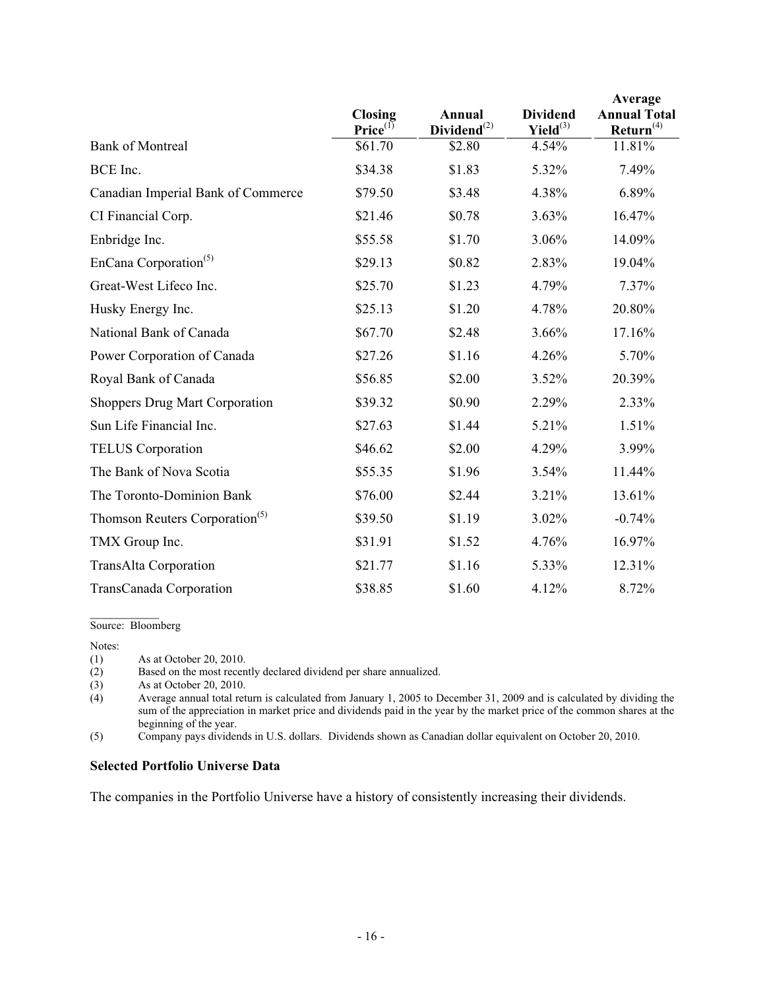|                                            | <b>Closing</b><br>$Price^{(1)}$ | Annual<br>$Dividend^{(2)}$ | <b>Dividend</b><br>$Yield^{(3)}$ | Average<br><b>Annual Total</b><br>Return <sup>(4)</sup> |
|--------------------------------------------|---------------------------------|----------------------------|----------------------------------|---------------------------------------------------------|
| <b>Bank of Montreal</b>                    | \$61.70                         | \$2.80                     | 4.54%                            | 11.81%                                                  |
| BCE Inc.                                   | \$34.38                         | \$1.83                     | 5.32%                            | 7.49%                                                   |
| Canadian Imperial Bank of Commerce         | \$79.50                         | \$3.48                     | 4.38%                            | 6.89%                                                   |
| CI Financial Corp.                         | \$21.46                         | \$0.78                     | 3.63%                            | 16.47%                                                  |
| Enbridge Inc.                              | \$55.58                         | \$1.70                     | 3.06%                            | 14.09%                                                  |
| EnCana Corporation <sup>(5)</sup>          | \$29.13                         | \$0.82                     | 2.83%                            | 19.04%                                                  |
| Great-West Lifeco Inc.                     | \$25.70                         | \$1.23                     | 4.79%                            | 7.37%                                                   |
| Husky Energy Inc.                          | \$25.13                         | \$1.20                     | 4.78%                            | 20.80%                                                  |
| National Bank of Canada                    | \$67.70                         | \$2.48                     | 3.66%                            | 17.16%                                                  |
| Power Corporation of Canada                | \$27.26                         | \$1.16                     | 4.26%                            | 5.70%                                                   |
| Royal Bank of Canada                       | \$56.85                         | \$2.00                     | 3.52%                            | 20.39%                                                  |
| <b>Shoppers Drug Mart Corporation</b>      | \$39.32                         | \$0.90                     | 2.29%                            | 2.33%                                                   |
| Sun Life Financial Inc.                    | \$27.63                         | \$1.44                     | 5.21%                            | 1.51%                                                   |
| <b>TELUS</b> Corporation                   | \$46.62                         | \$2.00                     | 4.29%                            | 3.99%                                                   |
| The Bank of Nova Scotia                    | \$55.35                         | \$1.96                     | 3.54%                            | 11.44%                                                  |
| The Toronto-Dominion Bank                  | \$76.00                         | \$2.44                     | 3.21%                            | 13.61%                                                  |
| Thomson Reuters Corporation <sup>(5)</sup> | \$39.50                         | \$1.19                     | 3.02%                            | $-0.74%$                                                |
| TMX Group Inc.                             | \$31.91                         | \$1.52                     | 4.76%                            | 16.97%                                                  |
| TransAlta Corporation                      | \$21.77                         | \$1.16                     | 5.33%                            | 12.31%                                                  |
| TransCanada Corporation                    | \$38.85                         | \$1.60                     | 4.12%                            | 8.72%                                                   |

 $\frac{1}{2}$ Source: Bloomberg

Notes:

Based on the most recently declared dividend per share annualized.

(1) As at October 20, 2010.<br>
(2) Based on the most recen<br>
(3) As at October 20, 2010. (3) As at October 20, 2010.<br>(4) Average annual total ret

Average annual total return is calculated from January 1, 2005 to December 31, 2009 and is calculated by dividing the sum of the appreciation in market price and dividends paid in the year by the market price of the common shares at the beginning of the year.

(5) Company pays dividends in U.S. dollars. Dividends shown as Canadian dollar equivalent on October 20, 2010.

### **Selected Portfolio Universe Data**

The companies in the Portfolio Universe have a history of consistently increasing their dividends.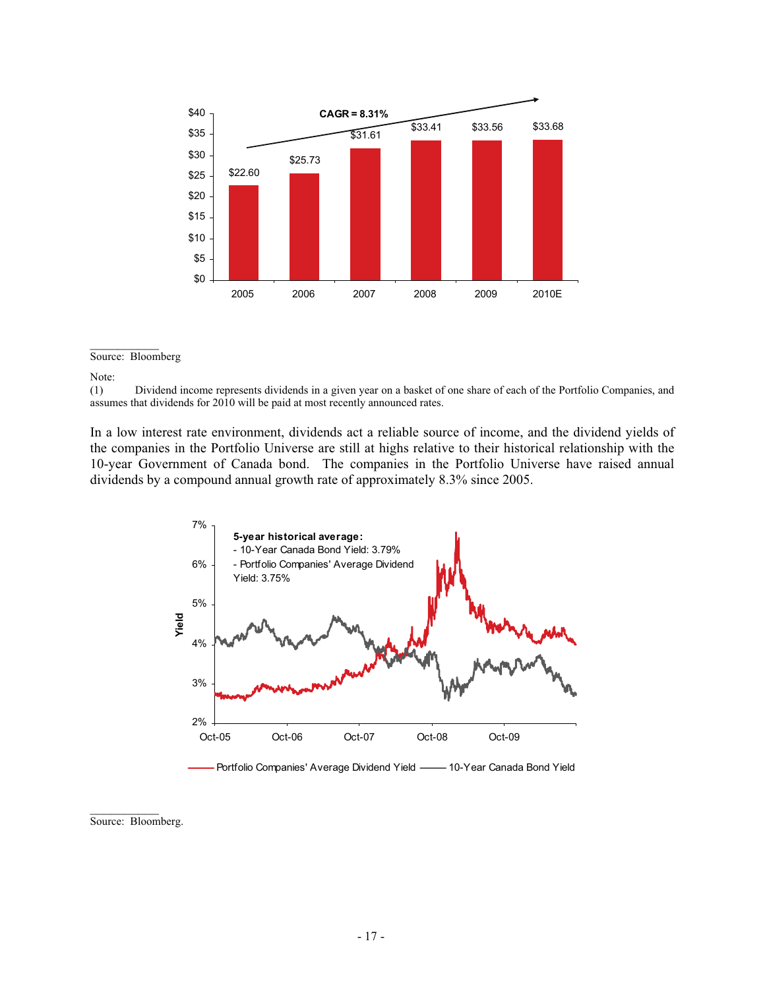

#### $\overline{\phantom{a}}$ Source: Bloomberg

In a low interest rate environment, dividends act a reliable source of income, and the dividend yields of the companies in the Portfolio Universe are still at highs relative to their historical relationship with the 10-year Government of Canada bond. The companies in the Portfolio Universe have raised annual dividends by a compound annual growth rate of approximately 8.3% since 2005.



Source: Bloomberg.

 $\frac{1}{2}$ 

Note:<br> $(1)$ (1) Dividend income represents dividends in a given year on a basket of one share of each of the Portfolio Companies, and assumes that dividends for 2010 will be paid at most recently announced rates.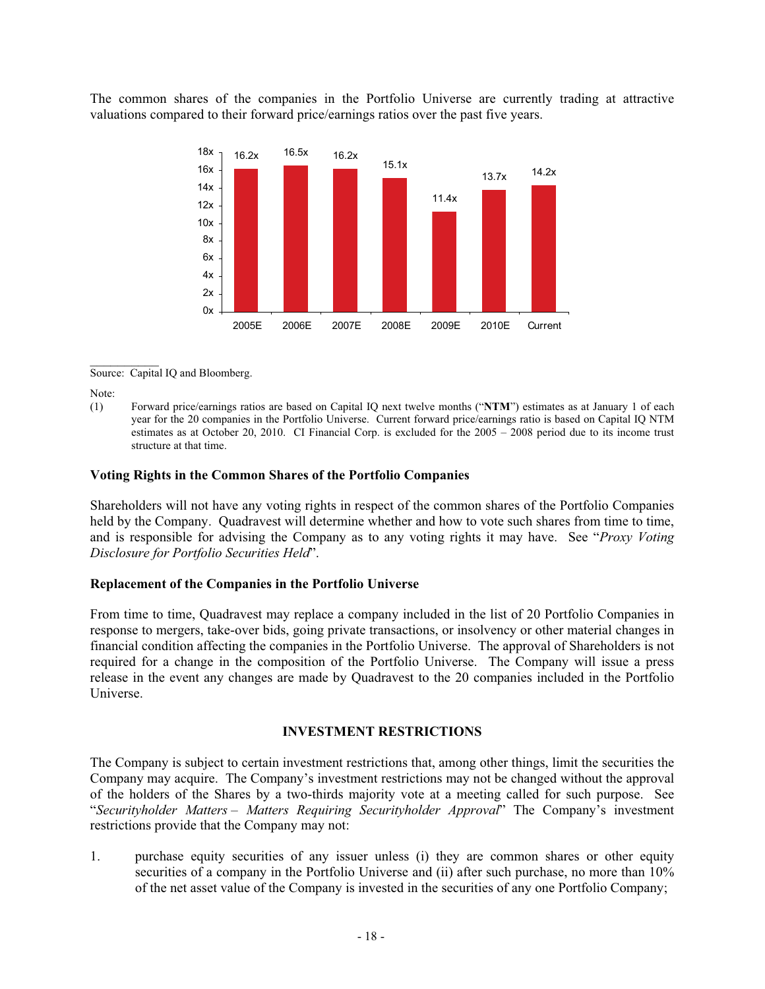The common shares of the companies in the Portfolio Universe are currently trading at attractive valuations compared to their forward price/earnings ratios over the past five years.



 $\frac{1}{2}$ Source: Capital IQ and Bloomberg.

Note:

(1) Forward price/earnings ratios are based on Capital IQ next twelve months ("**NTM**") estimates as at January 1 of each year for the 20 companies in the Portfolio Universe. Current forward price/earnings ratio is based on Capital IQ NTM estimates as at October 20, 2010. CI Financial Corp. is excluded for the 2005 – 2008 period due to its income trust structure at that time.

### **Voting Rights in the Common Shares of the Portfolio Companies**

Shareholders will not have any voting rights in respect of the common shares of the Portfolio Companies held by the Company. Quadravest will determine whether and how to vote such shares from time to time, and is responsible for advising the Company as to any voting rights it may have. See "*Proxy Voting Disclosure for Portfolio Securities Held*".

#### **Replacement of the Companies in the Portfolio Universe**

From time to time, Quadravest may replace a company included in the list of 20 Portfolio Companies in response to mergers, take-over bids, going private transactions, or insolvency or other material changes in financial condition affecting the companies in the Portfolio Universe. The approval of Shareholders is not required for a change in the composition of the Portfolio Universe. The Company will issue a press release in the event any changes are made by Quadravest to the 20 companies included in the Portfolio Universe.

### **INVESTMENT RESTRICTIONS**

The Company is subject to certain investment restrictions that, among other things, limit the securities the Company may acquire. The Company's investment restrictions may not be changed without the approval of the holders of the Shares by a two-thirds majority vote at a meeting called for such purpose. See "*Securityholder Matters – Matters Requiring Securityholder Approval*" The Company's investment restrictions provide that the Company may not:

1. purchase equity securities of any issuer unless (i) they are common shares or other equity securities of a company in the Portfolio Universe and (ii) after such purchase, no more than 10% of the net asset value of the Company is invested in the securities of any one Portfolio Company;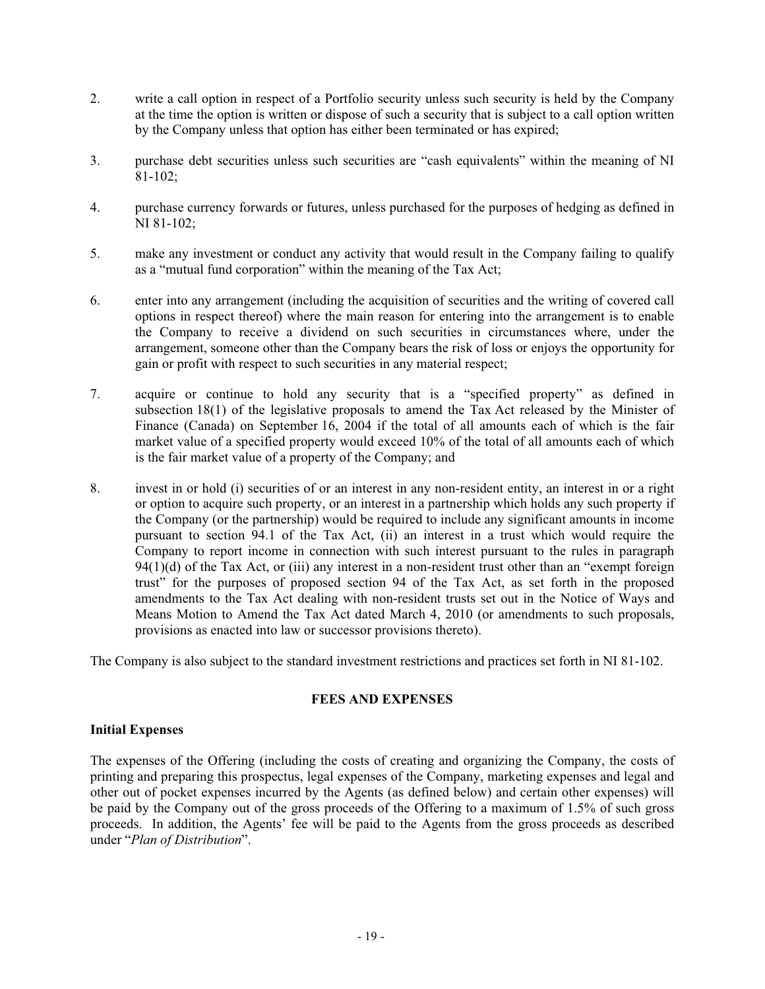- 2. write a call option in respect of a Portfolio security unless such security is held by the Company at the time the option is written or dispose of such a security that is subject to a call option written by the Company unless that option has either been terminated or has expired;
- 3. purchase debt securities unless such securities are "cash equivalents" within the meaning of NI 81-102;
- 4. purchase currency forwards or futures, unless purchased for the purposes of hedging as defined in NI 81-102;
- 5. make any investment or conduct any activity that would result in the Company failing to qualify as a "mutual fund corporation" within the meaning of the Tax Act;
- 6. enter into any arrangement (including the acquisition of securities and the writing of covered call options in respect thereof) where the main reason for entering into the arrangement is to enable the Company to receive a dividend on such securities in circumstances where, under the arrangement, someone other than the Company bears the risk of loss or enjoys the opportunity for gain or profit with respect to such securities in any material respect;
- 7. acquire or continue to hold any security that is a "specified property" as defined in subsection 18(1) of the legislative proposals to amend the Tax Act released by the Minister of Finance (Canada) on September 16, 2004 if the total of all amounts each of which is the fair market value of a specified property would exceed 10% of the total of all amounts each of which is the fair market value of a property of the Company; and
- 8. invest in or hold (i) securities of or an interest in any non-resident entity, an interest in or a right or option to acquire such property, or an interest in a partnership which holds any such property if the Company (or the partnership) would be required to include any significant amounts in income pursuant to section 94.1 of the Tax Act, (ii) an interest in a trust which would require the Company to report income in connection with such interest pursuant to the rules in paragraph 94(1)(d) of the Tax Act, or (iii) any interest in a non-resident trust other than an "exempt foreign trust" for the purposes of proposed section 94 of the Tax Act, as set forth in the proposed amendments to the Tax Act dealing with non-resident trusts set out in the Notice of Ways and Means Motion to Amend the Tax Act dated March 4, 2010 (or amendments to such proposals, provisions as enacted into law or successor provisions thereto).

The Company is also subject to the standard investment restrictions and practices set forth in NI 81-102.

### **FEES AND EXPENSES**

### **Initial Expenses**

The expenses of the Offering (including the costs of creating and organizing the Company, the costs of printing and preparing this prospectus, legal expenses of the Company, marketing expenses and legal and other out of pocket expenses incurred by the Agents (as defined below) and certain other expenses) will be paid by the Company out of the gross proceeds of the Offering to a maximum of 1.5% of such gross proceeds. In addition, the Agents' fee will be paid to the Agents from the gross proceeds as described under "*Plan of Distribution*".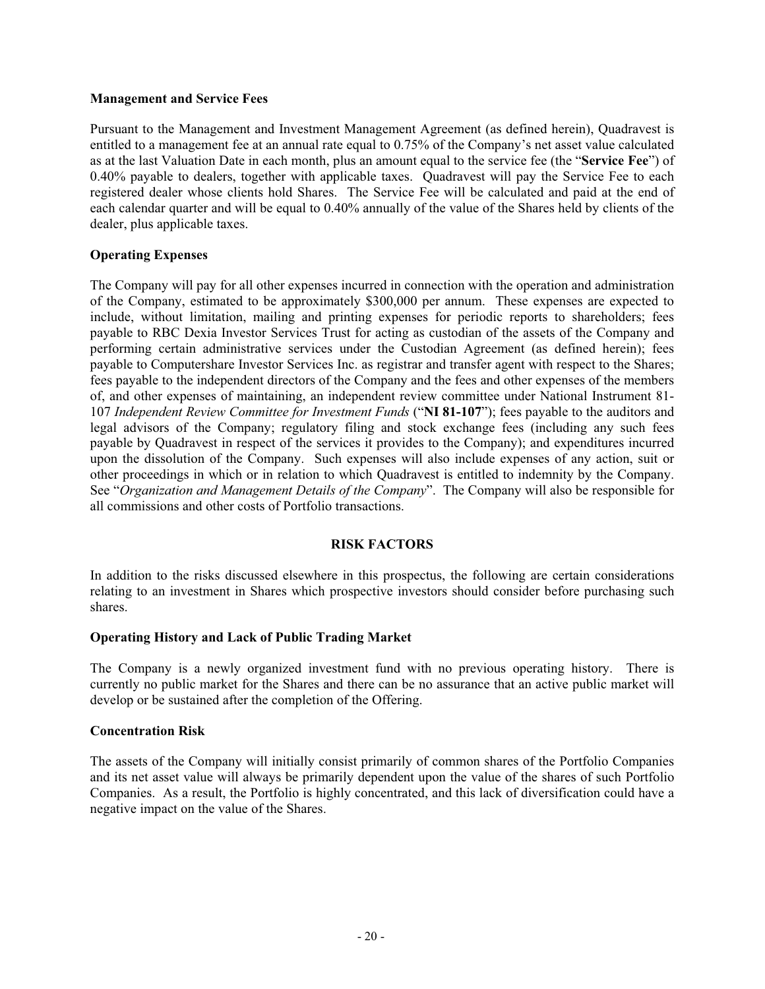### **Management and Service Fees**

Pursuant to the Management and Investment Management Agreement (as defined herein), Quadravest is entitled to a management fee at an annual rate equal to 0.75% of the Company's net asset value calculated as at the last Valuation Date in each month, plus an amount equal to the service fee (the "**Service Fee**") of 0.40% payable to dealers, together with applicable taxes. Quadravest will pay the Service Fee to each registered dealer whose clients hold Shares. The Service Fee will be calculated and paid at the end of each calendar quarter and will be equal to 0.40% annually of the value of the Shares held by clients of the dealer, plus applicable taxes.

### **Operating Expenses**

The Company will pay for all other expenses incurred in connection with the operation and administration of the Company, estimated to be approximately \$300,000 per annum. These expenses are expected to include, without limitation, mailing and printing expenses for periodic reports to shareholders; fees payable to RBC Dexia Investor Services Trust for acting as custodian of the assets of the Company and performing certain administrative services under the Custodian Agreement (as defined herein); fees payable to Computershare Investor Services Inc. as registrar and transfer agent with respect to the Shares; fees payable to the independent directors of the Company and the fees and other expenses of the members of, and other expenses of maintaining, an independent review committee under National Instrument 81- 107 *Independent Review Committee for Investment Funds* ("**NI 81-107**"); fees payable to the auditors and legal advisors of the Company; regulatory filing and stock exchange fees (including any such fees payable by Quadravest in respect of the services it provides to the Company); and expenditures incurred upon the dissolution of the Company. Such expenses will also include expenses of any action, suit or other proceedings in which or in relation to which Quadravest is entitled to indemnity by the Company. See "*Organization and Management Details of the Company*". The Company will also be responsible for all commissions and other costs of Portfolio transactions.

### **RISK FACTORS**

In addition to the risks discussed elsewhere in this prospectus, the following are certain considerations relating to an investment in Shares which prospective investors should consider before purchasing such shares.

### **Operating History and Lack of Public Trading Market**

The Company is a newly organized investment fund with no previous operating history. There is currently no public market for the Shares and there can be no assurance that an active public market will develop or be sustained after the completion of the Offering.

### **Concentration Risk**

The assets of the Company will initially consist primarily of common shares of the Portfolio Companies and its net asset value will always be primarily dependent upon the value of the shares of such Portfolio Companies. As a result, the Portfolio is highly concentrated, and this lack of diversification could have a negative impact on the value of the Shares.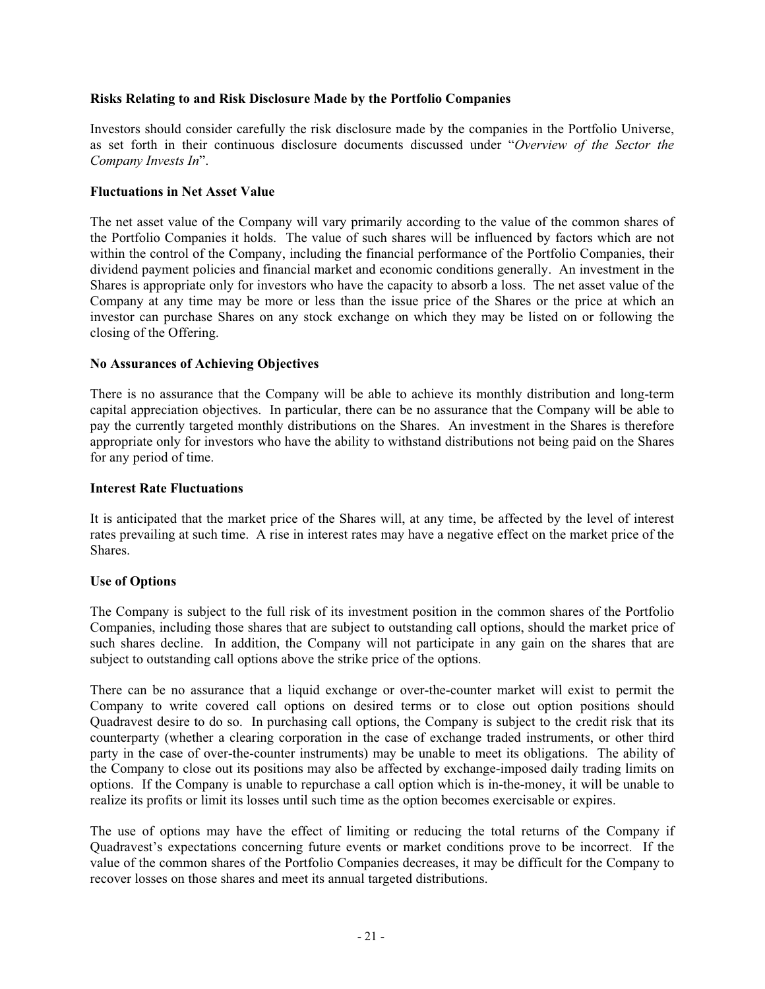### **Risks Relating to and Risk Disclosure Made by the Portfolio Companies**

Investors should consider carefully the risk disclosure made by the companies in the Portfolio Universe, as set forth in their continuous disclosure documents discussed under "*Overview of the Sector the Company Invests In*".

### **Fluctuations in Net Asset Value**

The net asset value of the Company will vary primarily according to the value of the common shares of the Portfolio Companies it holds. The value of such shares will be influenced by factors which are not within the control of the Company, including the financial performance of the Portfolio Companies, their dividend payment policies and financial market and economic conditions generally. An investment in the Shares is appropriate only for investors who have the capacity to absorb a loss. The net asset value of the Company at any time may be more or less than the issue price of the Shares or the price at which an investor can purchase Shares on any stock exchange on which they may be listed on or following the closing of the Offering.

### **No Assurances of Achieving Objectives**

There is no assurance that the Company will be able to achieve its monthly distribution and long-term capital appreciation objectives. In particular, there can be no assurance that the Company will be able to pay the currently targeted monthly distributions on the Shares. An investment in the Shares is therefore appropriate only for investors who have the ability to withstand distributions not being paid on the Shares for any period of time.

### **Interest Rate Fluctuations**

It is anticipated that the market price of the Shares will, at any time, be affected by the level of interest rates prevailing at such time. A rise in interest rates may have a negative effect on the market price of the Shares.

### **Use of Options**

The Company is subject to the full risk of its investment position in the common shares of the Portfolio Companies, including those shares that are subject to outstanding call options, should the market price of such shares decline. In addition, the Company will not participate in any gain on the shares that are subject to outstanding call options above the strike price of the options.

There can be no assurance that a liquid exchange or over-the-counter market will exist to permit the Company to write covered call options on desired terms or to close out option positions should Quadravest desire to do so. In purchasing call options, the Company is subject to the credit risk that its counterparty (whether a clearing corporation in the case of exchange traded instruments, or other third party in the case of over-the-counter instruments) may be unable to meet its obligations. The ability of the Company to close out its positions may also be affected by exchange-imposed daily trading limits on options. If the Company is unable to repurchase a call option which is in-the-money, it will be unable to realize its profits or limit its losses until such time as the option becomes exercisable or expires.

The use of options may have the effect of limiting or reducing the total returns of the Company if Quadravest's expectations concerning future events or market conditions prove to be incorrect. If the value of the common shares of the Portfolio Companies decreases, it may be difficult for the Company to recover losses on those shares and meet its annual targeted distributions.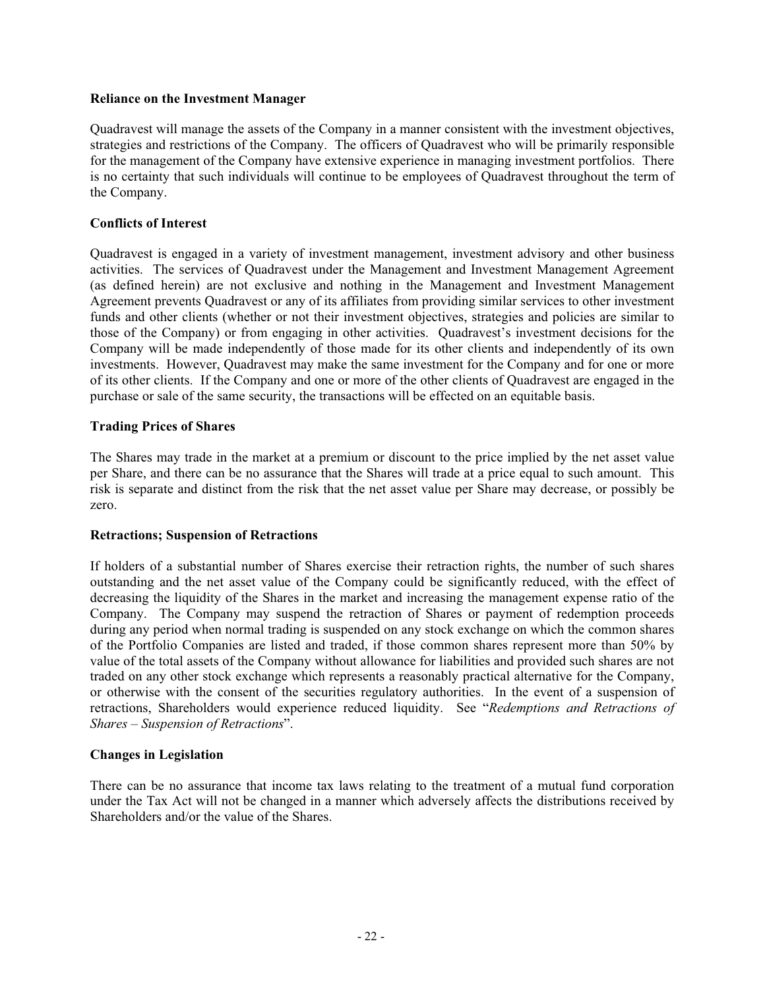### **Reliance on the Investment Manager**

Quadravest will manage the assets of the Company in a manner consistent with the investment objectives, strategies and restrictions of the Company. The officers of Quadravest who will be primarily responsible for the management of the Company have extensive experience in managing investment portfolios. There is no certainty that such individuals will continue to be employees of Quadravest throughout the term of the Company.

### **Conflicts of Interest**

Quadravest is engaged in a variety of investment management, investment advisory and other business activities. The services of Quadravest under the Management and Investment Management Agreement (as defined herein) are not exclusive and nothing in the Management and Investment Management Agreement prevents Quadravest or any of its affiliates from providing similar services to other investment funds and other clients (whether or not their investment objectives, strategies and policies are similar to those of the Company) or from engaging in other activities. Quadravest's investment decisions for the Company will be made independently of those made for its other clients and independently of its own investments. However, Quadravest may make the same investment for the Company and for one or more of its other clients. If the Company and one or more of the other clients of Quadravest are engaged in the purchase or sale of the same security, the transactions will be effected on an equitable basis.

## **Trading Prices of Shares**

The Shares may trade in the market at a premium or discount to the price implied by the net asset value per Share, and there can be no assurance that the Shares will trade at a price equal to such amount. This risk is separate and distinct from the risk that the net asset value per Share may decrease, or possibly be zero.

### **Retractions; Suspension of Retractions**

If holders of a substantial number of Shares exercise their retraction rights, the number of such shares outstanding and the net asset value of the Company could be significantly reduced, with the effect of decreasing the liquidity of the Shares in the market and increasing the management expense ratio of the Company. The Company may suspend the retraction of Shares or payment of redemption proceeds during any period when normal trading is suspended on any stock exchange on which the common shares of the Portfolio Companies are listed and traded, if those common shares represent more than 50% by value of the total assets of the Company without allowance for liabilities and provided such shares are not traded on any other stock exchange which represents a reasonably practical alternative for the Company, or otherwise with the consent of the securities regulatory authorities. In the event of a suspension of retractions, Shareholders would experience reduced liquidity. See "*Redemptions and Retractions of Shares – Suspension of Retractions*".

### **Changes in Legislation**

There can be no assurance that income tax laws relating to the treatment of a mutual fund corporation under the Tax Act will not be changed in a manner which adversely affects the distributions received by Shareholders and/or the value of the Shares.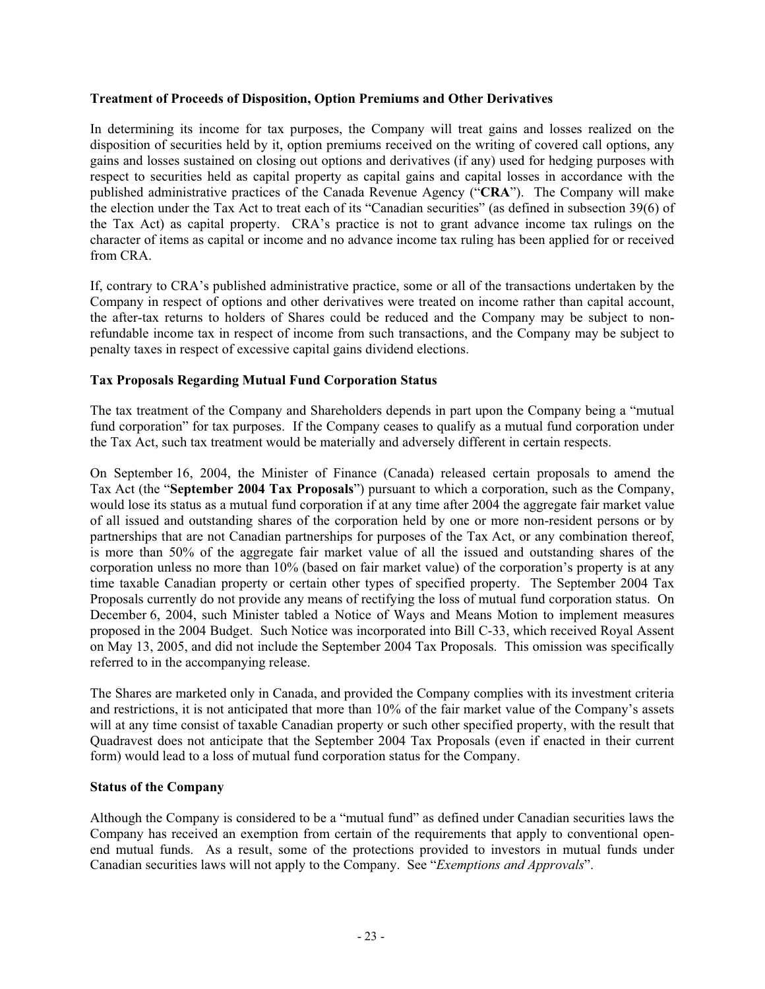### **Treatment of Proceeds of Disposition, Option Premiums and Other Derivatives**

In determining its income for tax purposes, the Company will treat gains and losses realized on the disposition of securities held by it, option premiums received on the writing of covered call options, any gains and losses sustained on closing out options and derivatives (if any) used for hedging purposes with respect to securities held as capital property as capital gains and capital losses in accordance with the published administrative practices of the Canada Revenue Agency ("**CRA**"). The Company will make the election under the Tax Act to treat each of its "Canadian securities" (as defined in subsection 39(6) of the Tax Act) as capital property. CRA's practice is not to grant advance income tax rulings on the character of items as capital or income and no advance income tax ruling has been applied for or received from CRA.

If, contrary to CRA's published administrative practice, some or all of the transactions undertaken by the Company in respect of options and other derivatives were treated on income rather than capital account, the after-tax returns to holders of Shares could be reduced and the Company may be subject to nonrefundable income tax in respect of income from such transactions, and the Company may be subject to penalty taxes in respect of excessive capital gains dividend elections.

## **Tax Proposals Regarding Mutual Fund Corporation Status**

The tax treatment of the Company and Shareholders depends in part upon the Company being a "mutual fund corporation" for tax purposes. If the Company ceases to qualify as a mutual fund corporation under the Tax Act, such tax treatment would be materially and adversely different in certain respects.

On September 16, 2004, the Minister of Finance (Canada) released certain proposals to amend the Tax Act (the "**September 2004 Tax Proposals**") pursuant to which a corporation, such as the Company, would lose its status as a mutual fund corporation if at any time after 2004 the aggregate fair market value of all issued and outstanding shares of the corporation held by one or more non-resident persons or by partnerships that are not Canadian partnerships for purposes of the Tax Act, or any combination thereof, is more than 50% of the aggregate fair market value of all the issued and outstanding shares of the corporation unless no more than 10% (based on fair market value) of the corporation's property is at any time taxable Canadian property or certain other types of specified property. The September 2004 Tax Proposals currently do not provide any means of rectifying the loss of mutual fund corporation status. On December 6, 2004, such Minister tabled a Notice of Ways and Means Motion to implement measures proposed in the 2004 Budget. Such Notice was incorporated into Bill C-33, which received Royal Assent on May 13, 2005, and did not include the September 2004 Tax Proposals. This omission was specifically referred to in the accompanying release.

The Shares are marketed only in Canada, and provided the Company complies with its investment criteria and restrictions, it is not anticipated that more than 10% of the fair market value of the Company's assets will at any time consist of taxable Canadian property or such other specified property, with the result that Quadravest does not anticipate that the September 2004 Tax Proposals (even if enacted in their current form) would lead to a loss of mutual fund corporation status for the Company.

### **Status of the Company**

Although the Company is considered to be a "mutual fund" as defined under Canadian securities laws the Company has received an exemption from certain of the requirements that apply to conventional openend mutual funds. As a result, some of the protections provided to investors in mutual funds under Canadian securities laws will not apply to the Company. See "*Exemptions and Approvals*".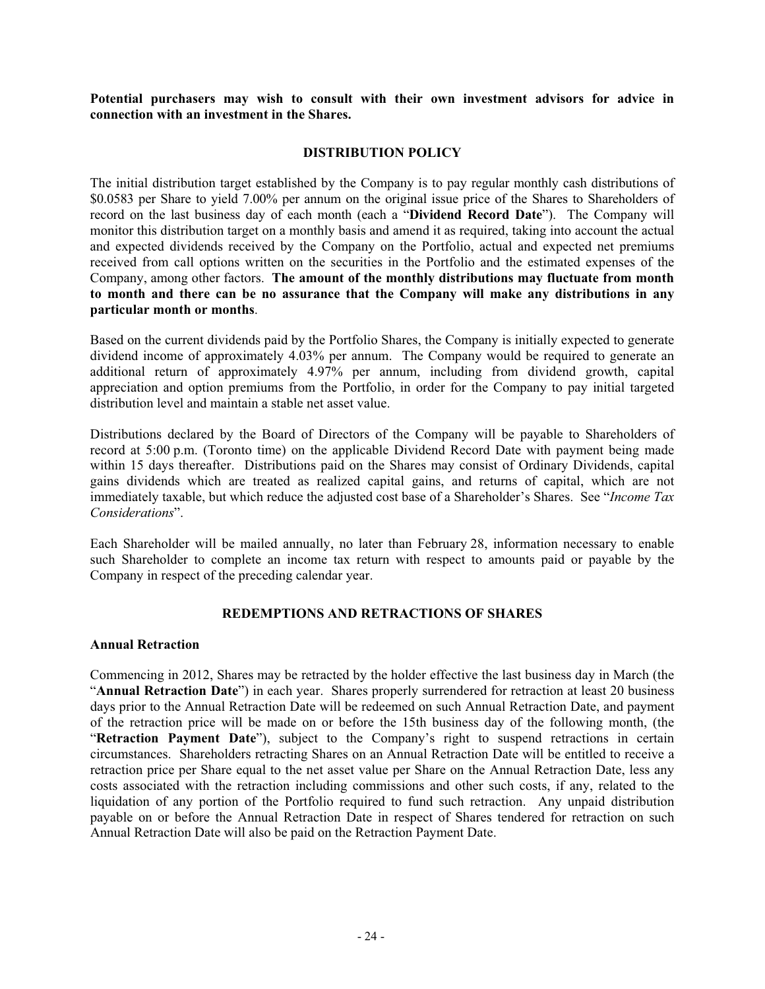**Potential purchasers may wish to consult with their own investment advisors for advice in connection with an investment in the Shares.** 

### **DISTRIBUTION POLICY**

The initial distribution target established by the Company is to pay regular monthly cash distributions of \$0.0583 per Share to yield 7.00% per annum on the original issue price of the Shares to Shareholders of record on the last business day of each month (each a "**Dividend Record Date**"). The Company will monitor this distribution target on a monthly basis and amend it as required, taking into account the actual and expected dividends received by the Company on the Portfolio, actual and expected net premiums received from call options written on the securities in the Portfolio and the estimated expenses of the Company, among other factors. **The amount of the monthly distributions may fluctuate from month to month and there can be no assurance that the Company will make any distributions in any particular month or months**.

Based on the current dividends paid by the Portfolio Shares, the Company is initially expected to generate dividend income of approximately 4.03% per annum. The Company would be required to generate an additional return of approximately 4.97% per annum, including from dividend growth, capital appreciation and option premiums from the Portfolio, in order for the Company to pay initial targeted distribution level and maintain a stable net asset value.

Distributions declared by the Board of Directors of the Company will be payable to Shareholders of record at 5:00 p.m. (Toronto time) on the applicable Dividend Record Date with payment being made within 15 days thereafter. Distributions paid on the Shares may consist of Ordinary Dividends, capital gains dividends which are treated as realized capital gains, and returns of capital, which are not immediately taxable, but which reduce the adjusted cost base of a Shareholder's Shares. See "*Income Tax Considerations*".

Each Shareholder will be mailed annually, no later than February 28, information necessary to enable such Shareholder to complete an income tax return with respect to amounts paid or payable by the Company in respect of the preceding calendar year.

### **REDEMPTIONS AND RETRACTIONS OF SHARES**

#### **Annual Retraction**

Commencing in 2012, Shares may be retracted by the holder effective the last business day in March (the "**Annual Retraction Date**") in each year. Shares properly surrendered for retraction at least 20 business days prior to the Annual Retraction Date will be redeemed on such Annual Retraction Date, and payment of the retraction price will be made on or before the 15th business day of the following month, (the "**Retraction Payment Date**"), subject to the Company's right to suspend retractions in certain circumstances. Shareholders retracting Shares on an Annual Retraction Date will be entitled to receive a retraction price per Share equal to the net asset value per Share on the Annual Retraction Date, less any costs associated with the retraction including commissions and other such costs, if any, related to the liquidation of any portion of the Portfolio required to fund such retraction. Any unpaid distribution payable on or before the Annual Retraction Date in respect of Shares tendered for retraction on such Annual Retraction Date will also be paid on the Retraction Payment Date.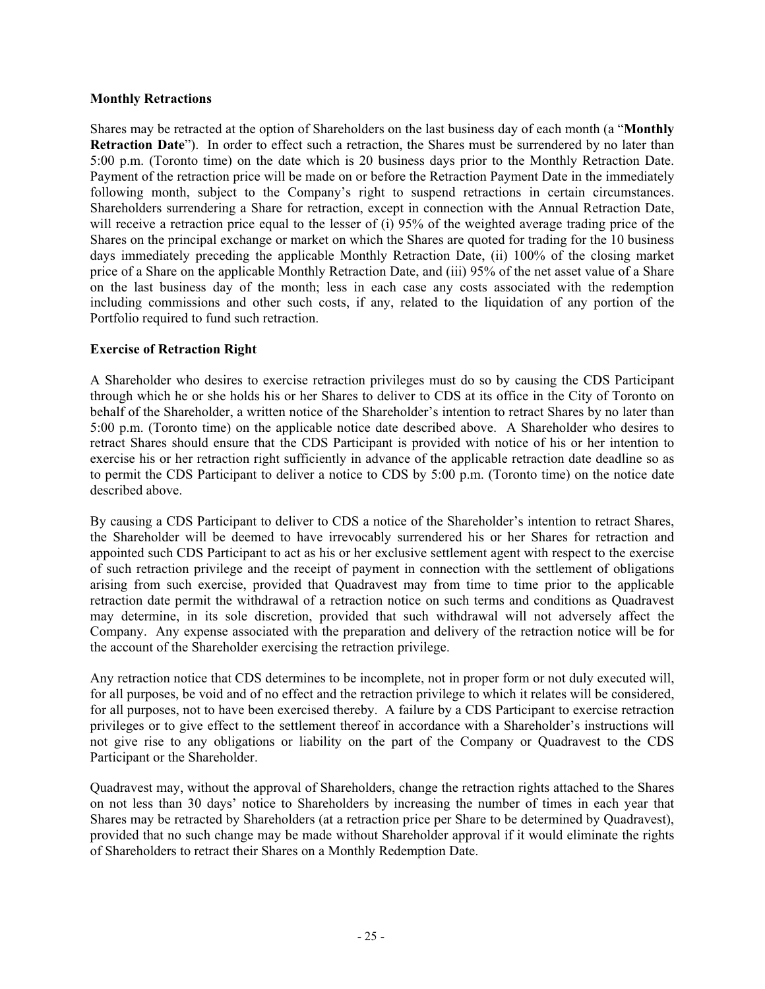### **Monthly Retractions**

Shares may be retracted at the option of Shareholders on the last business day of each month (a "**Monthly Retraction Date**"). In order to effect such a retraction, the Shares must be surrendered by no later than 5:00 p.m. (Toronto time) on the date which is 20 business days prior to the Monthly Retraction Date. Payment of the retraction price will be made on or before the Retraction Payment Date in the immediately following month, subject to the Company's right to suspend retractions in certain circumstances. Shareholders surrendering a Share for retraction, except in connection with the Annual Retraction Date, will receive a retraction price equal to the lesser of (i) 95% of the weighted average trading price of the Shares on the principal exchange or market on which the Shares are quoted for trading for the 10 business days immediately preceding the applicable Monthly Retraction Date, (ii) 100% of the closing market price of a Share on the applicable Monthly Retraction Date, and (iii) 95% of the net asset value of a Share on the last business day of the month; less in each case any costs associated with the redemption including commissions and other such costs, if any, related to the liquidation of any portion of the Portfolio required to fund such retraction.

### **Exercise of Retraction Right**

A Shareholder who desires to exercise retraction privileges must do so by causing the CDS Participant through which he or she holds his or her Shares to deliver to CDS at its office in the City of Toronto on behalf of the Shareholder, a written notice of the Shareholder's intention to retract Shares by no later than 5:00 p.m. (Toronto time) on the applicable notice date described above. A Shareholder who desires to retract Shares should ensure that the CDS Participant is provided with notice of his or her intention to exercise his or her retraction right sufficiently in advance of the applicable retraction date deadline so as to permit the CDS Participant to deliver a notice to CDS by 5:00 p.m. (Toronto time) on the notice date described above.

By causing a CDS Participant to deliver to CDS a notice of the Shareholder's intention to retract Shares, the Shareholder will be deemed to have irrevocably surrendered his or her Shares for retraction and appointed such CDS Participant to act as his or her exclusive settlement agent with respect to the exercise of such retraction privilege and the receipt of payment in connection with the settlement of obligations arising from such exercise, provided that Quadravest may from time to time prior to the applicable retraction date permit the withdrawal of a retraction notice on such terms and conditions as Quadravest may determine, in its sole discretion, provided that such withdrawal will not adversely affect the Company. Any expense associated with the preparation and delivery of the retraction notice will be for the account of the Shareholder exercising the retraction privilege.

Any retraction notice that CDS determines to be incomplete, not in proper form or not duly executed will, for all purposes, be void and of no effect and the retraction privilege to which it relates will be considered, for all purposes, not to have been exercised thereby. A failure by a CDS Participant to exercise retraction privileges or to give effect to the settlement thereof in accordance with a Shareholder's instructions will not give rise to any obligations or liability on the part of the Company or Quadravest to the CDS Participant or the Shareholder.

Quadravest may, without the approval of Shareholders, change the retraction rights attached to the Shares on not less than 30 days' notice to Shareholders by increasing the number of times in each year that Shares may be retracted by Shareholders (at a retraction price per Share to be determined by Quadravest), provided that no such change may be made without Shareholder approval if it would eliminate the rights of Shareholders to retract their Shares on a Monthly Redemption Date.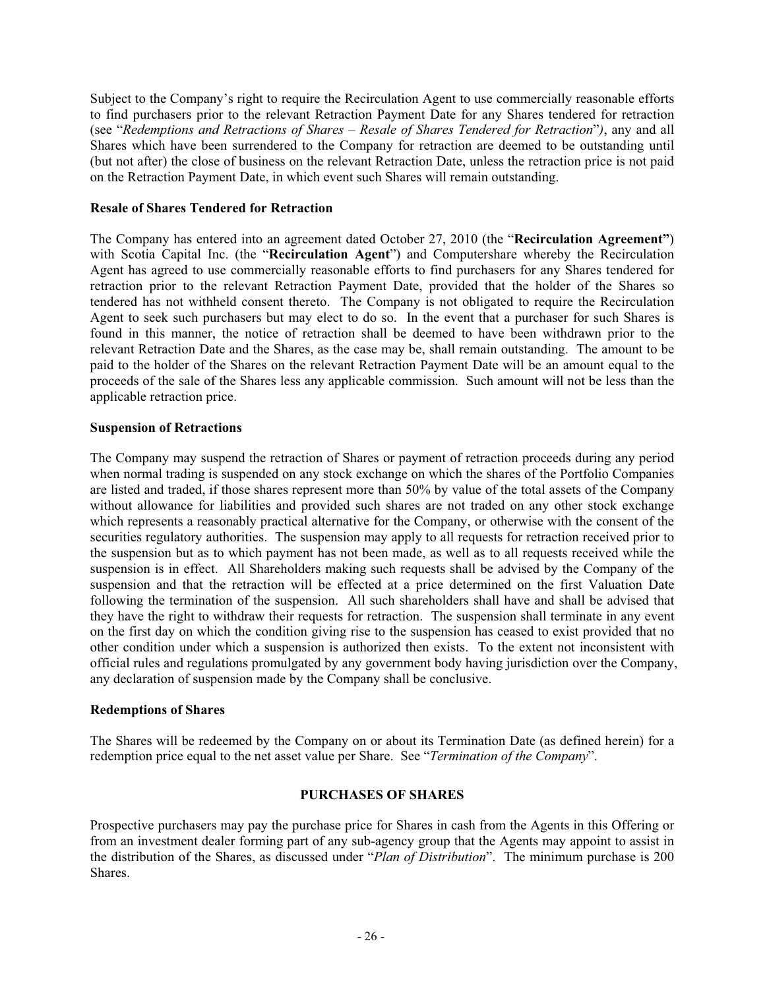Subject to the Company's right to require the Recirculation Agent to use commercially reasonable efforts to find purchasers prior to the relevant Retraction Payment Date for any Shares tendered for retraction (see "*Redemptions and Retractions of Shares – Resale of Shares Tendered for Retraction*"*)*, any and all Shares which have been surrendered to the Company for retraction are deemed to be outstanding until (but not after) the close of business on the relevant Retraction Date, unless the retraction price is not paid on the Retraction Payment Date, in which event such Shares will remain outstanding.

### **Resale of Shares Tendered for Retraction**

The Company has entered into an agreement dated October 27, 2010 (the "**Recirculation Agreement"**) with Scotia Capital Inc. (the "**Recirculation Agent**") and Computershare whereby the Recirculation Agent has agreed to use commercially reasonable efforts to find purchasers for any Shares tendered for retraction prior to the relevant Retraction Payment Date, provided that the holder of the Shares so tendered has not withheld consent thereto. The Company is not obligated to require the Recirculation Agent to seek such purchasers but may elect to do so. In the event that a purchaser for such Shares is found in this manner, the notice of retraction shall be deemed to have been withdrawn prior to the relevant Retraction Date and the Shares, as the case may be, shall remain outstanding. The amount to be paid to the holder of the Shares on the relevant Retraction Payment Date will be an amount equal to the proceeds of the sale of the Shares less any applicable commission. Such amount will not be less than the applicable retraction price.

### **Suspension of Retractions**

The Company may suspend the retraction of Shares or payment of retraction proceeds during any period when normal trading is suspended on any stock exchange on which the shares of the Portfolio Companies are listed and traded, if those shares represent more than 50% by value of the total assets of the Company without allowance for liabilities and provided such shares are not traded on any other stock exchange which represents a reasonably practical alternative for the Company, or otherwise with the consent of the securities regulatory authorities. The suspension may apply to all requests for retraction received prior to the suspension but as to which payment has not been made, as well as to all requests received while the suspension is in effect. All Shareholders making such requests shall be advised by the Company of the suspension and that the retraction will be effected at a price determined on the first Valuation Date following the termination of the suspension. All such shareholders shall have and shall be advised that they have the right to withdraw their requests for retraction. The suspension shall terminate in any event on the first day on which the condition giving rise to the suspension has ceased to exist provided that no other condition under which a suspension is authorized then exists. To the extent not inconsistent with official rules and regulations promulgated by any government body having jurisdiction over the Company, any declaration of suspension made by the Company shall be conclusive.

### **Redemptions of Shares**

The Shares will be redeemed by the Company on or about its Termination Date (as defined herein) for a redemption price equal to the net asset value per Share. See "*Termination of the Company*".

### **PURCHASES OF SHARES**

Prospective purchasers may pay the purchase price for Shares in cash from the Agents in this Offering or from an investment dealer forming part of any sub-agency group that the Agents may appoint to assist in the distribution of the Shares, as discussed under "*Plan of Distribution*". The minimum purchase is 200 Shares.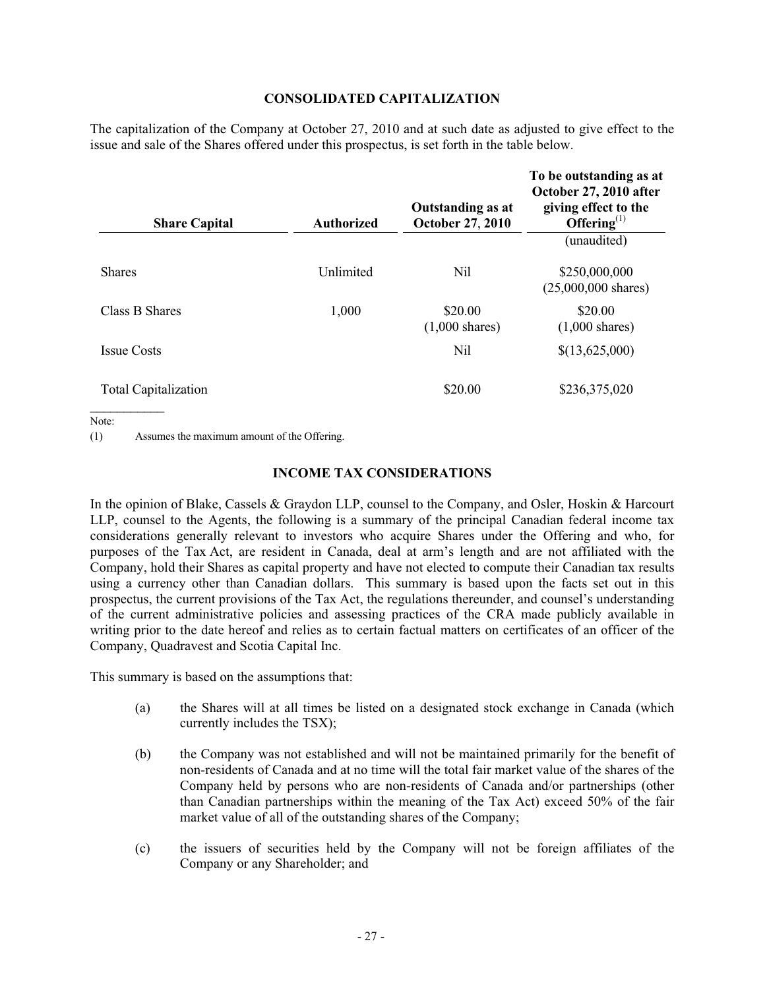### **CONSOLIDATED CAPITALIZATION**

The capitalization of the Company at October 27, 2010 and at such date as adjusted to give effect to the issue and sale of the Shares offered under this prospectus, is set forth in the table below.

| <b>Share Capital</b>        | <b>Authorized</b> | <b>Outstanding as at</b><br><b>October 27, 2010</b> | To be outstanding as at<br>October 27, 2010 after<br>giving effect to the<br>Offering $^{(1)}$ |
|-----------------------------|-------------------|-----------------------------------------------------|------------------------------------------------------------------------------------------------|
|                             |                   |                                                     | (unaudited)                                                                                    |
| <b>Shares</b>               | Unlimited         | Nil                                                 | \$250,000,000<br>$(25,000,000 \text{ shares})$                                                 |
| Class B Shares              | 1,000             | \$20.00<br>$(1,000 \text{ shares})$                 | \$20.00<br>$(1,000 \text{ shares})$                                                            |
| <b>Issue Costs</b>          |                   | Nil                                                 | \$(13,625,000)                                                                                 |
| <b>Total Capitalization</b> |                   | \$20.00                                             | \$236,375,020                                                                                  |

Note:

(1) Assumes the maximum amount of the Offering.

### **INCOME TAX CONSIDERATIONS**

In the opinion of Blake, Cassels & Graydon LLP, counsel to the Company, and Osler, Hoskin & Harcourt LLP, counsel to the Agents, the following is a summary of the principal Canadian federal income tax considerations generally relevant to investors who acquire Shares under the Offering and who, for purposes of the Tax Act, are resident in Canada, deal at arm's length and are not affiliated with the Company, hold their Shares as capital property and have not elected to compute their Canadian tax results using a currency other than Canadian dollars. This summary is based upon the facts set out in this prospectus, the current provisions of the Tax Act, the regulations thereunder, and counsel's understanding of the current administrative policies and assessing practices of the CRA made publicly available in writing prior to the date hereof and relies as to certain factual matters on certificates of an officer of the Company, Quadravest and Scotia Capital Inc.

This summary is based on the assumptions that:

- (a) the Shares will at all times be listed on a designated stock exchange in Canada (which currently includes the TSX);
- (b) the Company was not established and will not be maintained primarily for the benefit of non-residents of Canada and at no time will the total fair market value of the shares of the Company held by persons who are non-residents of Canada and/or partnerships (other than Canadian partnerships within the meaning of the Tax Act) exceed 50% of the fair market value of all of the outstanding shares of the Company;
- (c) the issuers of securities held by the Company will not be foreign affiliates of the Company or any Shareholder; and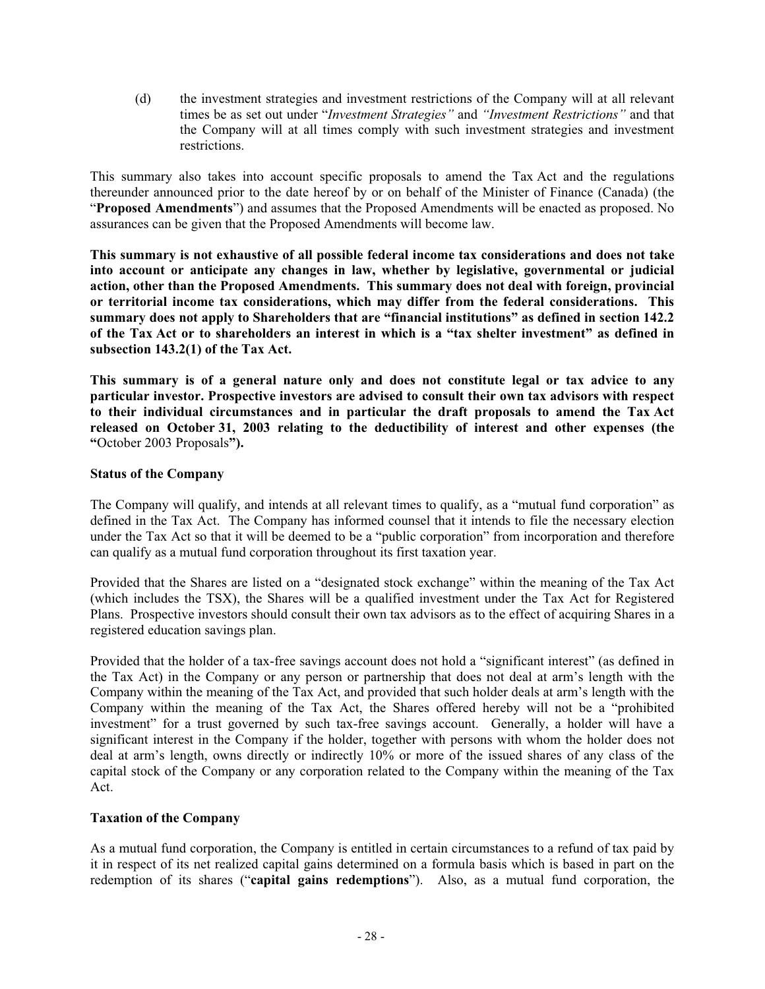(d) the investment strategies and investment restrictions of the Company will at all relevant times be as set out under "*Investment Strategies"* and *"Investment Restrictions"* and that the Company will at all times comply with such investment strategies and investment restrictions.

This summary also takes into account specific proposals to amend the Tax Act and the regulations thereunder announced prior to the date hereof by or on behalf of the Minister of Finance (Canada) (the "**Proposed Amendments**") and assumes that the Proposed Amendments will be enacted as proposed. No assurances can be given that the Proposed Amendments will become law.

**This summary is not exhaustive of all possible federal income tax considerations and does not take into account or anticipate any changes in law, whether by legislative, governmental or judicial action, other than the Proposed Amendments. This summary does not deal with foreign, provincial or territorial income tax considerations, which may differ from the federal considerations. This summary does not apply to Shareholders that are "financial institutions" as defined in section 142.2 of the Tax Act or to shareholders an interest in which is a "tax shelter investment" as defined in subsection 143.2(1) of the Tax Act.** 

**This summary is of a general nature only and does not constitute legal or tax advice to any particular investor. Prospective investors are advised to consult their own tax advisors with respect to their individual circumstances and in particular the draft proposals to amend the Tax Act released on October 31, 2003 relating to the deductibility of interest and other expenses (the "**October 2003 Proposals**").**

## **Status of the Company**

The Company will qualify, and intends at all relevant times to qualify, as a "mutual fund corporation" as defined in the Tax Act. The Company has informed counsel that it intends to file the necessary election under the Tax Act so that it will be deemed to be a "public corporation" from incorporation and therefore can qualify as a mutual fund corporation throughout its first taxation year.

Provided that the Shares are listed on a "designated stock exchange" within the meaning of the Tax Act (which includes the TSX), the Shares will be a qualified investment under the Tax Act for Registered Plans. Prospective investors should consult their own tax advisors as to the effect of acquiring Shares in a registered education savings plan.

Provided that the holder of a tax-free savings account does not hold a "significant interest" (as defined in the Tax Act) in the Company or any person or partnership that does not deal at arm's length with the Company within the meaning of the Tax Act, and provided that such holder deals at arm's length with the Company within the meaning of the Tax Act, the Shares offered hereby will not be a "prohibited investment" for a trust governed by such tax-free savings account. Generally, a holder will have a significant interest in the Company if the holder, together with persons with whom the holder does not deal at arm's length, owns directly or indirectly 10% or more of the issued shares of any class of the capital stock of the Company or any corporation related to the Company within the meaning of the Tax Act.

## **Taxation of the Company**

As a mutual fund corporation, the Company is entitled in certain circumstances to a refund of tax paid by it in respect of its net realized capital gains determined on a formula basis which is based in part on the redemption of its shares ("**capital gains redemptions**"). Also, as a mutual fund corporation, the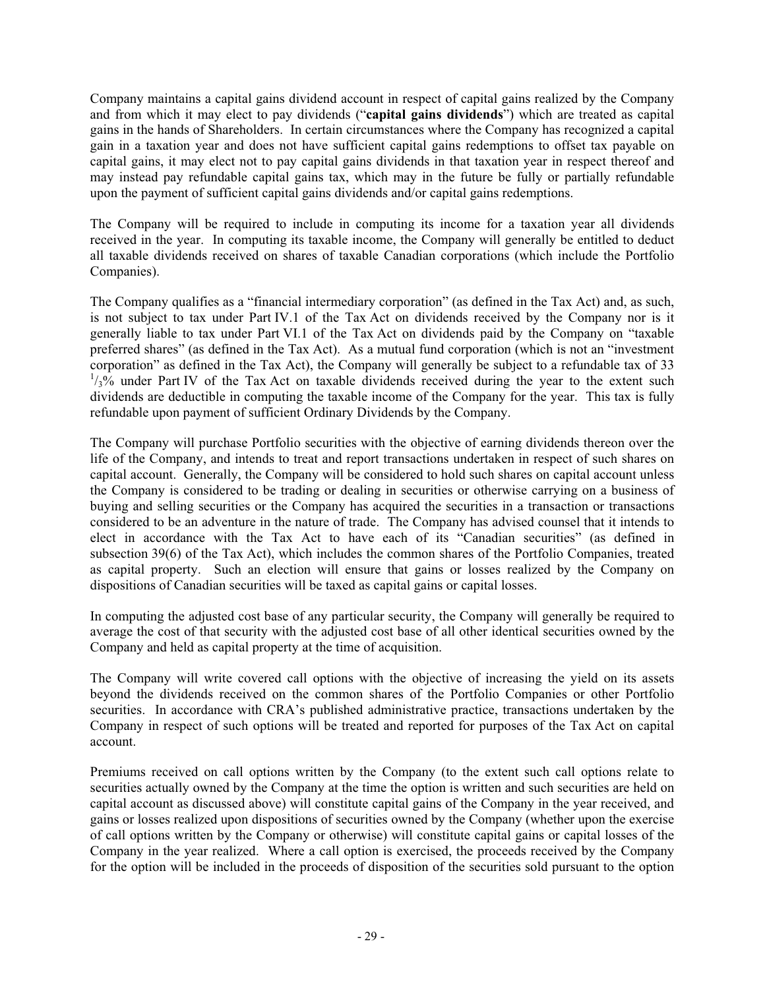Company maintains a capital gains dividend account in respect of capital gains realized by the Company and from which it may elect to pay dividends ("**capital gains dividends**") which are treated as capital gains in the hands of Shareholders. In certain circumstances where the Company has recognized a capital gain in a taxation year and does not have sufficient capital gains redemptions to offset tax payable on capital gains, it may elect not to pay capital gains dividends in that taxation year in respect thereof and may instead pay refundable capital gains tax, which may in the future be fully or partially refundable upon the payment of sufficient capital gains dividends and/or capital gains redemptions.

The Company will be required to include in computing its income for a taxation year all dividends received in the year. In computing its taxable income, the Company will generally be entitled to deduct all taxable dividends received on shares of taxable Canadian corporations (which include the Portfolio Companies).

The Company qualifies as a "financial intermediary corporation" (as defined in the Tax Act) and, as such, is not subject to tax under Part IV.1 of the Tax Act on dividends received by the Company nor is it generally liable to tax under Part VI.1 of the Tax Act on dividends paid by the Company on "taxable preferred shares" (as defined in the Tax Act). As a mutual fund corporation (which is not an "investment corporation" as defined in the Tax Act), the Company will generally be subject to a refundable tax of 33  $\frac{1}{3}$ % under Part IV of the Tax Act on taxable dividends received during the year to the extent such dividends are deductible in computing the taxable income of the Company for the year. This tax is fully refundable upon payment of sufficient Ordinary Dividends by the Company.

The Company will purchase Portfolio securities with the objective of earning dividends thereon over the life of the Company, and intends to treat and report transactions undertaken in respect of such shares on capital account. Generally, the Company will be considered to hold such shares on capital account unless the Company is considered to be trading or dealing in securities or otherwise carrying on a business of buying and selling securities or the Company has acquired the securities in a transaction or transactions considered to be an adventure in the nature of trade. The Company has advised counsel that it intends to elect in accordance with the Tax Act to have each of its "Canadian securities" (as defined in subsection 39(6) of the Tax Act), which includes the common shares of the Portfolio Companies, treated as capital property. Such an election will ensure that gains or losses realized by the Company on dispositions of Canadian securities will be taxed as capital gains or capital losses.

In computing the adjusted cost base of any particular security, the Company will generally be required to average the cost of that security with the adjusted cost base of all other identical securities owned by the Company and held as capital property at the time of acquisition.

The Company will write covered call options with the objective of increasing the yield on its assets beyond the dividends received on the common shares of the Portfolio Companies or other Portfolio securities. In accordance with CRA's published administrative practice, transactions undertaken by the Company in respect of such options will be treated and reported for purposes of the Tax Act on capital account.

Premiums received on call options written by the Company (to the extent such call options relate to securities actually owned by the Company at the time the option is written and such securities are held on capital account as discussed above) will constitute capital gains of the Company in the year received, and gains or losses realized upon dispositions of securities owned by the Company (whether upon the exercise of call options written by the Company or otherwise) will constitute capital gains or capital losses of the Company in the year realized. Where a call option is exercised, the proceeds received by the Company for the option will be included in the proceeds of disposition of the securities sold pursuant to the option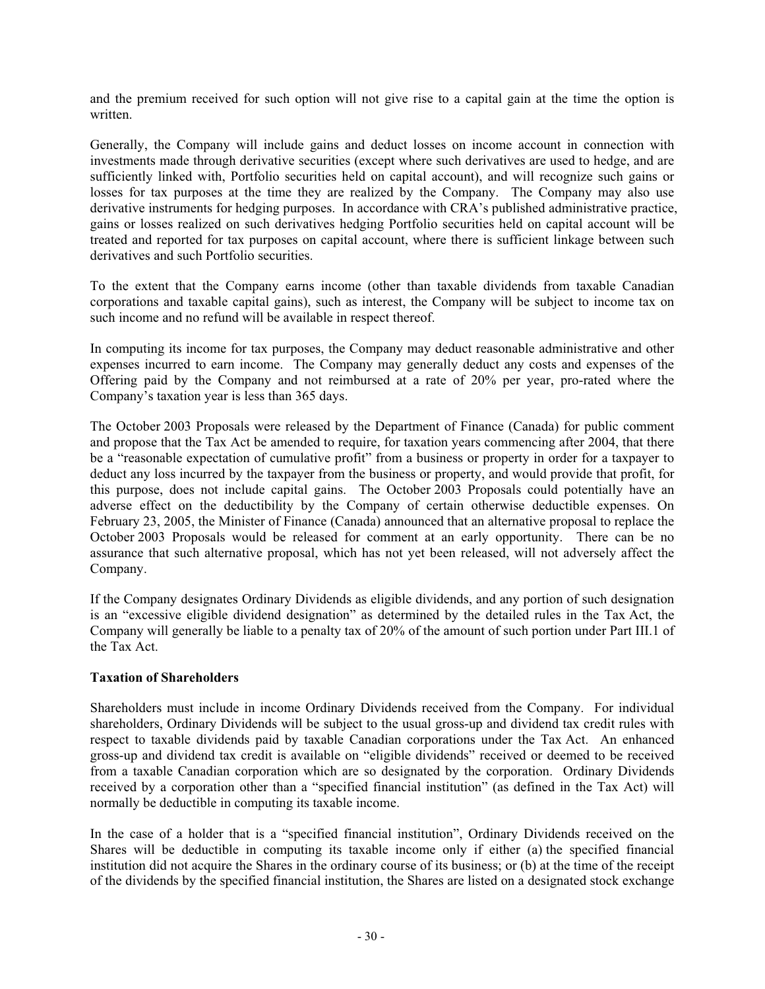and the premium received for such option will not give rise to a capital gain at the time the option is written.

Generally, the Company will include gains and deduct losses on income account in connection with investments made through derivative securities (except where such derivatives are used to hedge, and are sufficiently linked with, Portfolio securities held on capital account), and will recognize such gains or losses for tax purposes at the time they are realized by the Company. The Company may also use derivative instruments for hedging purposes. In accordance with CRA's published administrative practice, gains or losses realized on such derivatives hedging Portfolio securities held on capital account will be treated and reported for tax purposes on capital account, where there is sufficient linkage between such derivatives and such Portfolio securities.

To the extent that the Company earns income (other than taxable dividends from taxable Canadian corporations and taxable capital gains), such as interest, the Company will be subject to income tax on such income and no refund will be available in respect thereof.

In computing its income for tax purposes, the Company may deduct reasonable administrative and other expenses incurred to earn income. The Company may generally deduct any costs and expenses of the Offering paid by the Company and not reimbursed at a rate of 20% per year, pro-rated where the Company's taxation year is less than 365 days.

The October 2003 Proposals were released by the Department of Finance (Canada) for public comment and propose that the Tax Act be amended to require, for taxation years commencing after 2004, that there be a "reasonable expectation of cumulative profit" from a business or property in order for a taxpayer to deduct any loss incurred by the taxpayer from the business or property, and would provide that profit, for this purpose, does not include capital gains. The October 2003 Proposals could potentially have an adverse effect on the deductibility by the Company of certain otherwise deductible expenses. On February 23, 2005, the Minister of Finance (Canada) announced that an alternative proposal to replace the October 2003 Proposals would be released for comment at an early opportunity. There can be no assurance that such alternative proposal, which has not yet been released, will not adversely affect the Company.

If the Company designates Ordinary Dividends as eligible dividends, and any portion of such designation is an "excessive eligible dividend designation" as determined by the detailed rules in the Tax Act, the Company will generally be liable to a penalty tax of 20% of the amount of such portion under Part III.1 of the Tax Act.

## **Taxation of Shareholders**

Shareholders must include in income Ordinary Dividends received from the Company. For individual shareholders, Ordinary Dividends will be subject to the usual gross-up and dividend tax credit rules with respect to taxable dividends paid by taxable Canadian corporations under the Tax Act. An enhanced gross-up and dividend tax credit is available on "eligible dividends" received or deemed to be received from a taxable Canadian corporation which are so designated by the corporation. Ordinary Dividends received by a corporation other than a "specified financial institution" (as defined in the Tax Act) will normally be deductible in computing its taxable income.

In the case of a holder that is a "specified financial institution", Ordinary Dividends received on the Shares will be deductible in computing its taxable income only if either (a) the specified financial institution did not acquire the Shares in the ordinary course of its business; or (b) at the time of the receipt of the dividends by the specified financial institution, the Shares are listed on a designated stock exchange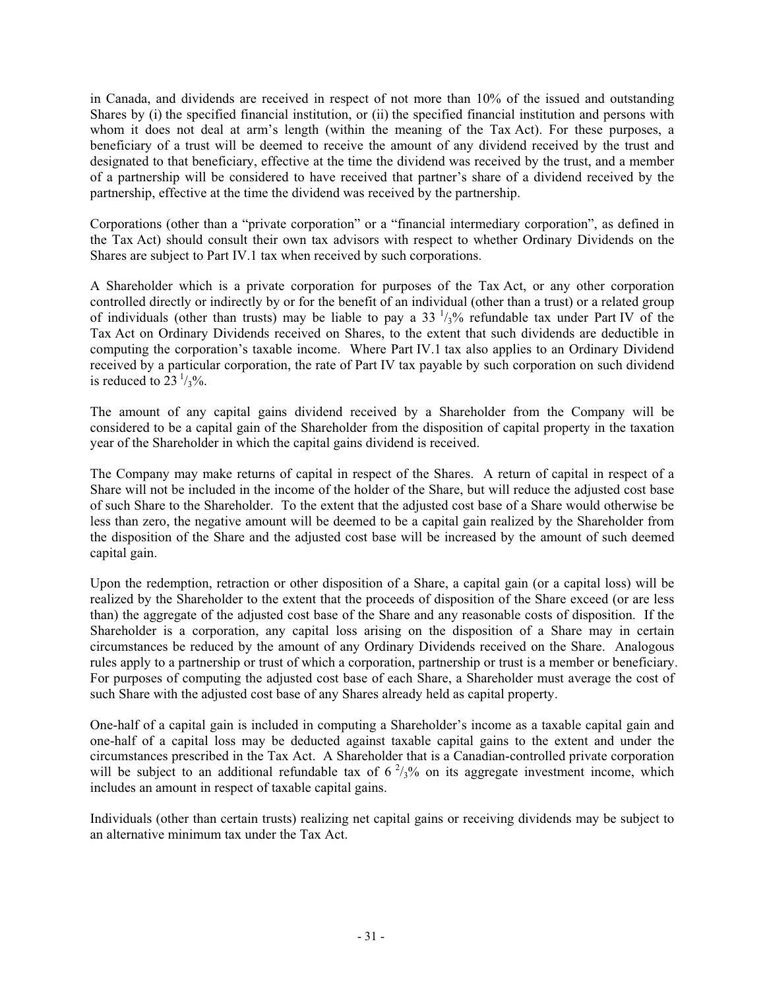in Canada, and dividends are received in respect of not more than 10% of the issued and outstanding Shares by (i) the specified financial institution, or (ii) the specified financial institution and persons with whom it does not deal at arm's length (within the meaning of the Tax Act). For these purposes, a beneficiary of a trust will be deemed to receive the amount of any dividend received by the trust and designated to that beneficiary, effective at the time the dividend was received by the trust, and a member of a partnership will be considered to have received that partner's share of a dividend received by the partnership, effective at the time the dividend was received by the partnership.

Corporations (other than a "private corporation" or a "financial intermediary corporation", as defined in the Tax Act) should consult their own tax advisors with respect to whether Ordinary Dividends on the Shares are subject to Part IV.1 tax when received by such corporations.

A Shareholder which is a private corporation for purposes of the Tax Act, or any other corporation controlled directly or indirectly by or for the benefit of an individual (other than a trust) or a related group of individuals (other than trusts) may be liable to pay a  $33 \frac{1}{3}\%$  refundable tax under Part IV of the Tax Act on Ordinary Dividends received on Shares, to the extent that such dividends are deductible in computing the corporation's taxable income. Where Part IV.1 tax also applies to an Ordinary Dividend received by a particular corporation, the rate of Part IV tax payable by such corporation on such dividend is reduced to  $23 \frac{1}{3}\%$ .

The amount of any capital gains dividend received by a Shareholder from the Company will be considered to be a capital gain of the Shareholder from the disposition of capital property in the taxation year of the Shareholder in which the capital gains dividend is received.

The Company may make returns of capital in respect of the Shares. A return of capital in respect of a Share will not be included in the income of the holder of the Share, but will reduce the adjusted cost base of such Share to the Shareholder. To the extent that the adjusted cost base of a Share would otherwise be less than zero, the negative amount will be deemed to be a capital gain realized by the Shareholder from the disposition of the Share and the adjusted cost base will be increased by the amount of such deemed capital gain.

Upon the redemption, retraction or other disposition of a Share, a capital gain (or a capital loss) will be realized by the Shareholder to the extent that the proceeds of disposition of the Share exceed (or are less than) the aggregate of the adjusted cost base of the Share and any reasonable costs of disposition. If the Shareholder is a corporation, any capital loss arising on the disposition of a Share may in certain circumstances be reduced by the amount of any Ordinary Dividends received on the Share. Analogous rules apply to a partnership or trust of which a corporation, partnership or trust is a member or beneficiary. For purposes of computing the adjusted cost base of each Share, a Shareholder must average the cost of such Share with the adjusted cost base of any Shares already held as capital property.

One-half of a capital gain is included in computing a Shareholder's income as a taxable capital gain and one-half of a capital loss may be deducted against taxable capital gains to the extent and under the circumstances prescribed in the Tax Act. A Shareholder that is a Canadian-controlled private corporation will be subject to an additional refundable tax of  $6^2/3\%$  on its aggregate investment income, which includes an amount in respect of taxable capital gains.

Individuals (other than certain trusts) realizing net capital gains or receiving dividends may be subject to an alternative minimum tax under the Tax Act.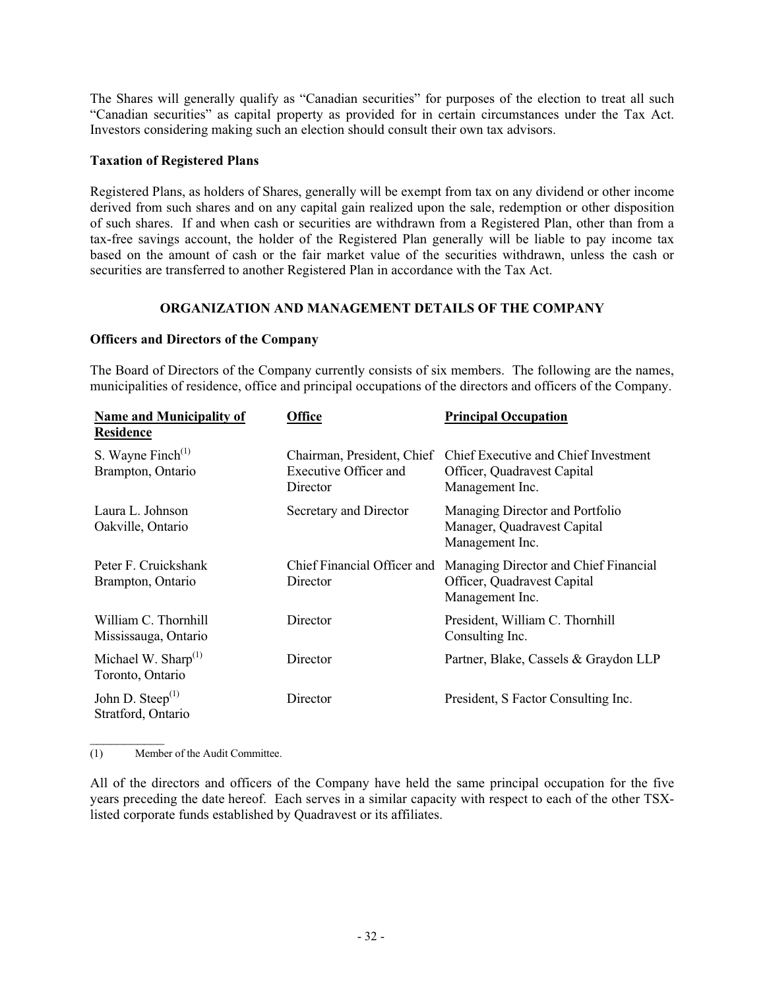The Shares will generally qualify as "Canadian securities" for purposes of the election to treat all such "Canadian securities" as capital property as provided for in certain circumstances under the Tax Act. Investors considering making such an election should consult their own tax advisors.

### **Taxation of Registered Plans**

Registered Plans, as holders of Shares, generally will be exempt from tax on any dividend or other income derived from such shares and on any capital gain realized upon the sale, redemption or other disposition of such shares. If and when cash or securities are withdrawn from a Registered Plan, other than from a tax-free savings account, the holder of the Registered Plan generally will be liable to pay income tax based on the amount of cash or the fair market value of the securities withdrawn, unless the cash or securities are transferred to another Registered Plan in accordance with the Tax Act.

## **ORGANIZATION AND MANAGEMENT DETAILS OF THE COMPANY**

### **Officers and Directors of the Company**

The Board of Directors of the Company currently consists of six members. The following are the names, municipalities of residence, office and principal occupations of the directors and officers of the Company.

| <b>Name and Municipality of</b><br><b>Residence</b> | <b>Office</b>                                                   | <b>Principal Occupation</b>                                                             |
|-----------------------------------------------------|-----------------------------------------------------------------|-----------------------------------------------------------------------------------------|
| S. Wayne $\text{Finch}^{(1)}$<br>Brampton, Ontario  | Chairman, President, Chief<br>Executive Officer and<br>Director | Chief Executive and Chief Investment<br>Officer, Quadravest Capital<br>Management Inc.  |
| Laura L. Johnson<br>Oakville, Ontario               | Secretary and Director                                          | Managing Director and Portfolio<br>Manager, Quadravest Capital<br>Management Inc.       |
| Peter F. Cruickshank<br>Brampton, Ontario           | Chief Financial Officer and<br>Director                         | Managing Director and Chief Financial<br>Officer, Quadravest Capital<br>Management Inc. |
| William C. Thornhill<br>Mississauga, Ontario        | Director                                                        | President, William C. Thornhill<br>Consulting Inc.                                      |
| Michael W. Sharp $(1)$<br>Toronto, Ontario          | Director                                                        | Partner, Blake, Cassels & Graydon LLP                                                   |
| John D. Steep $^{(1)}$<br>Stratford, Ontario        | Director                                                        | President, S Factor Consulting Inc.                                                     |

(1) Member of the Audit Committee.

 $\overline{\phantom{a}}$ 

All of the directors and officers of the Company have held the same principal occupation for the five years preceding the date hereof. Each serves in a similar capacity with respect to each of the other TSXlisted corporate funds established by Quadravest or its affiliates.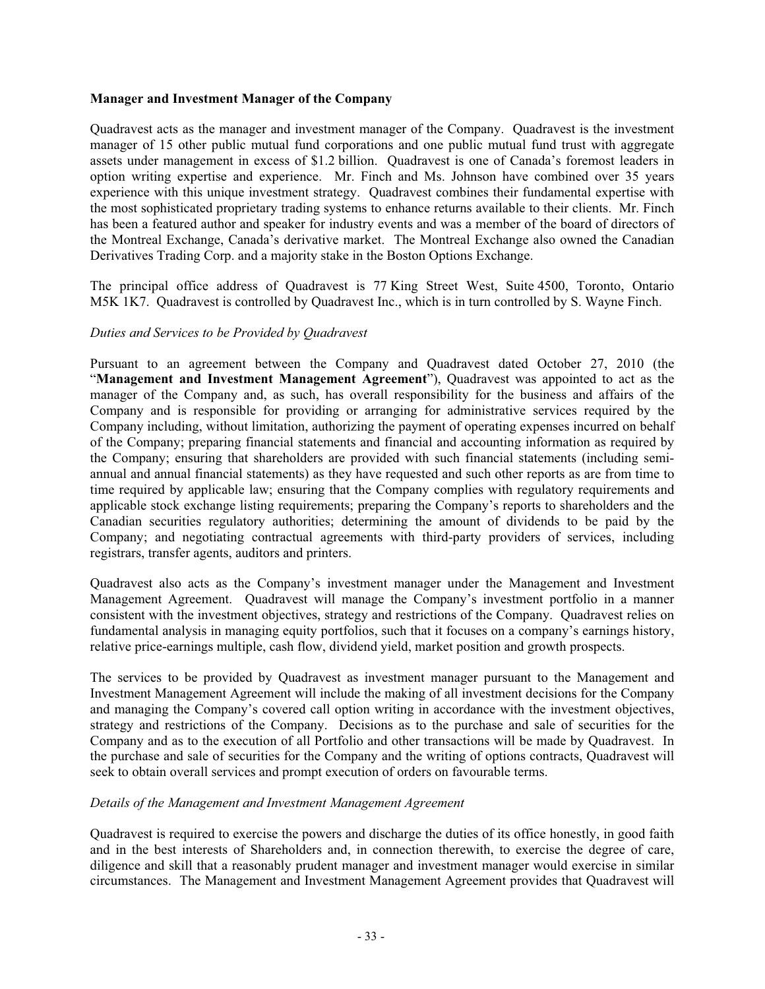### **Manager and Investment Manager of the Company**

Quadravest acts as the manager and investment manager of the Company. Quadravest is the investment manager of 15 other public mutual fund corporations and one public mutual fund trust with aggregate assets under management in excess of \$1.2 billion. Quadravest is one of Canada's foremost leaders in option writing expertise and experience. Mr. Finch and Ms. Johnson have combined over 35 years experience with this unique investment strategy. Quadravest combines their fundamental expertise with the most sophisticated proprietary trading systems to enhance returns available to their clients. Mr. Finch has been a featured author and speaker for industry events and was a member of the board of directors of the Montreal Exchange, Canada's derivative market. The Montreal Exchange also owned the Canadian Derivatives Trading Corp. and a majority stake in the Boston Options Exchange.

The principal office address of Quadravest is 77 King Street West, Suite 4500, Toronto, Ontario M5K 1K7. Quadravest is controlled by Quadravest Inc., which is in turn controlled by S. Wayne Finch.

### *Duties and Services to be Provided by Quadravest*

Pursuant to an agreement between the Company and Quadravest dated October 27, 2010 (the "**Management and Investment Management Agreement**"), Quadravest was appointed to act as the manager of the Company and, as such, has overall responsibility for the business and affairs of the Company and is responsible for providing or arranging for administrative services required by the Company including, without limitation, authorizing the payment of operating expenses incurred on behalf of the Company; preparing financial statements and financial and accounting information as required by the Company; ensuring that shareholders are provided with such financial statements (including semiannual and annual financial statements) as they have requested and such other reports as are from time to time required by applicable law; ensuring that the Company complies with regulatory requirements and applicable stock exchange listing requirements; preparing the Company's reports to shareholders and the Canadian securities regulatory authorities; determining the amount of dividends to be paid by the Company; and negotiating contractual agreements with third-party providers of services, including registrars, transfer agents, auditors and printers.

Quadravest also acts as the Company's investment manager under the Management and Investment Management Agreement. Quadravest will manage the Company's investment portfolio in a manner consistent with the investment objectives, strategy and restrictions of the Company. Quadravest relies on fundamental analysis in managing equity portfolios, such that it focuses on a company's earnings history, relative price-earnings multiple, cash flow, dividend yield, market position and growth prospects.

The services to be provided by Quadravest as investment manager pursuant to the Management and Investment Management Agreement will include the making of all investment decisions for the Company and managing the Company's covered call option writing in accordance with the investment objectives, strategy and restrictions of the Company. Decisions as to the purchase and sale of securities for the Company and as to the execution of all Portfolio and other transactions will be made by Quadravest. In the purchase and sale of securities for the Company and the writing of options contracts, Quadravest will seek to obtain overall services and prompt execution of orders on favourable terms.

### *Details of the Management and Investment Management Agreement*

Quadravest is required to exercise the powers and discharge the duties of its office honestly, in good faith and in the best interests of Shareholders and, in connection therewith, to exercise the degree of care, diligence and skill that a reasonably prudent manager and investment manager would exercise in similar circumstances. The Management and Investment Management Agreement provides that Quadravest will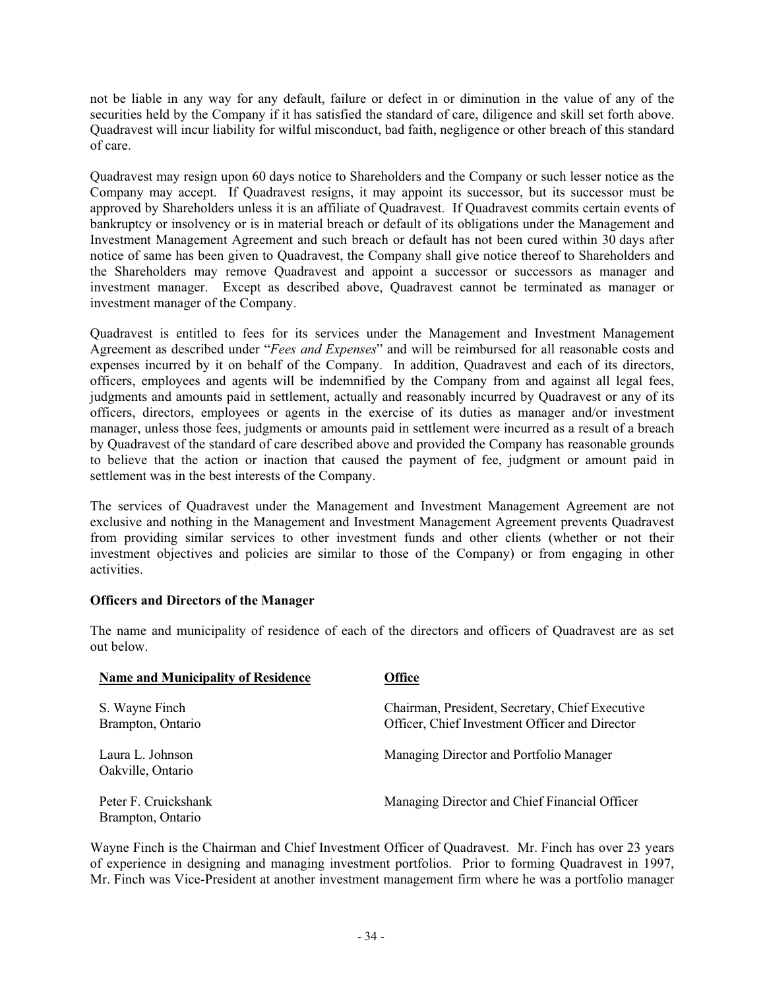not be liable in any way for any default, failure or defect in or diminution in the value of any of the securities held by the Company if it has satisfied the standard of care, diligence and skill set forth above. Quadravest will incur liability for wilful misconduct, bad faith, negligence or other breach of this standard of care.

Quadravest may resign upon 60 days notice to Shareholders and the Company or such lesser notice as the Company may accept. If Quadravest resigns, it may appoint its successor, but its successor must be approved by Shareholders unless it is an affiliate of Quadravest. If Quadravest commits certain events of bankruptcy or insolvency or is in material breach or default of its obligations under the Management and Investment Management Agreement and such breach or default has not been cured within 30 days after notice of same has been given to Quadravest, the Company shall give notice thereof to Shareholders and the Shareholders may remove Quadravest and appoint a successor or successors as manager and investment manager. Except as described above, Quadravest cannot be terminated as manager or investment manager of the Company.

Quadravest is entitled to fees for its services under the Management and Investment Management Agreement as described under "*Fees and Expenses*" and will be reimbursed for all reasonable costs and expenses incurred by it on behalf of the Company. In addition, Quadravest and each of its directors, officers, employees and agents will be indemnified by the Company from and against all legal fees, judgments and amounts paid in settlement, actually and reasonably incurred by Quadravest or any of its officers, directors, employees or agents in the exercise of its duties as manager and/or investment manager, unless those fees, judgments or amounts paid in settlement were incurred as a result of a breach by Quadravest of the standard of care described above and provided the Company has reasonable grounds to believe that the action or inaction that caused the payment of fee, judgment or amount paid in settlement was in the best interests of the Company.

The services of Quadravest under the Management and Investment Management Agreement are not exclusive and nothing in the Management and Investment Management Agreement prevents Quadravest from providing similar services to other investment funds and other clients (whether or not their investment objectives and policies are similar to those of the Company) or from engaging in other activities.

### **Officers and Directors of the Manager**

The name and municipality of residence of each of the directors and officers of Quadravest are as set out below.

| <b>Name and Municipality of Residence</b> | Office                                                                                            |
|-------------------------------------------|---------------------------------------------------------------------------------------------------|
| S. Wayne Finch<br>Brampton, Ontario       | Chairman, President, Secretary, Chief Executive<br>Officer, Chief Investment Officer and Director |
| Laura L. Johnson<br>Oakville, Ontario     | Managing Director and Portfolio Manager                                                           |
| Peter F. Cruickshank<br>Brampton, Ontario | Managing Director and Chief Financial Officer                                                     |

Wayne Finch is the Chairman and Chief Investment Officer of Quadravest. Mr. Finch has over 23 years of experience in designing and managing investment portfolios. Prior to forming Quadravest in 1997, Mr. Finch was Vice-President at another investment management firm where he was a portfolio manager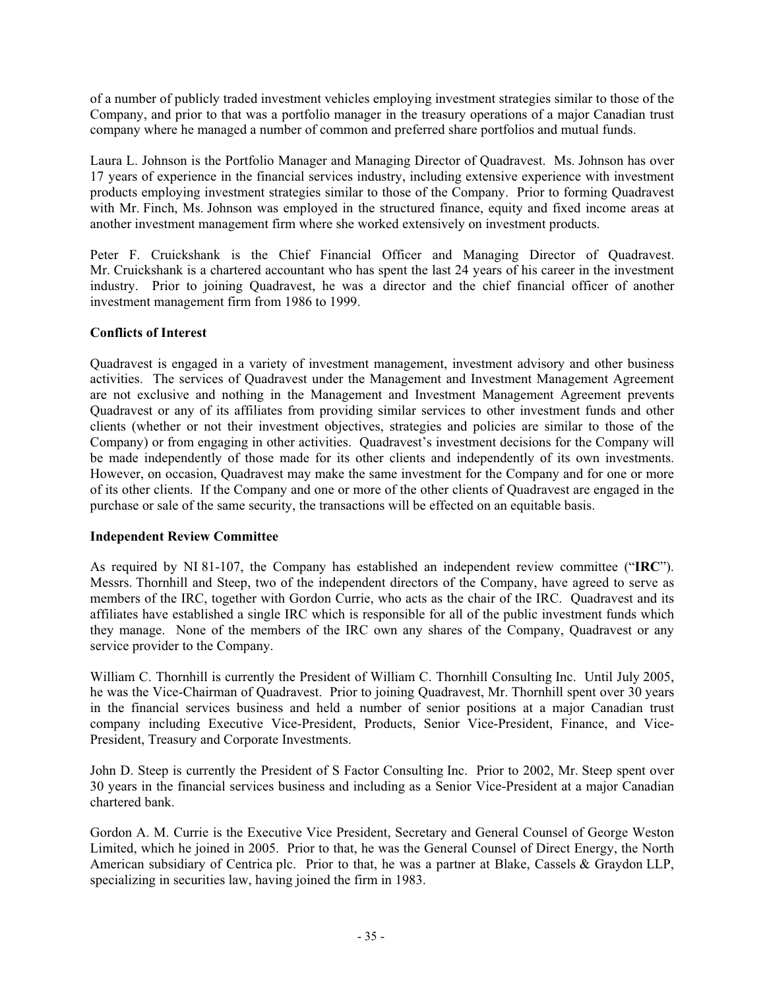of a number of publicly traded investment vehicles employing investment strategies similar to those of the Company, and prior to that was a portfolio manager in the treasury operations of a major Canadian trust company where he managed a number of common and preferred share portfolios and mutual funds.

Laura L. Johnson is the Portfolio Manager and Managing Director of Quadravest. Ms. Johnson has over 17 years of experience in the financial services industry, including extensive experience with investment products employing investment strategies similar to those of the Company. Prior to forming Quadravest with Mr. Finch, Ms. Johnson was employed in the structured finance, equity and fixed income areas at another investment management firm where she worked extensively on investment products.

Peter F. Cruickshank is the Chief Financial Officer and Managing Director of Quadravest. Mr. Cruickshank is a chartered accountant who has spent the last 24 years of his career in the investment industry. Prior to joining Quadravest, he was a director and the chief financial officer of another investment management firm from 1986 to 1999.

## **Conflicts of Interest**

Quadravest is engaged in a variety of investment management, investment advisory and other business activities. The services of Quadravest under the Management and Investment Management Agreement are not exclusive and nothing in the Management and Investment Management Agreement prevents Quadravest or any of its affiliates from providing similar services to other investment funds and other clients (whether or not their investment objectives, strategies and policies are similar to those of the Company) or from engaging in other activities. Quadravest's investment decisions for the Company will be made independently of those made for its other clients and independently of its own investments. However, on occasion, Quadravest may make the same investment for the Company and for one or more of its other clients. If the Company and one or more of the other clients of Quadravest are engaged in the purchase or sale of the same security, the transactions will be effected on an equitable basis.

### **Independent Review Committee**

As required by NI 81-107, the Company has established an independent review committee ("**IRC**"). Messrs. Thornhill and Steep, two of the independent directors of the Company, have agreed to serve as members of the IRC, together with Gordon Currie, who acts as the chair of the IRC. Quadravest and its affiliates have established a single IRC which is responsible for all of the public investment funds which they manage. None of the members of the IRC own any shares of the Company, Quadravest or any service provider to the Company.

William C. Thornhill is currently the President of William C. Thornhill Consulting Inc. Until July 2005, he was the Vice-Chairman of Quadravest. Prior to joining Quadravest, Mr. Thornhill spent over 30 years in the financial services business and held a number of senior positions at a major Canadian trust company including Executive Vice-President, Products, Senior Vice-President, Finance, and Vice-President, Treasury and Corporate Investments.

John D. Steep is currently the President of S Factor Consulting Inc. Prior to 2002, Mr. Steep spent over 30 years in the financial services business and including as a Senior Vice-President at a major Canadian chartered bank.

Gordon A. M. Currie is the Executive Vice President, Secretary and General Counsel of George Weston Limited, which he joined in 2005. Prior to that, he was the General Counsel of Direct Energy, the North American subsidiary of Centrica plc. Prior to that, he was a partner at Blake, Cassels & Graydon LLP, specializing in securities law, having joined the firm in 1983.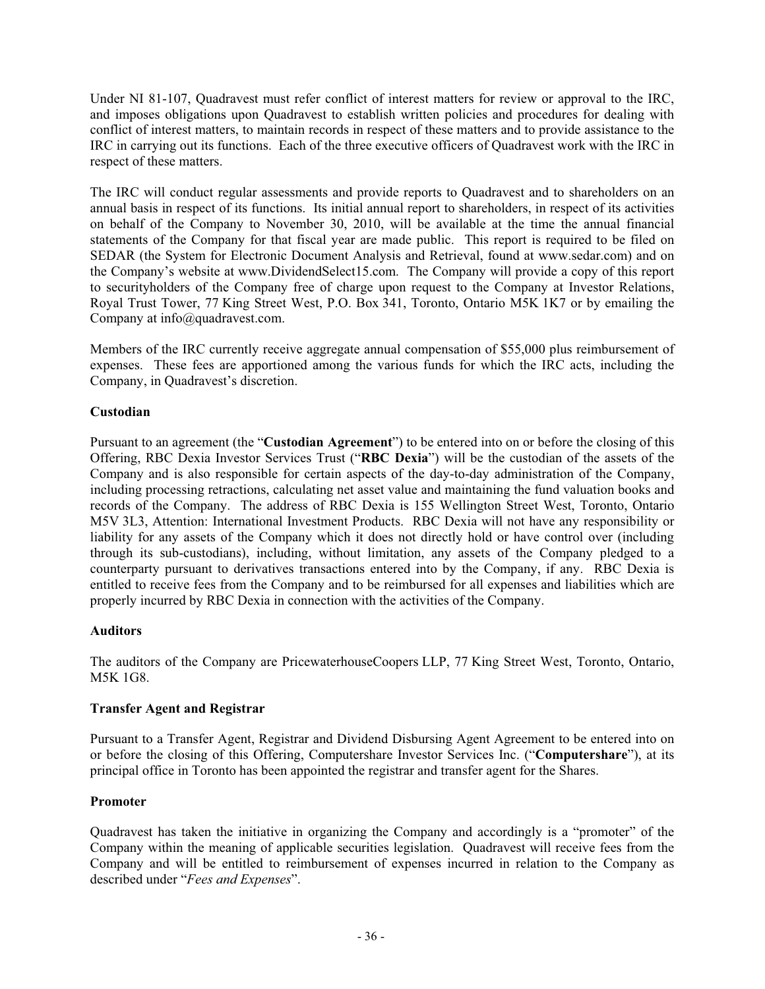Under NI 81-107, Quadravest must refer conflict of interest matters for review or approval to the IRC, and imposes obligations upon Quadravest to establish written policies and procedures for dealing with conflict of interest matters, to maintain records in respect of these matters and to provide assistance to the IRC in carrying out its functions. Each of the three executive officers of Quadravest work with the IRC in respect of these matters.

The IRC will conduct regular assessments and provide reports to Quadravest and to shareholders on an annual basis in respect of its functions. Its initial annual report to shareholders, in respect of its activities on behalf of the Company to November 30, 2010, will be available at the time the annual financial statements of the Company for that fiscal year are made public. This report is required to be filed on SEDAR (the System for Electronic Document Analysis and Retrieval, found at www.sedar.com) and on the Company's website at www.DividendSelect15.com. The Company will provide a copy of this report to securityholders of the Company free of charge upon request to the Company at Investor Relations, Royal Trust Tower, 77 King Street West, P.O. Box 341, Toronto, Ontario M5K 1K7 or by emailing the Company at info@quadravest.com.

Members of the IRC currently receive aggregate annual compensation of \$55,000 plus reimbursement of expenses. These fees are apportioned among the various funds for which the IRC acts, including the Company, in Quadravest's discretion.

## **Custodian**

Pursuant to an agreement (the "**Custodian Agreement**") to be entered into on or before the closing of this Offering, RBC Dexia Investor Services Trust ("**RBC Dexia**") will be the custodian of the assets of the Company and is also responsible for certain aspects of the day-to-day administration of the Company, including processing retractions, calculating net asset value and maintaining the fund valuation books and records of the Company. The address of RBC Dexia is 155 Wellington Street West, Toronto, Ontario M5V 3L3, Attention: International Investment Products. RBC Dexia will not have any responsibility or liability for any assets of the Company which it does not directly hold or have control over (including through its sub-custodians), including, without limitation, any assets of the Company pledged to a counterparty pursuant to derivatives transactions entered into by the Company, if any. RBC Dexia is entitled to receive fees from the Company and to be reimbursed for all expenses and liabilities which are properly incurred by RBC Dexia in connection with the activities of the Company.

### **Auditors**

The auditors of the Company are PricewaterhouseCoopers LLP, 77 King Street West, Toronto, Ontario, M5K 1G8.

### **Transfer Agent and Registrar**

Pursuant to a Transfer Agent, Registrar and Dividend Disbursing Agent Agreement to be entered into on or before the closing of this Offering, Computershare Investor Services Inc. ("**Computershare**"), at its principal office in Toronto has been appointed the registrar and transfer agent for the Shares.

## **Promoter**

Quadravest has taken the initiative in organizing the Company and accordingly is a "promoter" of the Company within the meaning of applicable securities legislation. Quadravest will receive fees from the Company and will be entitled to reimbursement of expenses incurred in relation to the Company as described under "*Fees and Expenses*".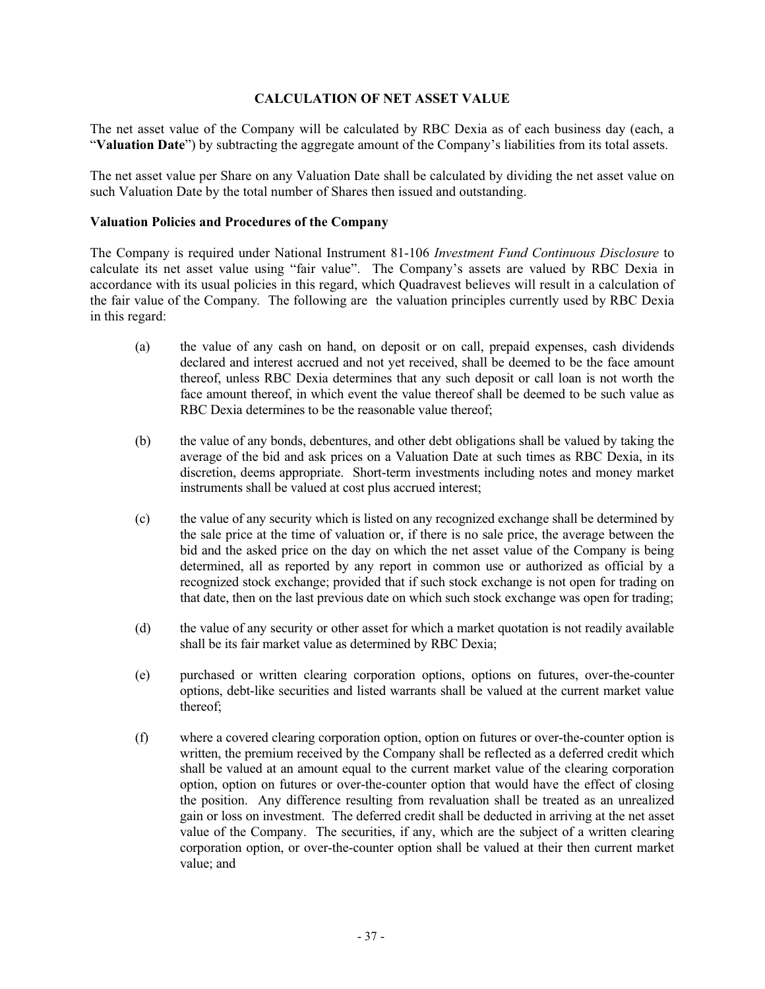### **CALCULATION OF NET ASSET VALUE**

The net asset value of the Company will be calculated by RBC Dexia as of each business day (each, a "**Valuation Date**") by subtracting the aggregate amount of the Company's liabilities from its total assets.

The net asset value per Share on any Valuation Date shall be calculated by dividing the net asset value on such Valuation Date by the total number of Shares then issued and outstanding.

### **Valuation Policies and Procedures of the Company**

The Company is required under National Instrument 81-106 *Investment Fund Continuous Disclosure* to calculate its net asset value using "fair value". The Company's assets are valued by RBC Dexia in accordance with its usual policies in this regard, which Quadravest believes will result in a calculation of the fair value of the Company. The following are the valuation principles currently used by RBC Dexia in this regard:

- (a) the value of any cash on hand, on deposit or on call, prepaid expenses, cash dividends declared and interest accrued and not yet received, shall be deemed to be the face amount thereof, unless RBC Dexia determines that any such deposit or call loan is not worth the face amount thereof, in which event the value thereof shall be deemed to be such value as RBC Dexia determines to be the reasonable value thereof;
- (b) the value of any bonds, debentures, and other debt obligations shall be valued by taking the average of the bid and ask prices on a Valuation Date at such times as RBC Dexia, in its discretion, deems appropriate. Short-term investments including notes and money market instruments shall be valued at cost plus accrued interest;
- (c) the value of any security which is listed on any recognized exchange shall be determined by the sale price at the time of valuation or, if there is no sale price, the average between the bid and the asked price on the day on which the net asset value of the Company is being determined, all as reported by any report in common use or authorized as official by a recognized stock exchange; provided that if such stock exchange is not open for trading on that date, then on the last previous date on which such stock exchange was open for trading;
- (d) the value of any security or other asset for which a market quotation is not readily available shall be its fair market value as determined by RBC Dexia;
- (e) purchased or written clearing corporation options, options on futures, over-the-counter options, debt-like securities and listed warrants shall be valued at the current market value thereof;
- (f) where a covered clearing corporation option, option on futures or over-the-counter option is written, the premium received by the Company shall be reflected as a deferred credit which shall be valued at an amount equal to the current market value of the clearing corporation option, option on futures or over-the-counter option that would have the effect of closing the position. Any difference resulting from revaluation shall be treated as an unrealized gain or loss on investment. The deferred credit shall be deducted in arriving at the net asset value of the Company. The securities, if any, which are the subject of a written clearing corporation option, or over-the-counter option shall be valued at their then current market value; and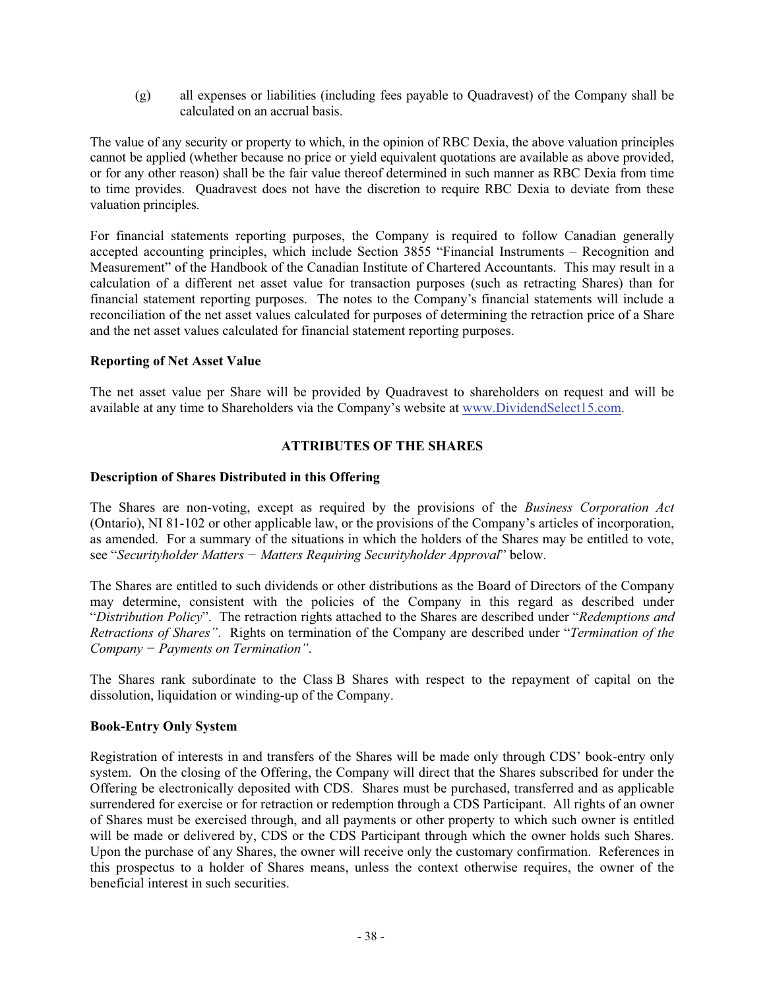(g) all expenses or liabilities (including fees payable to Quadravest) of the Company shall be calculated on an accrual basis.

The value of any security or property to which, in the opinion of RBC Dexia, the above valuation principles cannot be applied (whether because no price or yield equivalent quotations are available as above provided, or for any other reason) shall be the fair value thereof determined in such manner as RBC Dexia from time to time provides. Quadravest does not have the discretion to require RBC Dexia to deviate from these valuation principles.

For financial statements reporting purposes, the Company is required to follow Canadian generally accepted accounting principles, which include Section 3855 "Financial Instruments – Recognition and Measurement" of the Handbook of the Canadian Institute of Chartered Accountants. This may result in a calculation of a different net asset value for transaction purposes (such as retracting Shares) than for financial statement reporting purposes. The notes to the Company's financial statements will include a reconciliation of the net asset values calculated for purposes of determining the retraction price of a Share and the net asset values calculated for financial statement reporting purposes.

### **Reporting of Net Asset Value**

The net asset value per Share will be provided by Quadravest to shareholders on request and will be available at any time to Shareholders via the Company's website at www.DividendSelect15.com.

## **ATTRIBUTES OF THE SHARES**

### **Description of Shares Distributed in this Offering**

The Shares are non-voting, except as required by the provisions of the *Business Corporation Act* (Ontario), NI 81-102 or other applicable law, or the provisions of the Company's articles of incorporation, as amended. For a summary of the situations in which the holders of the Shares may be entitled to vote, see "Securityholder Matters - Matters Requiring Securityholder Approval" below.

The Shares are entitled to such dividends or other distributions as the Board of Directors of the Company may determine, consistent with the policies of the Company in this regard as described under "*Distribution Policy*". The retraction rights attached to the Shares are described under "*Redemptions and Retractions of Shares"*. Rights on termination of the Company are described under "*Termination of the Company* – *Payments on Termination*".

The Shares rank subordinate to the Class B Shares with respect to the repayment of capital on the dissolution, liquidation or winding-up of the Company.

#### **Book-Entry Only System**

Registration of interests in and transfers of the Shares will be made only through CDS' book-entry only system. On the closing of the Offering, the Company will direct that the Shares subscribed for under the Offering be electronically deposited with CDS. Shares must be purchased, transferred and as applicable surrendered for exercise or for retraction or redemption through a CDS Participant. All rights of an owner of Shares must be exercised through, and all payments or other property to which such owner is entitled will be made or delivered by, CDS or the CDS Participant through which the owner holds such Shares. Upon the purchase of any Shares, the owner will receive only the customary confirmation. References in this prospectus to a holder of Shares means, unless the context otherwise requires, the owner of the beneficial interest in such securities.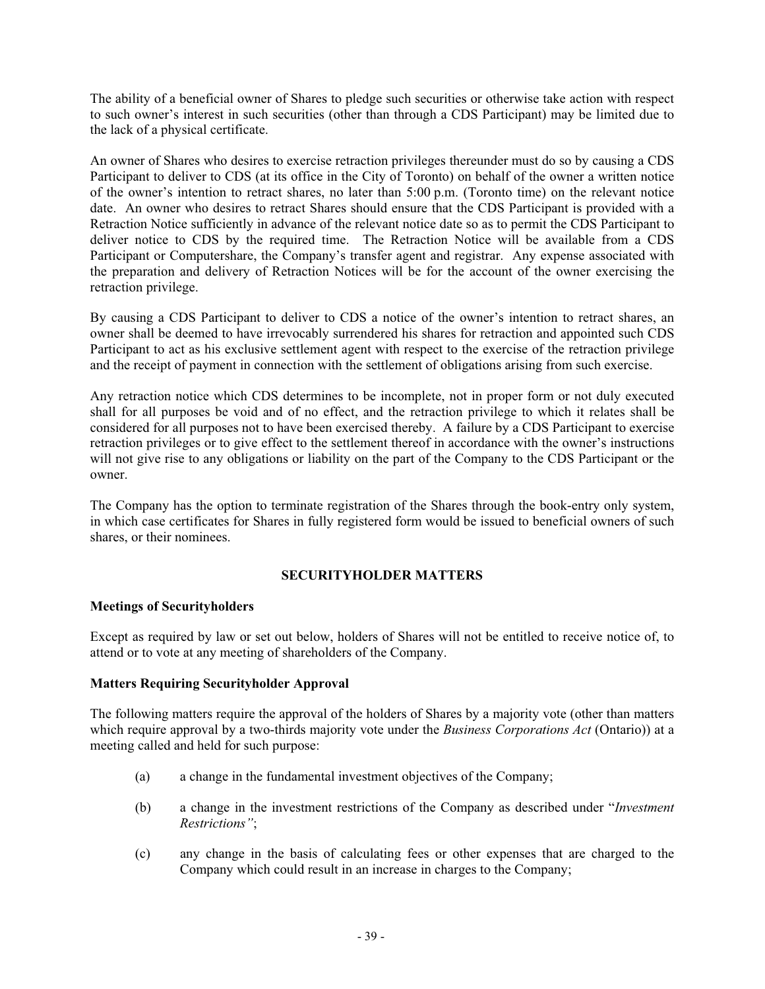The ability of a beneficial owner of Shares to pledge such securities or otherwise take action with respect to such owner's interest in such securities (other than through a CDS Participant) may be limited due to the lack of a physical certificate.

An owner of Shares who desires to exercise retraction privileges thereunder must do so by causing a CDS Participant to deliver to CDS (at its office in the City of Toronto) on behalf of the owner a written notice of the owner's intention to retract shares, no later than 5:00 p.m. (Toronto time) on the relevant notice date. An owner who desires to retract Shares should ensure that the CDS Participant is provided with a Retraction Notice sufficiently in advance of the relevant notice date so as to permit the CDS Participant to deliver notice to CDS by the required time. The Retraction Notice will be available from a CDS Participant or Computershare, the Company's transfer agent and registrar. Any expense associated with the preparation and delivery of Retraction Notices will be for the account of the owner exercising the retraction privilege.

By causing a CDS Participant to deliver to CDS a notice of the owner's intention to retract shares, an owner shall be deemed to have irrevocably surrendered his shares for retraction and appointed such CDS Participant to act as his exclusive settlement agent with respect to the exercise of the retraction privilege and the receipt of payment in connection with the settlement of obligations arising from such exercise.

Any retraction notice which CDS determines to be incomplete, not in proper form or not duly executed shall for all purposes be void and of no effect, and the retraction privilege to which it relates shall be considered for all purposes not to have been exercised thereby. A failure by a CDS Participant to exercise retraction privileges or to give effect to the settlement thereof in accordance with the owner's instructions will not give rise to any obligations or liability on the part of the Company to the CDS Participant or the owner.

The Company has the option to terminate registration of the Shares through the book-entry only system, in which case certificates for Shares in fully registered form would be issued to beneficial owners of such shares, or their nominees.

## **SECURITYHOLDER MATTERS**

### **Meetings of Securityholders**

Except as required by law or set out below, holders of Shares will not be entitled to receive notice of, to attend or to vote at any meeting of shareholders of the Company.

### **Matters Requiring Securityholder Approval**

The following matters require the approval of the holders of Shares by a majority vote (other than matters which require approval by a two-thirds majority vote under the *Business Corporations Act* (Ontario)) at a meeting called and held for such purpose:

- (a) a change in the fundamental investment objectives of the Company;
- (b) a change in the investment restrictions of the Company as described under "*Investment Restrictions"*;
- (c) any change in the basis of calculating fees or other expenses that are charged to the Company which could result in an increase in charges to the Company;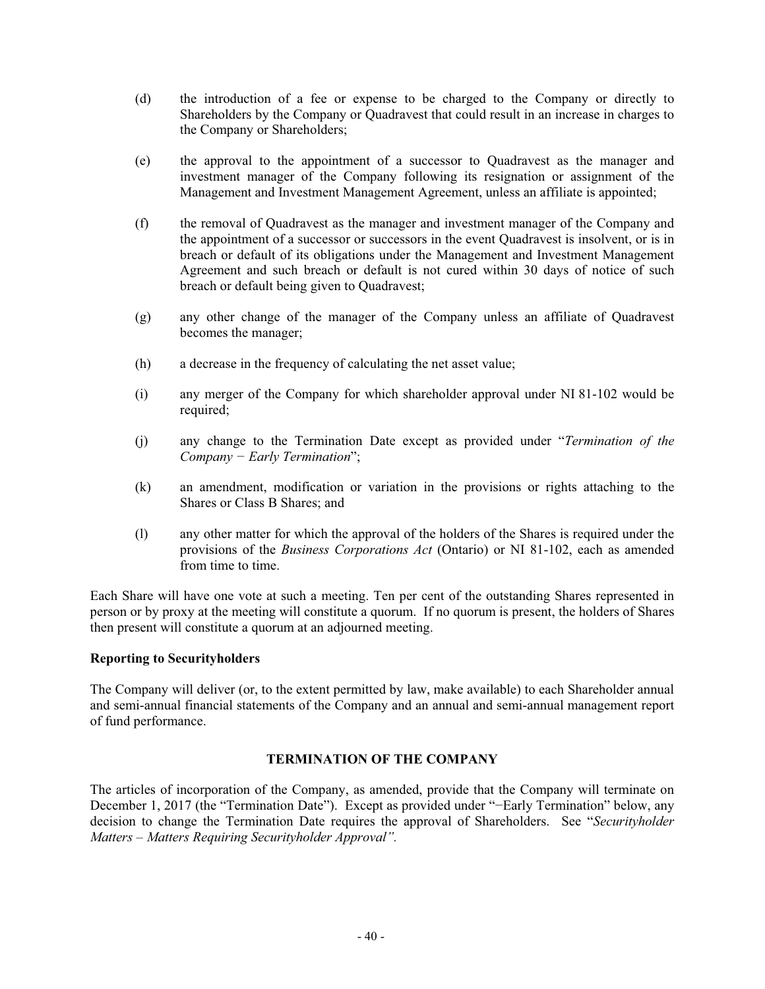- (d) the introduction of a fee or expense to be charged to the Company or directly to Shareholders by the Company or Quadravest that could result in an increase in charges to the Company or Shareholders;
- (e) the approval to the appointment of a successor to Quadravest as the manager and investment manager of the Company following its resignation or assignment of the Management and Investment Management Agreement, unless an affiliate is appointed;
- (f) the removal of Quadravest as the manager and investment manager of the Company and the appointment of a successor or successors in the event Quadravest is insolvent, or is in breach or default of its obligations under the Management and Investment Management Agreement and such breach or default is not cured within 30 days of notice of such breach or default being given to Quadravest;
- (g) any other change of the manager of the Company unless an affiliate of Quadravest becomes the manager;
- (h) a decrease in the frequency of calculating the net asset value;
- (i) any merger of the Company for which shareholder approval under NI 81-102 would be required;
- (j) any change to the Termination Date except as provided under "*Termination of the Company* – *Early Termination*";
- (k) an amendment, modification or variation in the provisions or rights attaching to the Shares or Class B Shares; and
- (l) any other matter for which the approval of the holders of the Shares is required under the provisions of the *Business Corporations Act* (Ontario) or NI 81-102, each as amended from time to time.

Each Share will have one vote at such a meeting. Ten per cent of the outstanding Shares represented in person or by proxy at the meeting will constitute a quorum. If no quorum is present, the holders of Shares then present will constitute a quorum at an adjourned meeting.

### **Reporting to Securityholders**

The Company will deliver (or, to the extent permitted by law, make available) to each Shareholder annual and semi-annual financial statements of the Company and an annual and semi-annual management report of fund performance.

## **TERMINATION OF THE COMPANY**

The articles of incorporation of the Company, as amended, provide that the Company will terminate on December 1, 2017 (the "Termination Date"). Except as provided under "-Early Termination" below, any decision to change the Termination Date requires the approval of Shareholders. See "*Securityholder Matters – Matters Requiring Securityholder Approval".*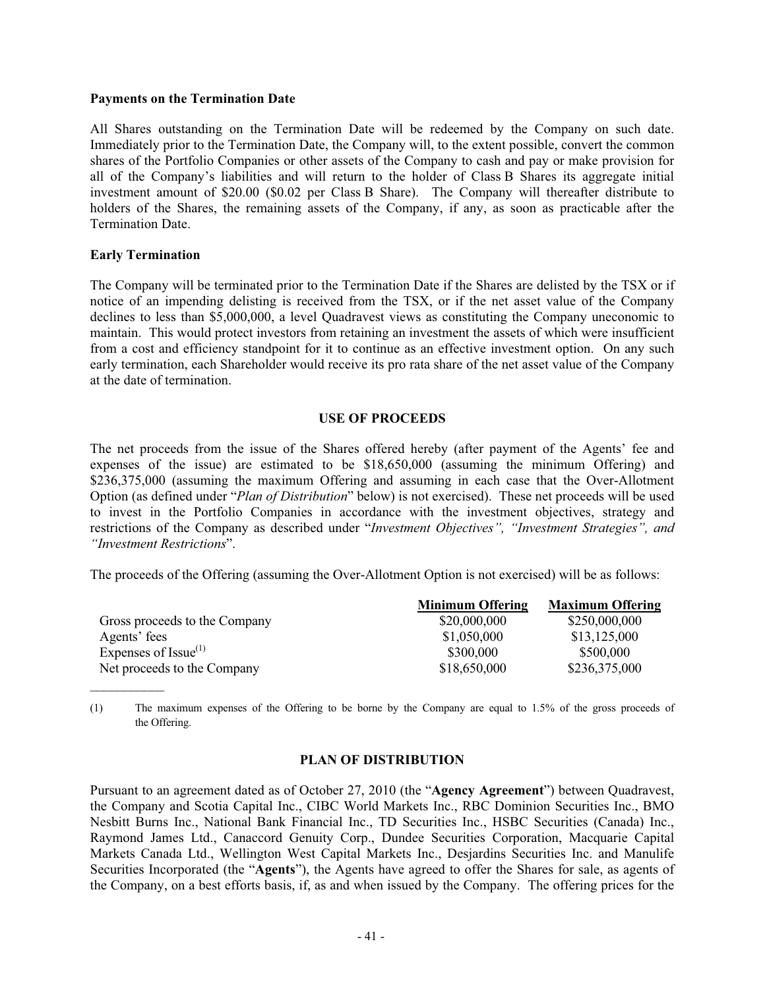#### **Payments on the Termination Date**

All Shares outstanding on the Termination Date will be redeemed by the Company on such date. Immediately prior to the Termination Date, the Company will, to the extent possible, convert the common shares of the Portfolio Companies or other assets of the Company to cash and pay or make provision for all of the Company's liabilities and will return to the holder of Class B Shares its aggregate initial investment amount of \$20.00 (\$0.02 per Class B Share). The Company will thereafter distribute to holders of the Shares, the remaining assets of the Company, if any, as soon as practicable after the Termination Date.

#### **Early Termination**

 $\frac{1}{2}$ 

The Company will be terminated prior to the Termination Date if the Shares are delisted by the TSX or if notice of an impending delisting is received from the TSX, or if the net asset value of the Company declines to less than \$5,000,000, a level Quadravest views as constituting the Company uneconomic to maintain. This would protect investors from retaining an investment the assets of which were insufficient from a cost and efficiency standpoint for it to continue as an effective investment option. On any such early termination, each Shareholder would receive its pro rata share of the net asset value of the Company at the date of termination.

#### **USE OF PROCEEDS**

The net proceeds from the issue of the Shares offered hereby (after payment of the Agents' fee and expenses of the issue) are estimated to be \$18,650,000 (assuming the minimum Offering) and \$236,375,000 (assuming the maximum Offering and assuming in each case that the Over-Allotment Option (as defined under "*Plan of Distribution*" below) is not exercised). These net proceeds will be used to invest in the Portfolio Companies in accordance with the investment objectives, strategy and restrictions of the Company as described under "*Investment Objectives", "Investment Strategies", and "Investment Restrictions*".

The proceeds of the Offering (assuming the Over-Allotment Option is not exercised) will be as follows:

|                               | <b>Minimum Offering</b> | <b>Maximum Offering</b> |
|-------------------------------|-------------------------|-------------------------|
| Gross proceeds to the Company | \$20,000,000            | \$250,000,000           |
| Agents' fees                  | \$1,050,000             | \$13,125,000            |
| Expenses of Issue $(1)$       | \$300,000               | \$500,000               |
| Net proceeds to the Company   | \$18,650,000            | \$236,375,000           |

(1) The maximum expenses of the Offering to be borne by the Company are equal to 1.5% of the gross proceeds of the Offering.

#### **PLAN OF DISTRIBUTION**

Pursuant to an agreement dated as of October 27, 2010 (the "**Agency Agreement**") between Quadravest, the Company and Scotia Capital Inc., CIBC World Markets Inc., RBC Dominion Securities Inc., BMO Nesbitt Burns Inc., National Bank Financial Inc., TD Securities Inc., HSBC Securities (Canada) Inc., Raymond James Ltd., Canaccord Genuity Corp., Dundee Securities Corporation, Macquarie Capital Markets Canada Ltd., Wellington West Capital Markets Inc., Desjardins Securities Inc. and Manulife Securities Incorporated (the "**Agents**"), the Agents have agreed to offer the Shares for sale, as agents of the Company, on a best efforts basis, if, as and when issued by the Company. The offering prices for the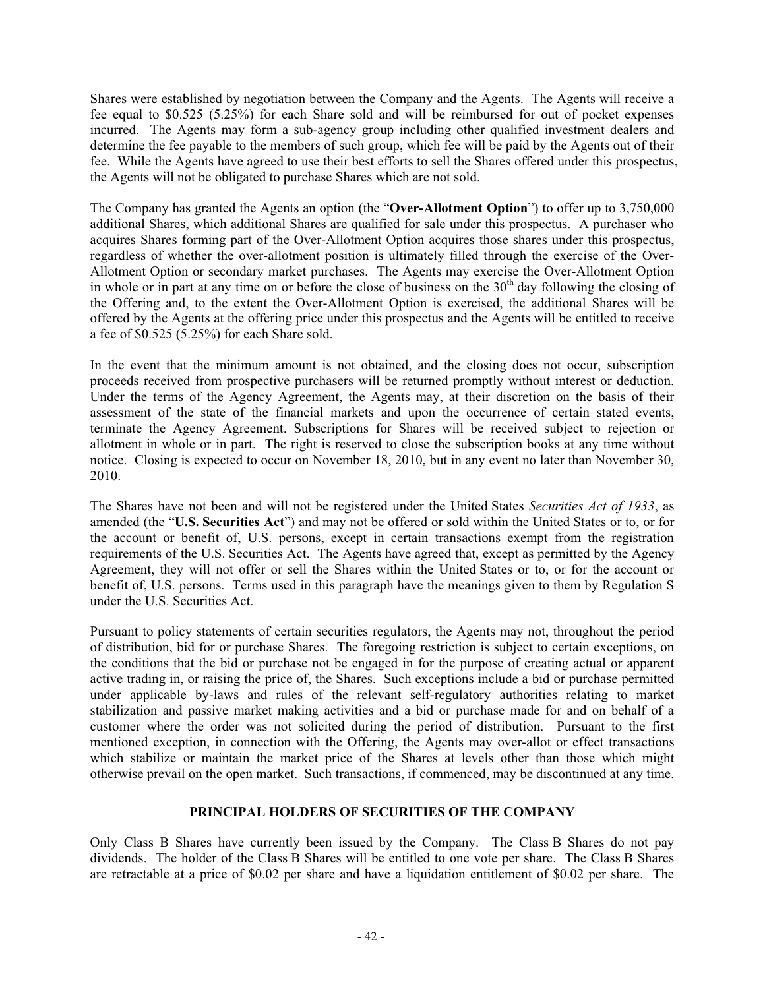Shares were established by negotiation between the Company and the Agents. The Agents will receive a fee equal to \$0.525 (5.25%) for each Share sold and will be reimbursed for out of pocket expenses incurred. The Agents may form a sub-agency group including other qualified investment dealers and determine the fee payable to the members of such group, which fee will be paid by the Agents out of their fee. While the Agents have agreed to use their best efforts to sell the Shares offered under this prospectus, the Agents will not be obligated to purchase Shares which are not sold.

The Company has granted the Agents an option (the "**Over-Allotment Option**") to offer up to 3,750,000 additional Shares, which additional Shares are qualified for sale under this prospectus. A purchaser who acquires Shares forming part of the Over-Allotment Option acquires those shares under this prospectus, regardless of whether the over-allotment position is ultimately filled through the exercise of the Over-Allotment Option or secondary market purchases. The Agents may exercise the Over-Allotment Option in whole or in part at any time on or before the close of business on the  $30<sup>th</sup>$  day following the closing of the Offering and, to the extent the Over-Allotment Option is exercised, the additional Shares will be offered by the Agents at the offering price under this prospectus and the Agents will be entitled to receive a fee of \$0.525 (5.25%) for each Share sold.

In the event that the minimum amount is not obtained, and the closing does not occur, subscription proceeds received from prospective purchasers will be returned promptly without interest or deduction. Under the terms of the Agency Agreement, the Agents may, at their discretion on the basis of their assessment of the state of the financial markets and upon the occurrence of certain stated events, terminate the Agency Agreement. Subscriptions for Shares will be received subject to rejection or allotment in whole or in part. The right is reserved to close the subscription books at any time without notice. Closing is expected to occur on November 18, 2010, but in any event no later than November 30, 2010.

The Shares have not been and will not be registered under the United States *Securities Act of 1933*, as amended (the "**U.S. Securities Act**") and may not be offered or sold within the United States or to, or for the account or benefit of, U.S. persons, except in certain transactions exempt from the registration requirements of the U.S. Securities Act. The Agents have agreed that, except as permitted by the Agency Agreement, they will not offer or sell the Shares within the United States or to, or for the account or benefit of, U.S. persons. Terms used in this paragraph have the meanings given to them by Regulation S under the U.S. Securities Act.

Pursuant to policy statements of certain securities regulators, the Agents may not, throughout the period of distribution, bid for or purchase Shares. The foregoing restriction is subject to certain exceptions, on the conditions that the bid or purchase not be engaged in for the purpose of creating actual or apparent active trading in, or raising the price of, the Shares. Such exceptions include a bid or purchase permitted under applicable by-laws and rules of the relevant self-regulatory authorities relating to market stabilization and passive market making activities and a bid or purchase made for and on behalf of a customer where the order was not solicited during the period of distribution. Pursuant to the first mentioned exception, in connection with the Offering, the Agents may over-allot or effect transactions which stabilize or maintain the market price of the Shares at levels other than those which might otherwise prevail on the open market. Such transactions, if commenced, may be discontinued at any time.

### **PRINCIPAL HOLDERS OF SECURITIES OF THE COMPANY**

Only Class B Shares have currently been issued by the Company. The Class B Shares do not pay dividends. The holder of the Class B Shares will be entitled to one vote per share. The Class B Shares are retractable at a price of \$0.02 per share and have a liquidation entitlement of \$0.02 per share. The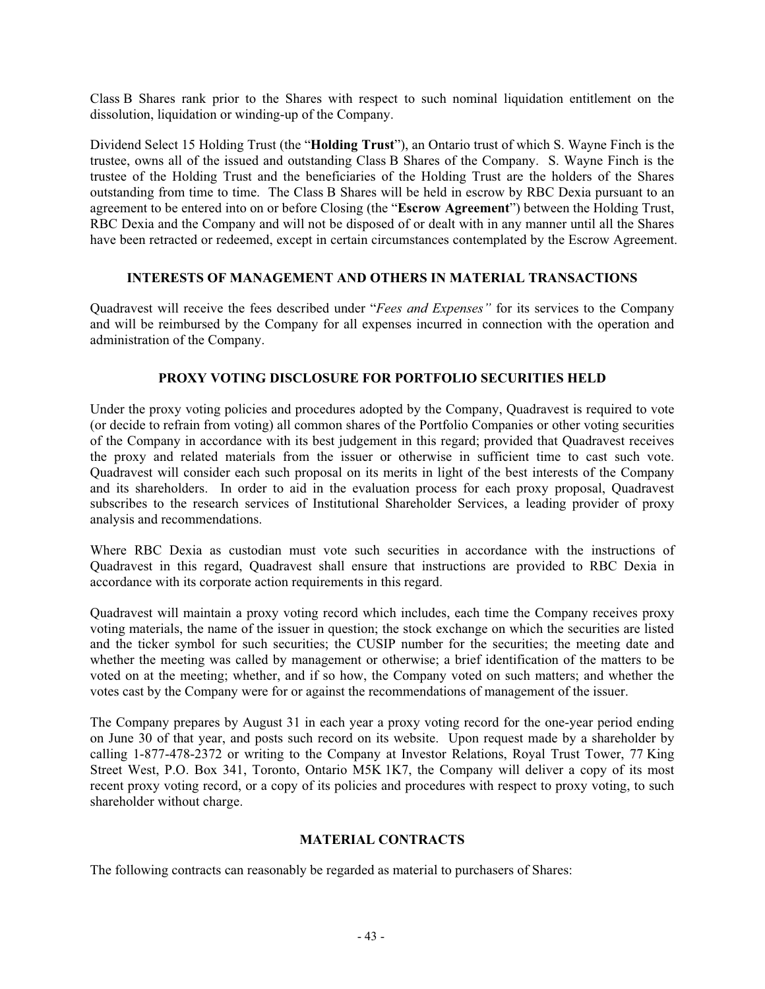Class B Shares rank prior to the Shares with respect to such nominal liquidation entitlement on the dissolution, liquidation or winding-up of the Company.

Dividend Select 15 Holding Trust (the "**Holding Trust**"), an Ontario trust of which S. Wayne Finch is the trustee, owns all of the issued and outstanding Class B Shares of the Company. S. Wayne Finch is the trustee of the Holding Trust and the beneficiaries of the Holding Trust are the holders of the Shares outstanding from time to time. The Class B Shares will be held in escrow by RBC Dexia pursuant to an agreement to be entered into on or before Closing (the "**Escrow Agreement**") between the Holding Trust, RBC Dexia and the Company and will not be disposed of or dealt with in any manner until all the Shares have been retracted or redeemed, except in certain circumstances contemplated by the Escrow Agreement.

### **INTERESTS OF MANAGEMENT AND OTHERS IN MATERIAL TRANSACTIONS**

Quadravest will receive the fees described under "*Fees and Expenses"* for its services to the Company and will be reimbursed by the Company for all expenses incurred in connection with the operation and administration of the Company.

## **PROXY VOTING DISCLOSURE FOR PORTFOLIO SECURITIES HELD**

Under the proxy voting policies and procedures adopted by the Company, Quadravest is required to vote (or decide to refrain from voting) all common shares of the Portfolio Companies or other voting securities of the Company in accordance with its best judgement in this regard; provided that Quadravest receives the proxy and related materials from the issuer or otherwise in sufficient time to cast such vote. Quadravest will consider each such proposal on its merits in light of the best interests of the Company and its shareholders. In order to aid in the evaluation process for each proxy proposal, Quadravest subscribes to the research services of Institutional Shareholder Services, a leading provider of proxy analysis and recommendations.

Where RBC Dexia as custodian must vote such securities in accordance with the instructions of Quadravest in this regard, Quadravest shall ensure that instructions are provided to RBC Dexia in accordance with its corporate action requirements in this regard.

Quadravest will maintain a proxy voting record which includes, each time the Company receives proxy voting materials, the name of the issuer in question; the stock exchange on which the securities are listed and the ticker symbol for such securities; the CUSIP number for the securities; the meeting date and whether the meeting was called by management or otherwise; a brief identification of the matters to be voted on at the meeting; whether, and if so how, the Company voted on such matters; and whether the votes cast by the Company were for or against the recommendations of management of the issuer.

The Company prepares by August 31 in each year a proxy voting record for the one-year period ending on June 30 of that year, and posts such record on its website. Upon request made by a shareholder by calling 1-877-478-2372 or writing to the Company at Investor Relations, Royal Trust Tower, 77 King Street West, P.O. Box 341, Toronto, Ontario M5K 1K7, the Company will deliver a copy of its most recent proxy voting record, or a copy of its policies and procedures with respect to proxy voting, to such shareholder without charge.

### **MATERIAL CONTRACTS**

The following contracts can reasonably be regarded as material to purchasers of Shares: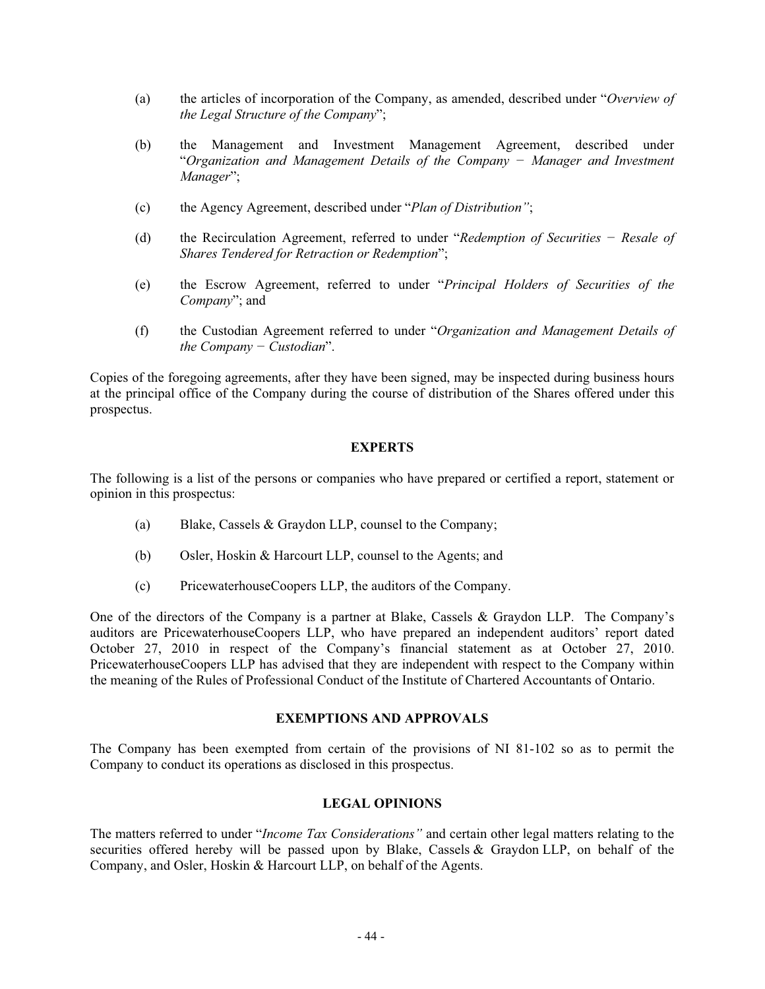- (a) the articles of incorporation of the Company, as amended, described under "*Overview of the Legal Structure of the Company*";
- (b) the Management and Investment Management Agreement, described under "*Organization and Management Details of the Company í Manager and Investment Manager*";
- (c) the Agency Agreement, described under "*Plan of Distribution"*;
- (d) the Recirculation Agreement, referred to under "*Redemption of Securities í Resale of Shares Tendered for Retraction or Redemption*";
- (e) the Escrow Agreement, referred to under "*Principal Holders of Securities of the Company*"; and
- (f) the Custodian Agreement referred to under "*Organization and Management Details of the Company – Custodian*".

Copies of the foregoing agreements, after they have been signed, may be inspected during business hours at the principal office of the Company during the course of distribution of the Shares offered under this prospectus.

### **EXPERTS**

The following is a list of the persons or companies who have prepared or certified a report, statement or opinion in this prospectus:

- (a) Blake, Cassels & Graydon LLP, counsel to the Company;
- (b) Osler, Hoskin & Harcourt LLP, counsel to the Agents; and
- (c) PricewaterhouseCoopers LLP, the auditors of the Company.

One of the directors of the Company is a partner at Blake, Cassels & Graydon LLP. The Company's auditors are PricewaterhouseCoopers LLP, who have prepared an independent auditors' report dated October 27, 2010 in respect of the Company's financial statement as at October 27, 2010. PricewaterhouseCoopers LLP has advised that they are independent with respect to the Company within the meaning of the Rules of Professional Conduct of the Institute of Chartered Accountants of Ontario.

#### **EXEMPTIONS AND APPROVALS**

The Company has been exempted from certain of the provisions of NI 81-102 so as to permit the Company to conduct its operations as disclosed in this prospectus.

## **LEGAL OPINIONS**

The matters referred to under "*Income Tax Considerations"* and certain other legal matters relating to the securities offered hereby will be passed upon by Blake, Cassels & Graydon LLP, on behalf of the Company, and Osler, Hoskin & Harcourt LLP, on behalf of the Agents.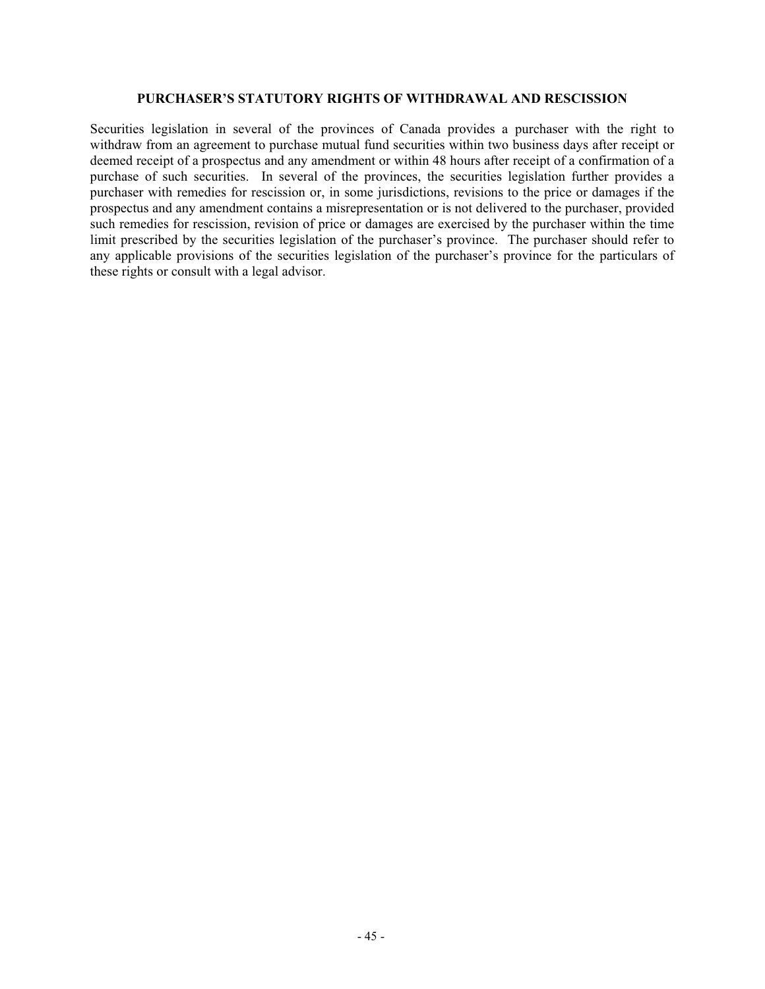#### **PURCHASER'S STATUTORY RIGHTS OF WITHDRAWAL AND RESCISSION**

Securities legislation in several of the provinces of Canada provides a purchaser with the right to withdraw from an agreement to purchase mutual fund securities within two business days after receipt or deemed receipt of a prospectus and any amendment or within 48 hours after receipt of a confirmation of a purchase of such securities. In several of the provinces, the securities legislation further provides a purchaser with remedies for rescission or, in some jurisdictions, revisions to the price or damages if the prospectus and any amendment contains a misrepresentation or is not delivered to the purchaser, provided such remedies for rescission, revision of price or damages are exercised by the purchaser within the time limit prescribed by the securities legislation of the purchaser's province. The purchaser should refer to any applicable provisions of the securities legislation of the purchaser's province for the particulars of these rights or consult with a legal advisor.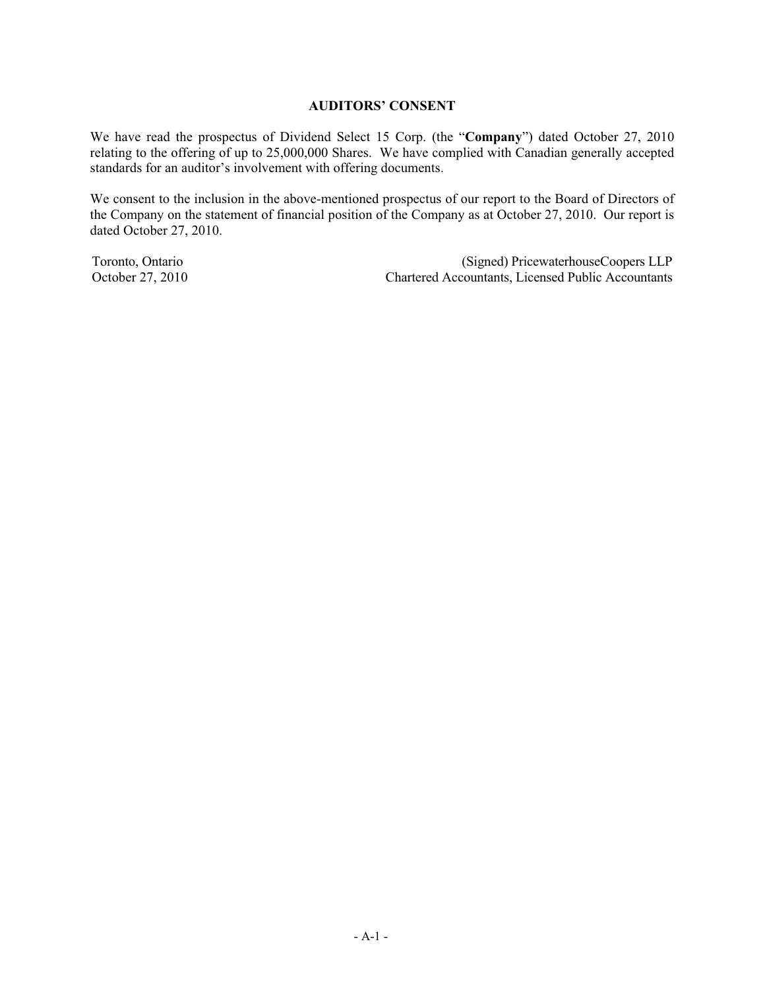### **AUDITORS' CONSENT**

We have read the prospectus of Dividend Select 15 Corp. (the "**Company**") dated October 27, 2010 relating to the offering of up to 25,000,000 Shares. We have complied with Canadian generally accepted standards for an auditor's involvement with offering documents.

We consent to the inclusion in the above-mentioned prospectus of our report to the Board of Directors of the Company on the statement of financial position of the Company as at October 27, 2010. Our report is dated October 27, 2010.

Toronto, Ontario (Signed) PricewaterhouseCoopers LLP<br>October 27, 2010 Chartered Accountants, Licensed Public Accountants Chartered Accountants, Licensed Public Accountants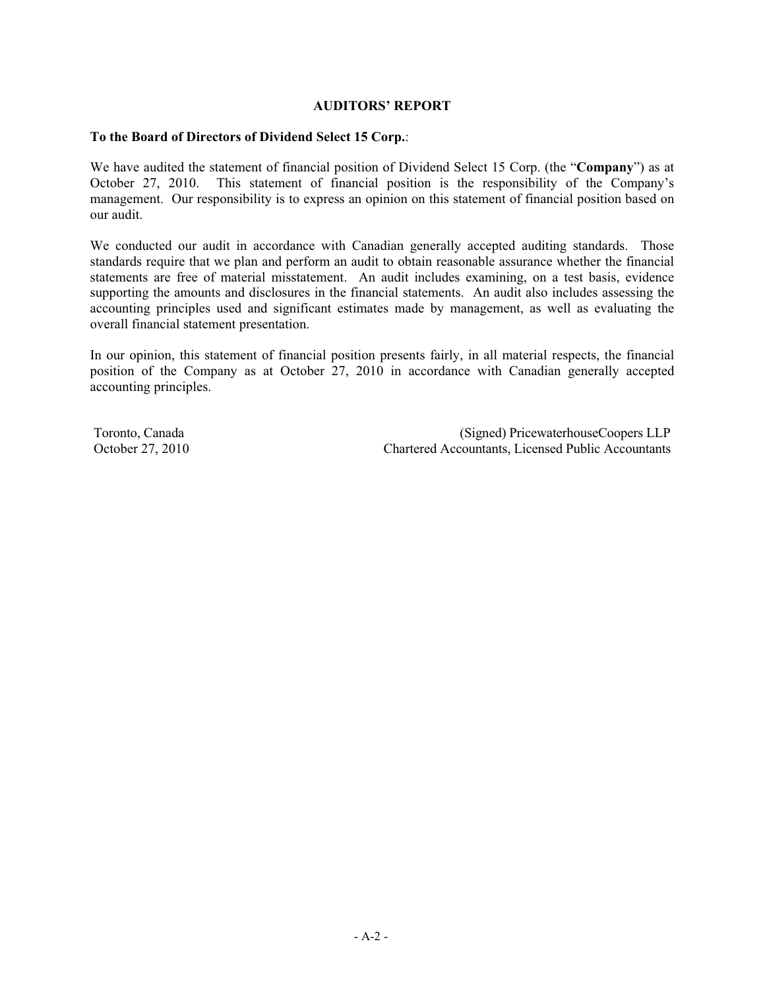## **AUDITORS' REPORT**

### **To the Board of Directors of Dividend Select 15 Corp.**:

We have audited the statement of financial position of Dividend Select 15 Corp. (the "**Company**") as at October 27, 2010. This statement of financial position is the responsibility of the Company's management. Our responsibility is to express an opinion on this statement of financial position based on our audit.

We conducted our audit in accordance with Canadian generally accepted auditing standards. Those standards require that we plan and perform an audit to obtain reasonable assurance whether the financial statements are free of material misstatement. An audit includes examining, on a test basis, evidence supporting the amounts and disclosures in the financial statements. An audit also includes assessing the accounting principles used and significant estimates made by management, as well as evaluating the overall financial statement presentation.

In our opinion, this statement of financial position presents fairly, in all material respects, the financial position of the Company as at October 27, 2010 in accordance with Canadian generally accepted accounting principles.

Toronto, Canada (Signed) PricewaterhouseCoopers LLP October 27, 2010 Chartered Accountants, Licensed Public Accountants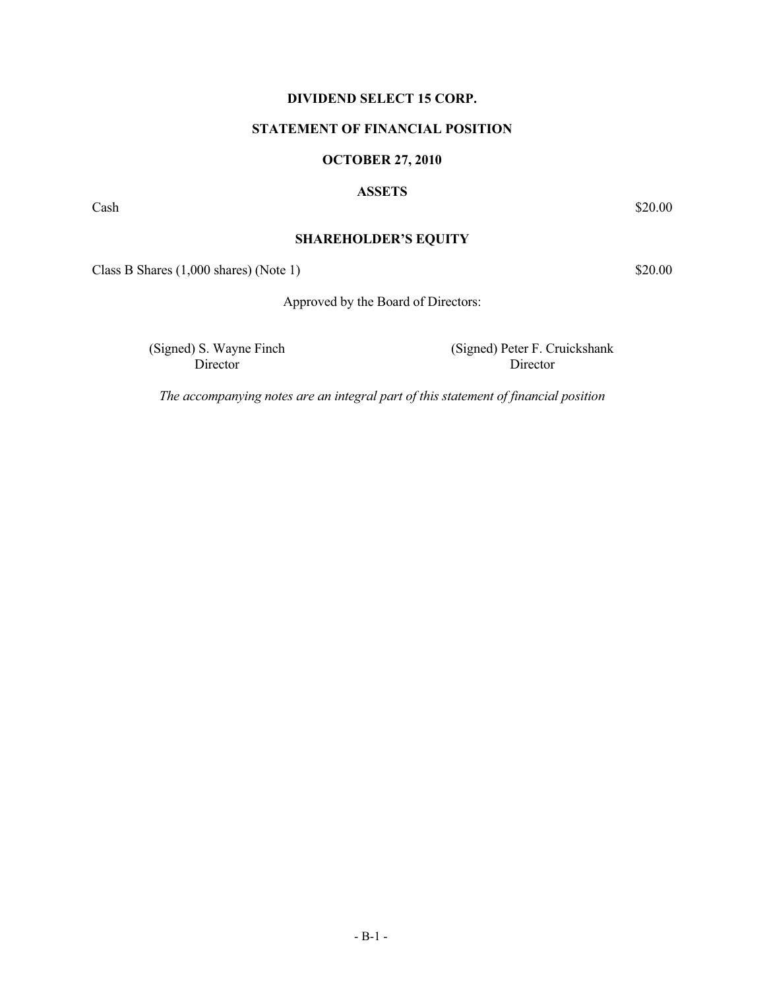## **DIVIDEND SELECT 15 CORP.**

### **STATEMENT OF FINANCIAL POSITION**

### **OCTOBER 27, 2010**

#### **ASSETS**

 $\cosh$  \$20.00

### **SHAREHOLDER'S EQUITY**

 $\text{Class B Shares } (1,000 \text{ shares}) \text{ (Note 1)}$  \$20.00

Approved by the Board of Directors:

(Signed) S. Wayne Finch Director

(Signed) Peter F. Cruickshank Director

*The accompanying notes are an integral part of this statement of financial position*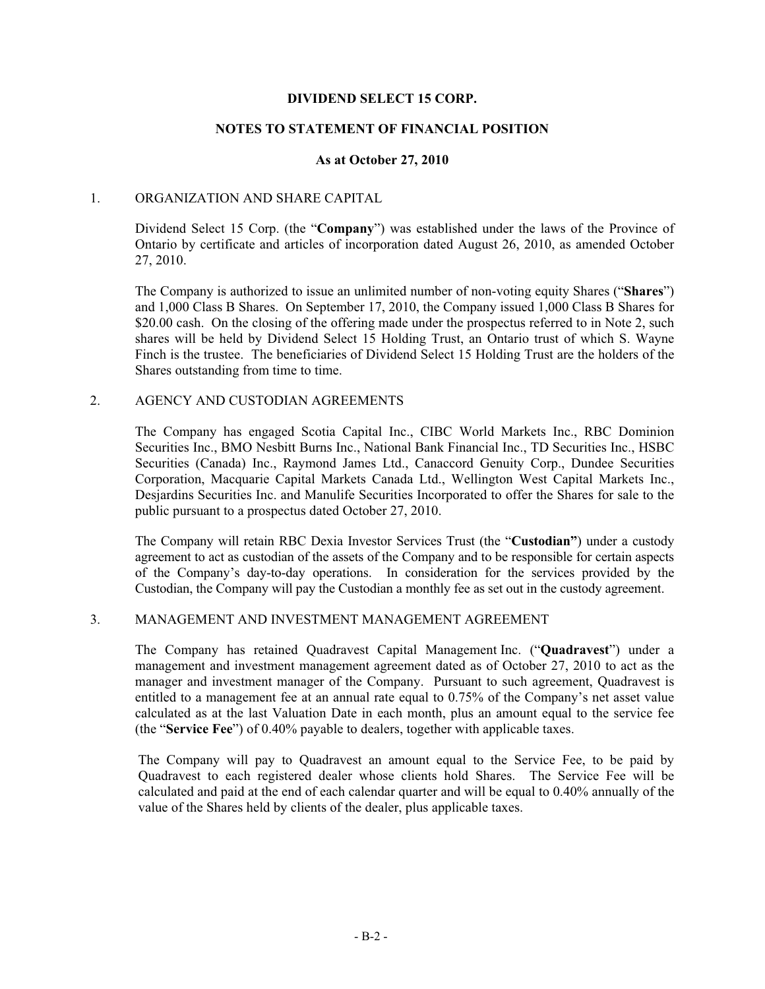### **DIVIDEND SELECT 15 CORP.**

### **NOTES TO STATEMENT OF FINANCIAL POSITION**

#### **As at October 27, 2010**

#### 1. ORGANIZATION AND SHARE CAPITAL

Dividend Select 15 Corp. (the "**Company**") was established under the laws of the Province of Ontario by certificate and articles of incorporation dated August 26, 2010, as amended October 27, 2010.

The Company is authorized to issue an unlimited number of non-voting equity Shares ("**Shares**") and 1,000 Class B Shares. On September 17, 2010, the Company issued 1,000 Class B Shares for \$20.00 cash. On the closing of the offering made under the prospectus referred to in Note 2, such shares will be held by Dividend Select 15 Holding Trust, an Ontario trust of which S. Wayne Finch is the trustee. The beneficiaries of Dividend Select 15 Holding Trust are the holders of the Shares outstanding from time to time.

### 2. AGENCY AND CUSTODIAN AGREEMENTS

The Company has engaged Scotia Capital Inc., CIBC World Markets Inc., RBC Dominion Securities Inc., BMO Nesbitt Burns Inc., National Bank Financial Inc., TD Securities Inc., HSBC Securities (Canada) Inc., Raymond James Ltd., Canaccord Genuity Corp., Dundee Securities Corporation, Macquarie Capital Markets Canada Ltd., Wellington West Capital Markets Inc., Desjardins Securities Inc. and Manulife Securities Incorporated to offer the Shares for sale to the public pursuant to a prospectus dated October 27, 2010.

The Company will retain RBC Dexia Investor Services Trust (the "**Custodian"**) under a custody agreement to act as custodian of the assets of the Company and to be responsible for certain aspects of the Company's day-to-day operations. In consideration for the services provided by the Custodian, the Company will pay the Custodian a monthly fee as set out in the custody agreement.

#### 3. MANAGEMENT AND INVESTMENT MANAGEMENT AGREEMENT

The Company has retained Quadravest Capital Management Inc. ("**Quadravest**") under a management and investment management agreement dated as of October 27, 2010 to act as the manager and investment manager of the Company. Pursuant to such agreement, Quadravest is entitled to a management fee at an annual rate equal to 0.75% of the Company's net asset value calculated as at the last Valuation Date in each month, plus an amount equal to the service fee (the "**Service Fee**") of 0.40% payable to dealers, together with applicable taxes.

The Company will pay to Quadravest an amount equal to the Service Fee, to be paid by Quadravest to each registered dealer whose clients hold Shares. The Service Fee will be calculated and paid at the end of each calendar quarter and will be equal to 0.40% annually of the value of the Shares held by clients of the dealer, plus applicable taxes.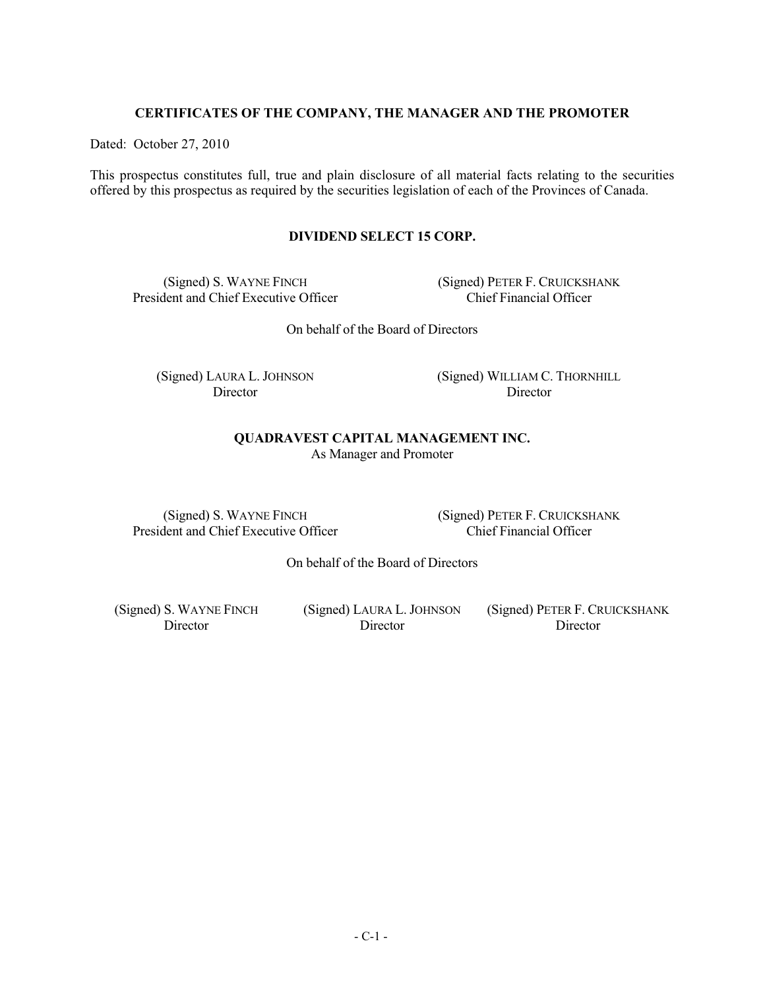### **CERTIFICATES OF THE COMPANY, THE MANAGER AND THE PROMOTER**

Dated: October 27, 2010

This prospectus constitutes full, true and plain disclosure of all material facts relating to the securities offered by this prospectus as required by the securities legislation of each of the Provinces of Canada.

## **DIVIDEND SELECT 15 CORP.**

(Signed) S. WAYNE FINCH President and Chief Executive Officer (Signed) PETER F. CRUICKSHANK Chief Financial Officer

On behalf of the Board of Directors

(Signed) LAURA L. JOHNSON Director

(Signed) WILLIAM C. THORNHILL Director

#### **QUADRAVEST CAPITAL MANAGEMENT INC.**  As Manager and Promoter

(Signed) S. WAYNE FINCH President and Chief Executive Officer (Signed) PETER F. CRUICKSHANK Chief Financial Officer

On behalf of the Board of Directors

(Signed) S. WAYNE FINCH **Director** 

(Signed) LAURA L. JOHNSON Director

(Signed) PETER F. CRUICKSHANK Director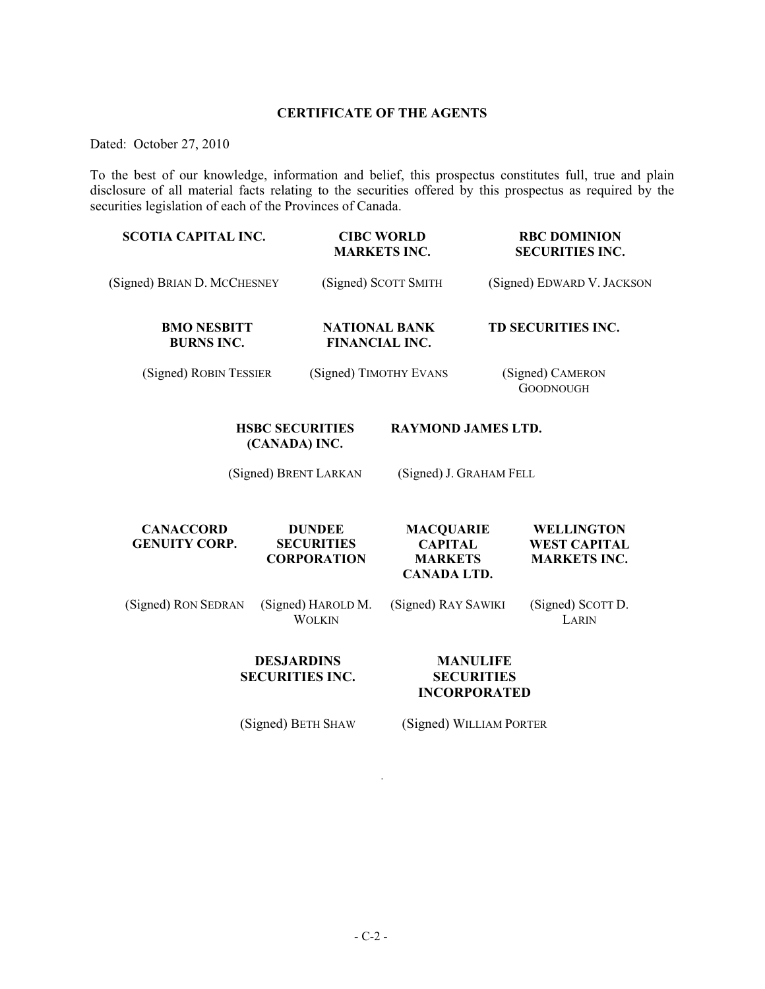## **CERTIFICATE OF THE AGENTS**

Dated: October 27, 2010

To the best of our knowledge, information and belief, this prospectus constitutes full, true and plain disclosure of all material facts relating to the securities offered by this prospectus as required by the securities legislation of each of the Provinces of Canada.

| <b>SCOTIA CAPITAL INC.</b>               |                                                          | <b>CIBC WORLD</b><br><b>MARKETS INC.</b>                                   | <b>RBC DOMINION</b><br><b>SECURITIES INC.</b>            |
|------------------------------------------|----------------------------------------------------------|----------------------------------------------------------------------------|----------------------------------------------------------|
| (Signed) BRIAN D. MCCHESNEY              |                                                          | (Signed) SCOTT SMITH                                                       | (Signed) EDWARD V. JACKSON                               |
| <b>BMO NESBITT</b><br><b>BURNS INC.</b>  | <b>NATIONAL BANK</b><br><b>FINANCIAL INC.</b>            |                                                                            | TD SECURITIES INC.                                       |
| (Signed) ROBIN TESSIER                   | (Signed) TIMOTHY EVANS                                   |                                                                            | (Signed) CAMERON<br><b>GOODNOUGH</b>                     |
|                                          | <b>HSBC SECURITIES</b><br>(CANADA) INC.                  | <b>RAYMOND JAMES LTD.</b>                                                  |                                                          |
|                                          | (Signed) BRENT LARKAN                                    | (Signed) J. GRAHAM FELL                                                    |                                                          |
| <b>CANACCORD</b><br><b>GENUITY CORP.</b> | <b>DUNDEE</b><br><b>SECURITIES</b><br><b>CORPORATION</b> | <b>MACQUARIE</b><br><b>CAPITAL</b><br><b>MARKETS</b><br><b>CANADA LTD.</b> | WELLINGTON<br><b>WEST CAPITAL</b><br><b>MARKETS INC.</b> |
| (Signed) RON SEDRAN                      | (Signed) HAROLD M.<br><b>WOLKIN</b>                      | (Signed) RAY SAWIKI                                                        | (Signed) SCOTT D.<br>LARIN                               |
|                                          | <b>DESJARDINS</b><br><b>SECURITIES INC.</b>              | <b>MANULIFE</b><br><b>SECURITIES</b><br><b>INCORPORATED</b>                |                                                          |

(Signed) BETH SHAW (Signed) WILLIAM PORTER

.